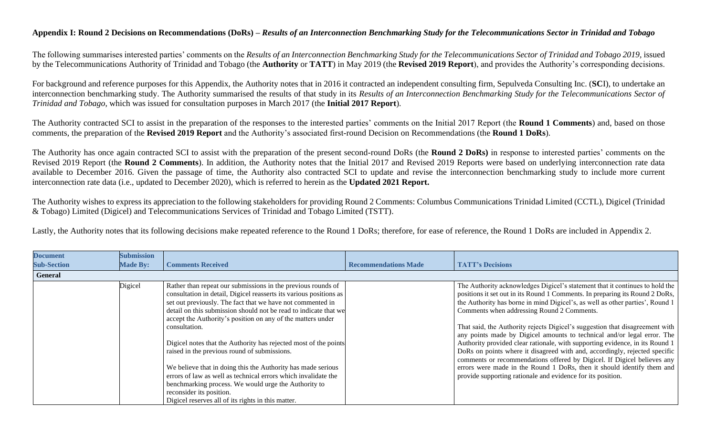## **Appendix I: Round 2 Decisions on Recommendations (DoRs) –** *Results of an Interconnection Benchmarking Study for the Telecommunications Sector in Trinidad and Tobago*

The following summarises interested parties' comments on the *Results of an Interconnection Benchmarking Study for the Telecommunications Sector of Trinidad and Tobago 2019,* issued by the Telecommunications Authority of Trinidad and Tobago (the **Authority** or **TATT**) in May 2019 (the **Revised 2019 Report**), and provides the Authority's corresponding decisions.

For background and reference purposes for this Appendix, the Authority notes that in 2016 it contracted an independent consulting firm, Sepulveda Consulting Inc. (**SC**I), to undertake an interconnection benchmarking study. The Authority summarised the results of that study in its *Results of an Interconnection Benchmarking Study for the Telecommunications Sector of Trinidad and Tobago*, which was issued for consultation purposes in March 2017 (the **Initial 2017 Report**).

The Authority contracted SCI to assist in the preparation of the responses to the interested parties' comments on the Initial 2017 Report (the **Round 1 Comments**) and, based on those comments, the preparation of the **Revised 2019 Report** and the Authority's associated first-round Decision on Recommendations (the **Round 1 DoRs**).

The Authority has once again contracted SCI to assist with the preparation of the present second-round DoRs (the **Round 2 DoRs)** in response to interested parties' comments on the Revised 2019 Report (the **Round 2 Comments**). In addition, the Authority notes that the Initial 2017 and Revised 2019 Reports were based on underlying interconnection rate data available to December 2016. Given the passage of time, the Authority also contracted SCI to update and revise the interconnection benchmarking study to include more current interconnection rate data (i.e., updated to December 2020), which is referred to herein as the **Updated 2021 Report.**

The Authority wishes to express its appreciation to the following stakeholders for providing Round 2 Comments: Columbus Communications Trinidad Limited (CCTL), Digicel (Trinidad & Tobago) Limited (Digicel) and Telecommunications Services of Trinidad and Tobago Limited (TSTT).

Lastly, the Authority notes that its following decisions make repeated reference to the Round 1 DoRs; therefore, for ease of reference, the Round 1 DoRs are included in Appendix 2.

| <b>Document</b>    | <b>Submission</b> |                                                                                                                                                                                                                                                                                                                                                      |                             |                                                                                                                                                                                                                                                                                                                                                                             |
|--------------------|-------------------|------------------------------------------------------------------------------------------------------------------------------------------------------------------------------------------------------------------------------------------------------------------------------------------------------------------------------------------------------|-----------------------------|-----------------------------------------------------------------------------------------------------------------------------------------------------------------------------------------------------------------------------------------------------------------------------------------------------------------------------------------------------------------------------|
| <b>Sub-Section</b> | <b>Made By:</b>   | <b>Comments Received</b>                                                                                                                                                                                                                                                                                                                             | <b>Recommendations Made</b> | <b>TATT's Decisions</b>                                                                                                                                                                                                                                                                                                                                                     |
| General            |                   |                                                                                                                                                                                                                                                                                                                                                      |                             |                                                                                                                                                                                                                                                                                                                                                                             |
|                    | Digicel           | Rather than repeat our submissions in the previous rounds of<br>consultation in detail, Digicel reasserts its various positions as<br>set out previously. The fact that we have not commented in<br>detail on this submission should not be read to indicate that we<br>accept the Authority's position on any of the matters under<br>consultation. |                             | The Authority acknowledges Digicel's statement that it continues to hold the<br>positions it set out in its Round 1 Comments. In preparing its Round 2 DoRs,<br>the Authority has borne in mind Digicel's, as well as other parties', Round 1<br>Comments when addressing Round 2 Comments.<br>That said, the Authority rejects Digicel's suggestion that disagreement with |
|                    |                   | Digicel notes that the Authority has rejected most of the points<br>raised in the previous round of submissions.                                                                                                                                                                                                                                     |                             | any points made by Digicel amounts to technical and/or legal error. The<br>Authority provided clear rationale, with supporting evidence, in its Round 1<br>DoRs on points where it disagreed with and, accordingly, rejected specific<br>comments or recommendations offered by Digicel. If Digicel believes any                                                            |
|                    |                   | We believe that in doing this the Authority has made serious<br>errors of law as well as technical errors which invalidate the<br>benchmarking process. We would urge the Authority to<br>reconsider its position.<br>Digicel reserves all of its rights in this matter.                                                                             |                             | errors were made in the Round 1 DoRs, then it should identify them and<br>provide supporting rationale and evidence for its position.                                                                                                                                                                                                                                       |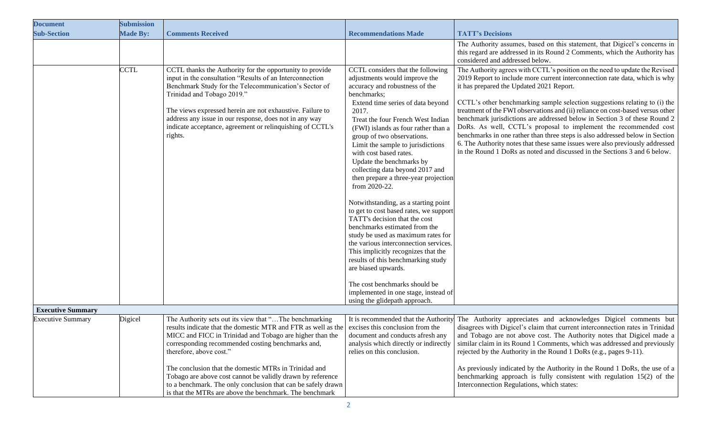| <b>Document</b>          | <b>Submission</b> |                                                                                                                                                                                                                                                                                                                                                                                                                                                                                                                       |                                                                                                                                                                                                                                                                                                                                                                                                                                                                                                                                                                                                                                                                                                                                                                                                                                                                                                                     |                                                                                                                                                                                                                                                                                                                                                                                                                                                                                                                                                                                                                                                                                                                                                                      |
|--------------------------|-------------------|-----------------------------------------------------------------------------------------------------------------------------------------------------------------------------------------------------------------------------------------------------------------------------------------------------------------------------------------------------------------------------------------------------------------------------------------------------------------------------------------------------------------------|---------------------------------------------------------------------------------------------------------------------------------------------------------------------------------------------------------------------------------------------------------------------------------------------------------------------------------------------------------------------------------------------------------------------------------------------------------------------------------------------------------------------------------------------------------------------------------------------------------------------------------------------------------------------------------------------------------------------------------------------------------------------------------------------------------------------------------------------------------------------------------------------------------------------|----------------------------------------------------------------------------------------------------------------------------------------------------------------------------------------------------------------------------------------------------------------------------------------------------------------------------------------------------------------------------------------------------------------------------------------------------------------------------------------------------------------------------------------------------------------------------------------------------------------------------------------------------------------------------------------------------------------------------------------------------------------------|
| <b>Sub-Section</b>       | <b>Made By:</b>   | <b>Comments Received</b>                                                                                                                                                                                                                                                                                                                                                                                                                                                                                              | <b>Recommendations Made</b>                                                                                                                                                                                                                                                                                                                                                                                                                                                                                                                                                                                                                                                                                                                                                                                                                                                                                         | <b>TATT's Decisions</b>                                                                                                                                                                                                                                                                                                                                                                                                                                                                                                                                                                                                                                                                                                                                              |
|                          |                   |                                                                                                                                                                                                                                                                                                                                                                                                                                                                                                                       |                                                                                                                                                                                                                                                                                                                                                                                                                                                                                                                                                                                                                                                                                                                                                                                                                                                                                                                     | The Authority assumes, based on this statement, that Digicel's concerns in<br>this regard are addressed in its Round 2 Comments, which the Authority has<br>considered and addressed below.                                                                                                                                                                                                                                                                                                                                                                                                                                                                                                                                                                          |
|                          | <b>CCTL</b>       | CCTL thanks the Authority for the opportunity to provide<br>input in the consultation "Results of an Interconnection<br>Benchmark Study for the Telecommunication's Sector of<br>Trinidad and Tobago 2019."<br>The views expressed herein are not exhaustive. Failure to<br>address any issue in our response, does not in any way<br>indicate acceptance, agreement or relinquishing of CCTL's<br>rights.                                                                                                            | CCTL considers that the following<br>adjustments would improve the<br>accuracy and robustness of the<br>benchmarks;<br>Extend time series of data beyond<br>2017.<br>Treat the four French West Indian<br>(FWI) islands as four rather than a<br>group of two observations.<br>Limit the sample to jurisdictions<br>with cost based rates.<br>Update the benchmarks by<br>collecting data beyond 2017 and<br>then prepare a three-year projection<br>from 2020-22.<br>Notwithstanding, as a starting point<br>to get to cost based rates, we support<br>TATT's decision that the cost<br>benchmarks estimated from the<br>study be used as maximum rates for<br>the various interconnection services.<br>This implicitly recognizes that the<br>results of this benchmarking study<br>are biased upwards.<br>The cost benchmarks should be<br>implemented in one stage, instead of<br>using the glidepath approach. | The Authority agrees with CCTL's position on the need to update the Revised<br>2019 Report to include more current interconnection rate data, which is why<br>it has prepared the Updated 2021 Report.<br>CCTL's other benchmarking sample selection suggestions relating to (i) the<br>treatment of the FWI observations and (ii) reliance on cost-based versus other<br>benchmark jurisdictions are addressed below in Section 3 of these Round 2<br>DoRs. As well, CCTL's proposal to implement the recommended cost<br>benchmarks in one rather than three steps is also addressed below in Section<br>6. The Authority notes that these same issues were also previously addressed<br>in the Round 1 DoRs as noted and discussed in the Sections 3 and 6 below. |
| <b>Executive Summary</b> |                   |                                                                                                                                                                                                                                                                                                                                                                                                                                                                                                                       |                                                                                                                                                                                                                                                                                                                                                                                                                                                                                                                                                                                                                                                                                                                                                                                                                                                                                                                     |                                                                                                                                                                                                                                                                                                                                                                                                                                                                                                                                                                                                                                                                                                                                                                      |
| <b>Executive Summary</b> | Digicel           | The Authority sets out its view that "The benchmarking<br>results indicate that the domestic MTR and FTR as well as the<br>MICC and FICC in Trinidad and Tobago are higher than the<br>corresponding recommended costing benchmarks and,<br>therefore, above cost."<br>The conclusion that the domestic MTRs in Trinidad and<br>Tobago are above cost cannot be validly drawn by reference<br>to a benchmark. The only conclusion that can be safely drawn<br>is that the MTRs are above the benchmark. The benchmark | excises this conclusion from the<br>document and conducts afresh any<br>analysis which directly or indirectly<br>relies on this conclusion.                                                                                                                                                                                                                                                                                                                                                                                                                                                                                                                                                                                                                                                                                                                                                                         | It is recommended that the Authority The Authority appreciates and acknowledges Digicel comments but<br>disagrees with Digicel's claim that current interconnection rates in Trinidad<br>and Tobago are not above cost. The Authority notes that Digicel made a<br>similar claim in its Round 1 Comments, which was addressed and previously<br>rejected by the Authority in the Round 1 DoRs (e.g., pages 9-11).<br>As previously indicated by the Authority in the Round 1 DoRs, the use of a<br>benchmarking approach is fully consistent with regulation $15(2)$ of the<br>Interconnection Regulations, which states:                                                                                                                                            |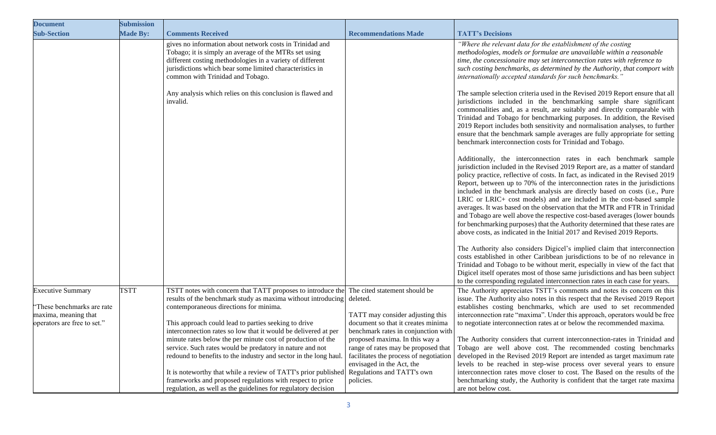| <b>Document</b>                                    | <b>Submission</b> |                                                                                                                                                                                                                                                                                |                                                                                                                                              |                                                                                                                                                                                                                                                                                                                                                                                                                                                                                                                                                                                                                                                                                                                                                                                                   |
|----------------------------------------------------|-------------------|--------------------------------------------------------------------------------------------------------------------------------------------------------------------------------------------------------------------------------------------------------------------------------|----------------------------------------------------------------------------------------------------------------------------------------------|---------------------------------------------------------------------------------------------------------------------------------------------------------------------------------------------------------------------------------------------------------------------------------------------------------------------------------------------------------------------------------------------------------------------------------------------------------------------------------------------------------------------------------------------------------------------------------------------------------------------------------------------------------------------------------------------------------------------------------------------------------------------------------------------------|
| <b>Sub-Section</b>                                 | <b>Made By:</b>   | <b>Comments Received</b>                                                                                                                                                                                                                                                       | <b>Recommendations Made</b>                                                                                                                  | <b>TATT's Decisions</b>                                                                                                                                                                                                                                                                                                                                                                                                                                                                                                                                                                                                                                                                                                                                                                           |
|                                                    |                   | gives no information about network costs in Trinidad and<br>Tobago; it is simply an average of the MTRs set using<br>different costing methodologies in a variety of different<br>jurisdictions which bear some limited characteristics in<br>common with Trinidad and Tobago. |                                                                                                                                              | "Where the relevant data for the establishment of the costing<br>methodologies, models or formulae are unavailable within a reasonable<br>time, the concessionaire may set interconnection rates with reference to<br>such costing benchmarks, as determined by the Authority, that comport with<br>internationally accepted standards for such benchmarks.'                                                                                                                                                                                                                                                                                                                                                                                                                                      |
|                                                    |                   | Any analysis which relies on this conclusion is flawed and<br>invalid.                                                                                                                                                                                                         |                                                                                                                                              | The sample selection criteria used in the Revised 2019 Report ensure that all<br>jurisdictions included in the benchmarking sample share significant<br>commonalities and, as a result, are suitably and directly comparable with<br>Trinidad and Tobago for benchmarking purposes. In addition, the Revised<br>2019 Report includes both sensitivity and normalisation analyses, to further<br>ensure that the benchmark sample averages are fully appropriate for setting<br>benchmark interconnection costs for Trinidad and Tobago.                                                                                                                                                                                                                                                           |
|                                                    |                   |                                                                                                                                                                                                                                                                                |                                                                                                                                              | Additionally, the interconnection rates in each benchmark sample<br>jurisdiction included in the Revised 2019 Report are, as a matter of standard<br>policy practice, reflective of costs. In fact, as indicated in the Revised 2019<br>Report, between up to 70% of the interconnection rates in the jurisdictions<br>included in the benchmark analysis are directly based on costs (i.e., Pure<br>LRIC or LRIC+ cost models) and are included in the cost-based sample<br>averages. It was based on the observation that the MTR and FTR in Trinidad<br>and Tobago are well above the respective cost-based averages (lower bounds<br>for benchmarking purposes) that the Authority determined that these rates are<br>above costs, as indicated in the Initial 2017 and Revised 2019 Reports. |
|                                                    |                   |                                                                                                                                                                                                                                                                                |                                                                                                                                              | The Authority also considers Digicel's implied claim that interconnection<br>costs established in other Caribbean jurisdictions to be of no relevance in<br>Trinidad and Tobago to be without merit, especially in view of the fact that<br>Digicel itself operates most of those same jurisdictions and has been subject<br>to the corresponding regulated interconnection rates in each case for years.                                                                                                                                                                                                                                                                                                                                                                                         |
| <b>Executive Summary</b>                           | <b>TSTT</b>       | TSTT notes with concern that TATT proposes to introduce the                                                                                                                                                                                                                    | The cited statement should be                                                                                                                | The Authority appreciates TSTT's comments and notes its concern on this                                                                                                                                                                                                                                                                                                                                                                                                                                                                                                                                                                                                                                                                                                                           |
| "These benchmarks are rate<br>maxima, meaning that |                   | results of the benchmark study as maxima without introducing<br>contemporaneous directions for minima.                                                                                                                                                                         | deleted.<br>TATT may consider adjusting this                                                                                                 | issue. The Authority also notes in this respect that the Revised 2019 Report<br>establishes costing benchmarks, which are used to set recommended<br>interconnection rate "maxima". Under this approach, operators would be free                                                                                                                                                                                                                                                                                                                                                                                                                                                                                                                                                                  |
| operators are free to set."                        |                   | This approach could lead to parties seeking to drive<br>interconnection rates so low that it would be delivered at per                                                                                                                                                         | document so that it creates minima<br>benchmark rates in conjunction with                                                                    | to negotiate interconnection rates at or below the recommended maxima.                                                                                                                                                                                                                                                                                                                                                                                                                                                                                                                                                                                                                                                                                                                            |
|                                                    |                   | minute rates below the per minute cost of production of the<br>service. Such rates would be predatory in nature and not<br>redound to benefits to the industry and sector in the long haul                                                                                     | proposed maxima. In this way a<br>range of rates may be proposed that<br>facilitates the process of negotiation<br>envisaged in the Act, the | The Authority considers that current interconnection-rates in Trinidad and<br>Tobago are well above cost. The recommended costing benchmarks<br>developed in the Revised 2019 Report are intended as target maximum rate<br>levels to be reached in step-wise process over several years to ensure                                                                                                                                                                                                                                                                                                                                                                                                                                                                                                |
|                                                    |                   | It is noteworthy that while a review of TATT's prior published<br>frameworks and proposed regulations with respect to price<br>regulation, as well as the guidelines for regulatory decision                                                                                   | Regulations and TATT's own<br>policies.                                                                                                      | interconnection rates move closer to cost. The Based on the results of the<br>benchmarking study, the Authority is confident that the target rate maxima<br>are not below cost.                                                                                                                                                                                                                                                                                                                                                                                                                                                                                                                                                                                                                   |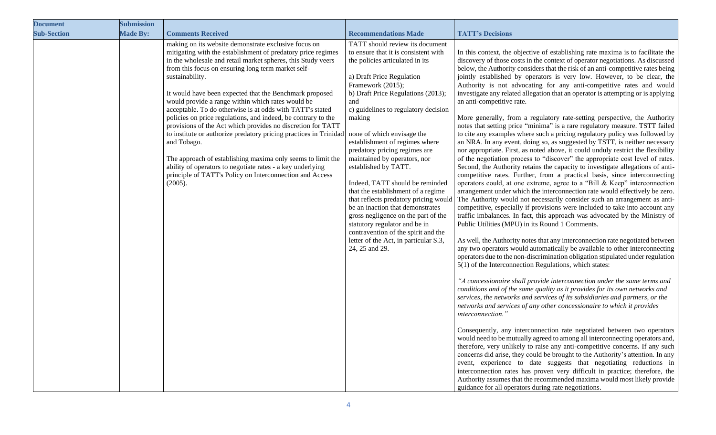| <b>Document</b>    | <b>Submission</b> |                                                                                                                                                                                                                                                                                                                                                                                                                                                                                                                                                                                                                                                                                                                                                                                                                                                                    |                                                                                                                                                                                                                                                                                                                                                                                                                                                                                                                                                                                                                                                                                                             |                                                                                                                                                                                                                                                                                                                                                                                                                                                                                                                                                                                                                                                                                                                                                                                                                                                                                                                                                                                                                                                                                                                                                                                                                                                                                                                                                                                                                                                                                                                                                                                                                                                                                                                                                                                                                                                                                                                                                                                                                                                                                                                                                                                                                                                                                                                                                                                                                                                                                                                                                                                                                                                                                                                                                                                                                                                                                                                                                                   |
|--------------------|-------------------|--------------------------------------------------------------------------------------------------------------------------------------------------------------------------------------------------------------------------------------------------------------------------------------------------------------------------------------------------------------------------------------------------------------------------------------------------------------------------------------------------------------------------------------------------------------------------------------------------------------------------------------------------------------------------------------------------------------------------------------------------------------------------------------------------------------------------------------------------------------------|-------------------------------------------------------------------------------------------------------------------------------------------------------------------------------------------------------------------------------------------------------------------------------------------------------------------------------------------------------------------------------------------------------------------------------------------------------------------------------------------------------------------------------------------------------------------------------------------------------------------------------------------------------------------------------------------------------------|-------------------------------------------------------------------------------------------------------------------------------------------------------------------------------------------------------------------------------------------------------------------------------------------------------------------------------------------------------------------------------------------------------------------------------------------------------------------------------------------------------------------------------------------------------------------------------------------------------------------------------------------------------------------------------------------------------------------------------------------------------------------------------------------------------------------------------------------------------------------------------------------------------------------------------------------------------------------------------------------------------------------------------------------------------------------------------------------------------------------------------------------------------------------------------------------------------------------------------------------------------------------------------------------------------------------------------------------------------------------------------------------------------------------------------------------------------------------------------------------------------------------------------------------------------------------------------------------------------------------------------------------------------------------------------------------------------------------------------------------------------------------------------------------------------------------------------------------------------------------------------------------------------------------------------------------------------------------------------------------------------------------------------------------------------------------------------------------------------------------------------------------------------------------------------------------------------------------------------------------------------------------------------------------------------------------------------------------------------------------------------------------------------------------------------------------------------------------------------------------------------------------------------------------------------------------------------------------------------------------------------------------------------------------------------------------------------------------------------------------------------------------------------------------------------------------------------------------------------------------------------------------------------------------------------------------------------------------|
| <b>Sub-Section</b> | <b>Made By:</b>   | <b>Comments Received</b>                                                                                                                                                                                                                                                                                                                                                                                                                                                                                                                                                                                                                                                                                                                                                                                                                                           | <b>Recommendations Made</b>                                                                                                                                                                                                                                                                                                                                                                                                                                                                                                                                                                                                                                                                                 | <b>TATT's Decisions</b>                                                                                                                                                                                                                                                                                                                                                                                                                                                                                                                                                                                                                                                                                                                                                                                                                                                                                                                                                                                                                                                                                                                                                                                                                                                                                                                                                                                                                                                                                                                                                                                                                                                                                                                                                                                                                                                                                                                                                                                                                                                                                                                                                                                                                                                                                                                                                                                                                                                                                                                                                                                                                                                                                                                                                                                                                                                                                                                                           |
|                    |                   | making on its website demonstrate exclusive focus on<br>mitigating with the establishment of predatory price regimes<br>in the wholesale and retail market spheres, this Study veers<br>from this focus on ensuring long term market self-<br>sustainability.<br>It would have been expected that the Benchmark proposed<br>would provide a range within which rates would be<br>acceptable. To do otherwise is at odds with TATT's stated<br>policies on price regulations, and indeed, be contrary to the<br>provisions of the Act which provides no discretion for TATT<br>to institute or authorize predatory pricing practices in Trinidad<br>and Tobago.<br>The approach of establishing maxima only seems to limit the<br>ability of operators to negotiate rates - a key underlying<br>principle of TATT's Policy on Interconnection and Access<br>(2005). | TATT should review its document<br>to ensure that it is consistent with<br>the policies articulated in its<br>a) Draft Price Regulation<br>Framework (2015);<br>b) Draft Price Regulations (2013);<br>and<br>c) guidelines to regulatory decision<br>making<br>none of which envisage the<br>establishment of regimes where<br>predatory pricing regimes are<br>maintained by operators, nor<br>established by TATT.<br>Indeed, TATT should be reminded<br>that the establishment of a regime<br>be an inaction that demonstrates<br>gross negligence on the part of the<br>statutory regulator and be in<br>contravention of the spirit and the<br>letter of the Act, in particular S.3,<br>24, 25 and 29. | In this context, the objective of establishing rate maxima is to facilitate the<br>discovery of those costs in the context of operator negotiations. As discussed<br>below, the Authority considers that the risk of an anti-competitive rates being<br>jointly established by operators is very low. However, to be clear, the<br>Authority is not advocating for any anti-competitive rates and would<br>investigate any related allegation that an operator is attempting or is applying<br>an anti-competitive rate.<br>More generally, from a regulatory rate-setting perspective, the Authority<br>notes that setting price "minima" is a rare regulatory measure. TSTT failed<br>to cite any examples where such a pricing regulatory policy was followed by<br>an NRA. In any event, doing so, as suggested by TSTT, is neither necessary<br>nor appropriate. First, as noted above, it could unduly restrict the flexibility<br>of the negotiation process to "discover" the appropriate cost level of rates.<br>Second, the Authority retains the capacity to investigate allegations of anti-<br>competitive rates. Further, from a practical basis, since interconnecting<br>operators could, at one extreme, agree to a "Bill & Keep" interconnection<br>arrangement under which the interconnection rate would effectively be zero.<br>that reflects predatory pricing would The Authority would not necessarily consider such an arrangement as anti-<br>competitive, especially if provisions were included to take into account any<br>traffic imbalances. In fact, this approach was advocated by the Ministry of<br>Public Utilities (MPU) in its Round 1 Comments.<br>As well, the Authority notes that any interconnection rate negotiated between<br>any two operators would automatically be available to other interconnecting<br>operators due to the non-discrimination obligation stipulated under regulation<br>$5(1)$ of the Interconnection Regulations, which states:<br>"A concessionaire shall provide interconnection under the same terms and<br>conditions and of the same quality as it provides for its own networks and<br>services, the networks and services of its subsidiaries and partners, or the<br>networks and services of any other concessionaire to which it provides<br>interconnection."<br>Consequently, any interconnection rate negotiated between two operators<br>would need to be mutually agreed to among all interconnecting operators and,<br>therefore, very unlikely to raise any anti-competitive concerns. If any such<br>concerns did arise, they could be brought to the Authority's attention. In any<br>event, experience to date suggests that negotiating reductions in<br>interconnection rates has proven very difficult in practice; therefore, the<br>Authority assumes that the recommended maxima would most likely provide<br>guidance for all operators during rate negotiations. |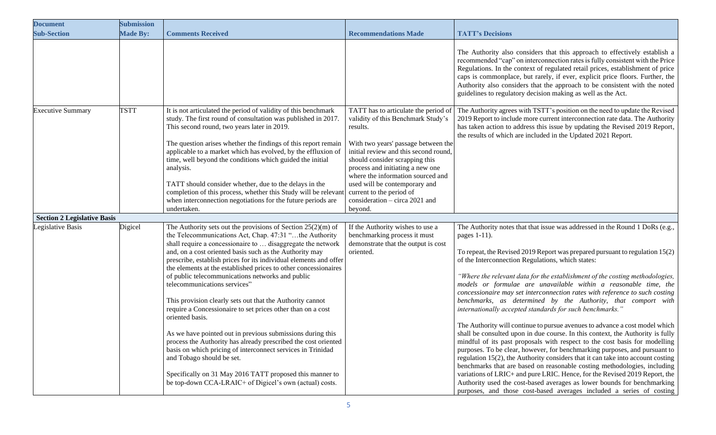| <b>Document</b>                    | <b>Submission</b> |                                                                                                                                                                                                                                                                                                                                                                                                                                                                                                                                                                                                                                                                                                                                                                                                                                                                                                                                                                                  |                                                                                                                                                                                                                                                                                                                                                                                             |                                                                                                                                                                                                                                                                                                                                                                                                                                                                                                                                                                                                                                                                                                                                                                                                                                                                                                                                                                                                                                                                                                                                                                                                                                                                                                                                   |
|------------------------------------|-------------------|----------------------------------------------------------------------------------------------------------------------------------------------------------------------------------------------------------------------------------------------------------------------------------------------------------------------------------------------------------------------------------------------------------------------------------------------------------------------------------------------------------------------------------------------------------------------------------------------------------------------------------------------------------------------------------------------------------------------------------------------------------------------------------------------------------------------------------------------------------------------------------------------------------------------------------------------------------------------------------|---------------------------------------------------------------------------------------------------------------------------------------------------------------------------------------------------------------------------------------------------------------------------------------------------------------------------------------------------------------------------------------------|-----------------------------------------------------------------------------------------------------------------------------------------------------------------------------------------------------------------------------------------------------------------------------------------------------------------------------------------------------------------------------------------------------------------------------------------------------------------------------------------------------------------------------------------------------------------------------------------------------------------------------------------------------------------------------------------------------------------------------------------------------------------------------------------------------------------------------------------------------------------------------------------------------------------------------------------------------------------------------------------------------------------------------------------------------------------------------------------------------------------------------------------------------------------------------------------------------------------------------------------------------------------------------------------------------------------------------------|
| <b>Sub-Section</b>                 | <b>Made By:</b>   | <b>Comments Received</b>                                                                                                                                                                                                                                                                                                                                                                                                                                                                                                                                                                                                                                                                                                                                                                                                                                                                                                                                                         | <b>Recommendations Made</b>                                                                                                                                                                                                                                                                                                                                                                 | <b>TATT's Decisions</b>                                                                                                                                                                                                                                                                                                                                                                                                                                                                                                                                                                                                                                                                                                                                                                                                                                                                                                                                                                                                                                                                                                                                                                                                                                                                                                           |
|                                    |                   |                                                                                                                                                                                                                                                                                                                                                                                                                                                                                                                                                                                                                                                                                                                                                                                                                                                                                                                                                                                  |                                                                                                                                                                                                                                                                                                                                                                                             | The Authority also considers that this approach to effectively establish a<br>recommended "cap" on interconnection rates is fully consistent with the Price<br>Regulations. In the context of regulated retail prices, establishment of price<br>caps is commonplace, but rarely, if ever, explicit price floors. Further, the<br>Authority also considers that the approach to be consistent with the noted<br>guidelines to regulatory decision making as well as the Act.                                                                                                                                                                                                                                                                                                                                                                                                                                                                                                                                                                                                                                                                                                                                                                                                                                                      |
| <b>Executive Summary</b>           | <b>TSTT</b>       | It is not articulated the period of validity of this benchmark<br>study. The first round of consultation was published in 2017.<br>This second round, two years later in 2019.<br>The question arises whether the findings of this report remain<br>applicable to a market which has evolved, by the effluxion of<br>time, well beyond the conditions which guided the initial<br>analysis.<br>TATT should consider whether, due to the delays in the<br>completion of this process, whether this Study will be relevant<br>when interconnection negotiations for the future periods are<br>undertaken.                                                                                                                                                                                                                                                                                                                                                                          | TATT has to articulate the period of<br>validity of this Benchmark Study's<br>results.<br>With two years' passage between the<br>initial review and this second round,<br>should consider scrapping this<br>process and initiating a new one<br>where the information sourced and<br>used will be contemporary and<br>current to the period of<br>consideration - circa 2021 and<br>beyond. | The Authority agrees with TSTT's position on the need to update the Revised<br>2019 Report to include more current interconnection rate data. The Authority<br>has taken action to address this issue by updating the Revised 2019 Report,<br>the results of which are included in the Updated 2021 Report.                                                                                                                                                                                                                                                                                                                                                                                                                                                                                                                                                                                                                                                                                                                                                                                                                                                                                                                                                                                                                       |
| <b>Section 2 Legislative Basis</b> |                   |                                                                                                                                                                                                                                                                                                                                                                                                                                                                                                                                                                                                                                                                                                                                                                                                                                                                                                                                                                                  |                                                                                                                                                                                                                                                                                                                                                                                             |                                                                                                                                                                                                                                                                                                                                                                                                                                                                                                                                                                                                                                                                                                                                                                                                                                                                                                                                                                                                                                                                                                                                                                                                                                                                                                                                   |
| Legislative Basis                  | Digicel           | The Authority sets out the provisions of Section $25(2)(m)$ of<br>the Telecommunications Act, Chap. 47:31 "the Authority<br>shall require a concessionaire to  disaggregate the network<br>and, on a cost oriented basis such as the Authority may<br>prescribe, establish prices for its individual elements and offer<br>the elements at the established prices to other concessionaires<br>of public telecommunications networks and public<br>telecommunications services"<br>This provision clearly sets out that the Authority cannot<br>require a Concessionaire to set prices other than on a cost<br>oriented basis.<br>As we have pointed out in previous submissions during this<br>process the Authority has already prescribed the cost oriented<br>basis on which pricing of interconnect services in Trinidad<br>and Tobago should be set.<br>Specifically on 31 May 2016 TATT proposed this manner to<br>be top-down CCA-LRAIC+ of Digicel's own (actual) costs. | If the Authority wishes to use a<br>benchmarking process it must<br>demonstrate that the output is cost<br>oriented.                                                                                                                                                                                                                                                                        | The Authority notes that that issue was addressed in the Round 1 DoRs (e.g.,<br>pages 1-11).<br>To repeat, the Revised 2019 Report was prepared pursuant to regulation 15(2)<br>of the Interconnection Regulations, which states:<br>"Where the relevant data for the establishment of the costing methodologies,<br>models or formulae are unavailable within a reasonable time, the<br>concessionaire may set interconnection rates with reference to such costing<br>benchmarks, as determined by the Authority, that comport with<br>internationally accepted standards for such benchmarks."<br>The Authority will continue to pursue avenues to advance a cost model which<br>shall be consulted upon in due course. In this context, the Authority is fully<br>mindful of its past proposals with respect to the cost basis for modelling<br>purposes. To be clear, however, for benchmarking purposes, and pursuant to<br>regulation $15(2)$ , the Authority considers that it can take into account costing<br>benchmarks that are based on reasonable costing methodologies, including<br>variations of LRIC+ and pure LRIC. Hence, for the Revised 2019 Report, the<br>Authority used the cost-based averages as lower bounds for benchmarking<br>purposes, and those cost-based averages included a series of costing |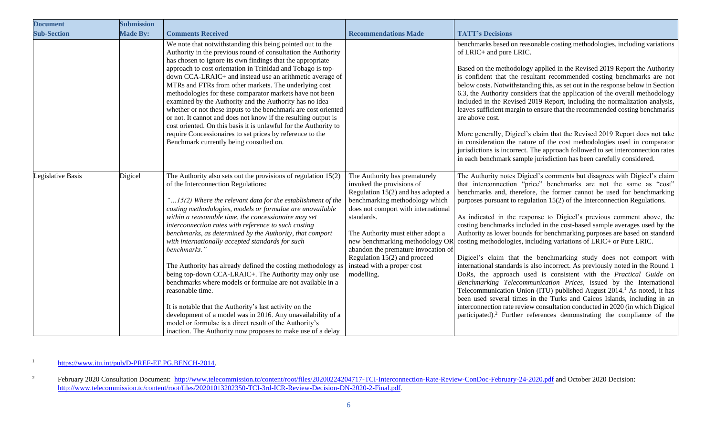| <b>Document</b>    | <b>Submission</b> |                                                                                                                                                                                                                                                                                                                                                                                                                                                                                                                                                                                                                                                                                                                                                                                                                                                                                                                                                       |                                                                                                                                                                                                                                                                                                                                                                                        |                                                                                                                                                                                                                                                                                                                                                                                                                                                                                                                                                                                                                                                                                                                                                                                                                                                                                                                                                                                                                                                                                                                                                                                                                                                         |
|--------------------|-------------------|-------------------------------------------------------------------------------------------------------------------------------------------------------------------------------------------------------------------------------------------------------------------------------------------------------------------------------------------------------------------------------------------------------------------------------------------------------------------------------------------------------------------------------------------------------------------------------------------------------------------------------------------------------------------------------------------------------------------------------------------------------------------------------------------------------------------------------------------------------------------------------------------------------------------------------------------------------|----------------------------------------------------------------------------------------------------------------------------------------------------------------------------------------------------------------------------------------------------------------------------------------------------------------------------------------------------------------------------------------|---------------------------------------------------------------------------------------------------------------------------------------------------------------------------------------------------------------------------------------------------------------------------------------------------------------------------------------------------------------------------------------------------------------------------------------------------------------------------------------------------------------------------------------------------------------------------------------------------------------------------------------------------------------------------------------------------------------------------------------------------------------------------------------------------------------------------------------------------------------------------------------------------------------------------------------------------------------------------------------------------------------------------------------------------------------------------------------------------------------------------------------------------------------------------------------------------------------------------------------------------------|
| <b>Sub-Section</b> | <b>Made By:</b>   | <b>Comments Received</b>                                                                                                                                                                                                                                                                                                                                                                                                                                                                                                                                                                                                                                                                                                                                                                                                                                                                                                                              | <b>Recommendations Made</b>                                                                                                                                                                                                                                                                                                                                                            | <b>TATT's Decisions</b>                                                                                                                                                                                                                                                                                                                                                                                                                                                                                                                                                                                                                                                                                                                                                                                                                                                                                                                                                                                                                                                                                                                                                                                                                                 |
|                    |                   | We note that notwithstanding this being pointed out to the<br>Authority in the previous round of consultation the Authority<br>has chosen to ignore its own findings that the appropriate<br>approach to cost orientation in Trinidad and Tobago is top-<br>down CCA-LRAIC+ and instead use an arithmetic average of<br>MTRs and FTRs from other markets. The underlying cost<br>methodologies for these comparator markets have not been<br>examined by the Authority and the Authority has no idea<br>whether or not these inputs to the benchmark are cost oriented<br>or not. It cannot and does not know if the resulting output is<br>cost oriented. On this basis it is unlawful for the Authority to<br>require Concessionaires to set prices by reference to the<br>Benchmark currently being consulted on.                                                                                                                                  |                                                                                                                                                                                                                                                                                                                                                                                        | benchmarks based on reasonable costing methodologies, including variations<br>of LRIC+ and pure LRIC.<br>Based on the methodology applied in the Revised 2019 Report the Authority<br>is confident that the resultant recommended costing benchmarks are not<br>below costs. Notwithstanding this, as set out in the response below in Section<br>6.3, the Authority considers that the application of the overall methodology<br>included in the Revised 2019 Report, including the normalization analysis,<br>leaves sufficient margin to ensure that the recommended costing benchmarks<br>are above cost.<br>More generally, Digicel's claim that the Revised 2019 Report does not take<br>in consideration the nature of the cost methodologies used in comparator<br>jurisdictions is incorrect. The approach followed to set interconnection rates<br>in each benchmark sample jurisdiction has been carefully considered.                                                                                                                                                                                                                                                                                                                       |
| Legislative Basis  | Digicel           | The Authority also sets out the provisions of regulation $15(2)$<br>of the Interconnection Regulations:<br>" $15(2)$ Where the relevant data for the establishment of the<br>costing methodologies, models or formulae are unavailable<br>within a reasonable time, the concessionaire may set<br>interconnection rates with reference to such costing<br>benchmarks, as determined by the Authority, that comport<br>with internationally accepted standards for such<br>benchmarks.'<br>The Authority has already defined the costing methodology as<br>being top-down CCA-LRAIC+. The Authority may only use<br>benchmarks where models or formulae are not available in a<br>reasonable time.<br>It is notable that the Authority's last activity on the<br>development of a model was in 2016. Any unavailability of a<br>model or formulae is a direct result of the Authority's<br>inaction. The Authority now proposes to make use of a delay | The Authority has prematurely<br>invoked the provisions of<br>Regulation $15(2)$ and has adopted a<br>benchmarking methodology which<br>does not comport with international<br>standards.<br>The Authority must either adopt a<br>new benchmarking methodology OR<br>abandon the premature invocation of<br>Regulation $15(2)$ and proceed<br>instead with a proper cost<br>modelling. | The Authority notes Digicel's comments but disagrees with Digicel's claim<br>that interconnection "price" benchmarks are not the same as "cost"<br>benchmarks and, therefore, the former cannot be used for benchmarking<br>purposes pursuant to regulation 15(2) of the Interconnection Regulations.<br>As indicated in the response to Digicel's previous comment above, the<br>costing benchmarks included in the cost-based sample averages used by the<br>Authority as lower bounds for benchmarking purposes are based on standard<br>costing methodologies, including variations of LRIC+ or Pure LRIC.<br>Digicel's claim that the benchmarking study does not comport with<br>international standards is also incorrect. As previously noted in the Round 1<br>DoRs, the approach used is consistent with the Practical Guide on<br>Benchmarking Telecommunication Prices, issued by the International<br>Telecommunication Union (ITU) published August 2014. <sup>1</sup> As noted, it has<br>been used several times in the Turks and Caicos Islands, including in an<br>interconnection rate review consultation conducted in 2020 (in which Digicel<br>participated). <sup>2</sup> Further references demonstrating the compliance of the |

<sup>&</sup>lt;sup>1</sup> [https://www.itu.int/pub/D-PREF-EF.PG.BENCH-2014.](https://www.itu.int/pub/D-PREF-EF.PG.BENCH-2014)

<sup>&</sup>lt;sup>2</sup> February 2020 Consultation Document: <http://www.telecommission.tc/content/root/files/20200224204717-TCI-Interconnection-Rate-Review-ConDoc-February-24-2020.pdf> and October 2020 Decision: [http://www.telecommission.tc/content/root/files/20201013202350-TCI-3rd-ICR-Review-Decision-DN-2020-2-Final.pdf.](http://www.telecommission.tc/content/root/files/20201013202350-TCI-3rd-ICR-Review-Decision-DN-2020-2-Final.pdf)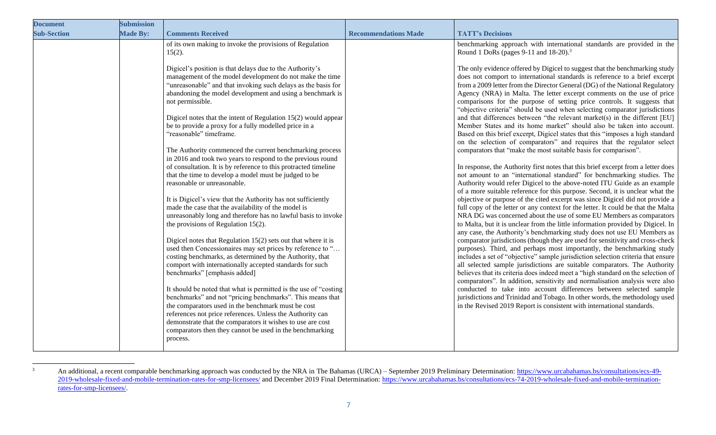| <b>Document</b>    | <b>Submission</b> |                                                                                                                                                                                                                                                                                                                                                                                        |                             |                                                                                                                                                                                                                                                                                                                                                                                                                                                                                                                                                              |
|--------------------|-------------------|----------------------------------------------------------------------------------------------------------------------------------------------------------------------------------------------------------------------------------------------------------------------------------------------------------------------------------------------------------------------------------------|-----------------------------|--------------------------------------------------------------------------------------------------------------------------------------------------------------------------------------------------------------------------------------------------------------------------------------------------------------------------------------------------------------------------------------------------------------------------------------------------------------------------------------------------------------------------------------------------------------|
| <b>Sub-Section</b> | <b>Made By:</b>   | <b>Comments Received</b>                                                                                                                                                                                                                                                                                                                                                               | <b>Recommendations Made</b> | <b>TATT's Decisions</b>                                                                                                                                                                                                                                                                                                                                                                                                                                                                                                                                      |
|                    |                   | of its own making to invoke the provisions of Regulation<br>$15(2)$ .                                                                                                                                                                                                                                                                                                                  |                             | benchmarking approach with international standards are provided in the<br>Round 1 DoRs (pages 9-11 and $18-20$ ). <sup>3</sup>                                                                                                                                                                                                                                                                                                                                                                                                                               |
|                    |                   | Digicel's position is that delays due to the Authority's<br>management of the model development do not make the time<br>"unreasonable" and that invoking such delays as the basis for<br>abandoning the model development and using a benchmark is<br>not permissible.<br>Digicel notes that the intent of Regulation 15(2) would appear                                               |                             | The only evidence offered by Digicel to suggest that the benchmarking study<br>does not comport to international standards is reference to a brief excerpt<br>from a 2009 letter from the Director General (DG) of the National Regulatory<br>Agency (NRA) in Malta. The letter excerpt comments on the use of price<br>comparisons for the purpose of setting price controls. It suggests that<br>"objective criteria" should be used when selecting comparator jurisdictions<br>and that differences between "the relevant market(s) in the different [EU] |
|                    |                   | be to provide a proxy for a fully modelled price in a<br>"reasonable" timeframe.                                                                                                                                                                                                                                                                                                       |                             | Member States and its home market" should also be taken into account.<br>Based on this brief excerpt, Digicel states that this "imposes a high standard<br>on the selection of comparators" and requires that the regulator select                                                                                                                                                                                                                                                                                                                           |
|                    |                   | The Authority commenced the current benchmarking process<br>in 2016 and took two years to respond to the previous round<br>of consultation. It is by reference to this protracted timeline                                                                                                                                                                                             |                             | comparators that "make the most suitable basis for comparison".<br>In response, the Authority first notes that this brief excerpt from a letter does                                                                                                                                                                                                                                                                                                                                                                                                         |
|                    |                   | that the time to develop a model must be judged to be<br>reasonable or unreasonable.                                                                                                                                                                                                                                                                                                   |                             | not amount to an "international standard" for benchmarking studies. The<br>Authority would refer Digicel to the above-noted ITU Guide as an example<br>of a more suitable reference for this purpose. Second, it is unclear what the                                                                                                                                                                                                                                                                                                                         |
|                    |                   | It is Digicel's view that the Authority has not sufficiently<br>made the case that the availability of the model is<br>unreasonably long and therefore has no lawful basis to invoke<br>the provisions of Regulation $15(2)$ .                                                                                                                                                         |                             | objective or purpose of the cited excerpt was since Digicel did not provide a<br>full copy of the letter or any context for the letter. It could be that the Malta<br>NRA DG was concerned about the use of some EU Members as comparators<br>to Malta, but it is unclear from the little information provided by Digicel. In<br>any case, the Authority's benchmarking study does not use EU Members as                                                                                                                                                     |
|                    |                   | Digicel notes that Regulation $15(2)$ sets out that where it is<br>used then Concessionaires may set prices by reference to "<br>costing benchmarks, as determined by the Authority, that<br>comport with internationally accepted standards for such<br>benchmarks" [emphasis added]                                                                                                  |                             | comparator jurisdictions (though they are used for sensitivity and cross-check<br>purposes). Third, and perhaps most importantly, the benchmarking study<br>includes a set of "objective" sample jurisdiction selection criteria that ensure<br>all selected sample jurisdictions are suitable comparators. The Authority<br>believes that its criteria does indeed meet a "high standard on the selection of<br>comparators". In addition, sensitivity and normalisation analysis were also                                                                 |
|                    |                   | It should be noted that what is permitted is the use of "costing<br>benchmarks" and not "pricing benchmarks". This means that<br>the comparators used in the benchmark must be cost<br>references not price references. Unless the Authority can<br>demonstrate that the comparators it wishes to use are cost<br>comparators then they cannot be used in the benchmarking<br>process. |                             | conducted to take into account differences between selected sample<br>jurisdictions and Trinidad and Tobago. In other words, the methodology used<br>in the Revised 2019 Report is consistent with international standards.                                                                                                                                                                                                                                                                                                                                  |

<sup>&</sup>lt;sup>3</sup> An additional, a recent comparable benchmarking approach was conducted by the NRA in The Bahamas (URCA) – September 2019 Preliminary Determination: [https://www.urcabahamas.bs/consultations/ecs-49-](https://www.urcabahamas.bs/consultations/ecs-49-2019-wholesale-fixed-and-mobile-termination-rates-for-smp-licensees/) [2019-wholesale-fixed-and-mobile-termination-rates-for-smp-licensees/](https://www.urcabahamas.bs/consultations/ecs-49-2019-wholesale-fixed-and-mobile-termination-rates-for-smp-licensees/) and December 2019 Final Determination: [https://www.urcabahamas.bs/consultations/ecs-74-2019-wholesale-fixed-and-mobile-termination](https://www.urcabahamas.bs/consultations/ecs-74-2019-wholesale-fixed-and-mobile-termination-rates-for-smp-licensees/)[rates-for-smp-licensees/.](https://www.urcabahamas.bs/consultations/ecs-74-2019-wholesale-fixed-and-mobile-termination-rates-for-smp-licensees/)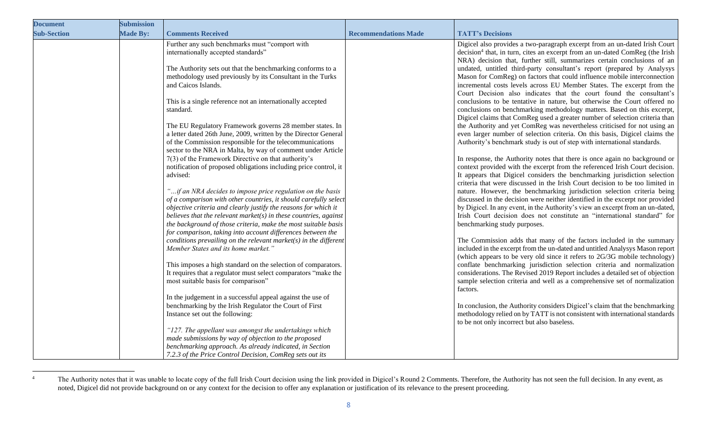| <b>Document</b>    | <b>Submission</b> |                                                                                                                                                                                                   |                             |                                                                                                                                                                                                                                            |
|--------------------|-------------------|---------------------------------------------------------------------------------------------------------------------------------------------------------------------------------------------------|-----------------------------|--------------------------------------------------------------------------------------------------------------------------------------------------------------------------------------------------------------------------------------------|
| <b>Sub-Section</b> | <b>Made By:</b>   | <b>Comments Received</b>                                                                                                                                                                          | <b>Recommendations Made</b> | <b>TATT's Decisions</b>                                                                                                                                                                                                                    |
|                    |                   | Further any such benchmarks must "comport with<br>internationally accepted standards"                                                                                                             |                             | Digicel also provides a two-paragraph excerpt from an un-dated Irish Court<br>decision <sup>4</sup> that, in turn, cites an excerpt from an un-dated ComReg (the Irish                                                                     |
|                    |                   | The Authority sets out that the benchmarking conforms to a<br>methodology used previously by its Consultant in the Turks                                                                          |                             | NRA) decision that, further still, summarizes certain conclusions of an<br>undated, untitled third-party consultant's report (prepared by Analysys<br>Mason for ComReg) on factors that could influence mobile interconnection             |
|                    |                   | and Caicos Islands.                                                                                                                                                                               |                             | incremental costs levels across EU Member States. The excerpt from the<br>Court Decision also indicates that the court found the consultant's                                                                                              |
|                    |                   | This is a single reference not an internationally accepted<br>standard.                                                                                                                           |                             | conclusions to be tentative in nature, but otherwise the Court offered no<br>conclusions on benchmarking methodology matters. Based on this excerpt,                                                                                       |
|                    |                   | The EU Regulatory Framework governs 28 member states. In                                                                                                                                          |                             | Digicel claims that ComReg used a greater number of selection criteria than<br>the Authority and yet ComReg was nevertheless criticised for not using an                                                                                   |
|                    |                   | a letter dated 26th June, 2009, written by the Director General<br>of the Commission responsible for the telecommunications<br>sector to the NRA in Malta, by way of comment under Article        |                             | even larger number of selection criteria. On this basis, Digicel claims the<br>Authority's benchmark study is out of step with international standards.                                                                                    |
|                    |                   | $7(3)$ of the Framework Directive on that authority's<br>notification of proposed obligations including price control, it                                                                         |                             | In response, the Authority notes that there is once again no background or<br>context provided with the excerpt from the referenced Irish Court decision.                                                                                  |
|                    |                   | advised:                                                                                                                                                                                          |                             | It appears that Digicel considers the benchmarking jurisdiction selection<br>criteria that were discussed in the Irish Court decision to be too limited in                                                                                 |
|                    |                   | "if an NRA decides to impose price regulation on the basis<br>of a comparison with other countries, it should carefully select<br>objective criteria and clearly justify the reasons for which it |                             | nature. However, the benchmarking jurisdiction selection criteria being<br>discussed in the decision were neither identified in the excerpt nor provided<br>by Digicel. In any event, in the Authority's view an excerpt from an un-dated, |
|                    |                   | believes that the relevant market( $s$ ) in these countries, against<br>the background of those criteria, make the most suitable basis                                                            |                             | Irish Court decision does not constitute an "international standard" for<br>benchmarking study purposes.                                                                                                                                   |
|                    |                   | for comparison, taking into account differences between the<br>conditions prevailing on the relevant market( $s$ ) in the different<br>Member States and its home market."                        |                             | The Commission adds that many of the factors included in the summary<br>included in the excerpt from the un-dated and untitled Analysys Mason report                                                                                       |
|                    |                   | This imposes a high standard on the selection of comparators.                                                                                                                                     |                             | (which appears to be very old since it refers to 2G/3G mobile technology)<br>conflate benchmarking jurisdiction selection criteria and normalization                                                                                       |
|                    |                   | It requires that a regulator must select comparators "make the<br>most suitable basis for comparison"                                                                                             |                             | considerations. The Revised 2019 Report includes a detailed set of objection<br>sample selection criteria and well as a comprehensive set of normalization                                                                                 |
|                    |                   | In the judgement in a successful appeal against the use of<br>benchmarking by the Irish Regulator the Court of First                                                                              |                             | factors.<br>In conclusion, the Authority considers Digicel's claim that the benchmarking                                                                                                                                                   |
|                    |                   | Instance set out the following:                                                                                                                                                                   |                             | methodology relied on by TATT is not consistent with international standards<br>to be not only incorrect but also baseless.                                                                                                                |
|                    |                   | "127. The appellant was amongst the undertakings which<br>made submissions by way of objection to the proposed                                                                                    |                             |                                                                                                                                                                                                                                            |
|                    |                   | benchmarking approach. As already indicated, in Section<br>7.2.3 of the Price Control Decision, ComReg sets out its                                                                               |                             |                                                                                                                                                                                                                                            |

<sup>&</sup>lt;sup>4</sup> The Authority notes that it was unable to locate copy of the full Irish Court decision using the link provided in Digicel's Round 2 Comments. Therefore, the Authority has not seen the full decision. In any event, as noted, Digicel did not provide background on or any context for the decision to offer any explanation or justification of its relevance to the present proceeding.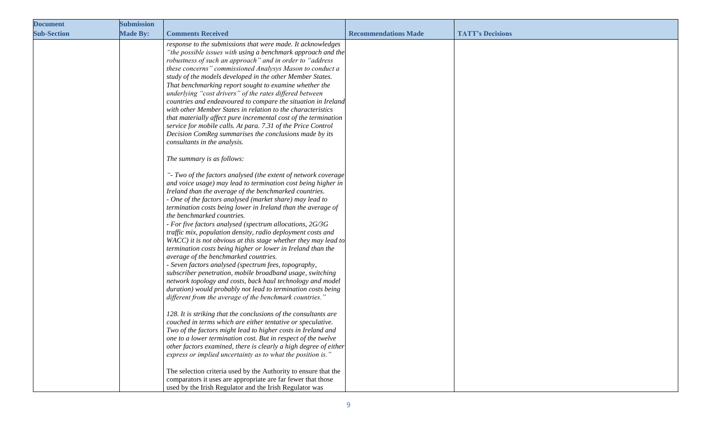| <b>Document</b>    | <b>Submission</b> |                                                                                                                                                                                                                                                                                                                                                                                                                                                                                                                                                                                                                                                                                                                                                                                                                                                                                                                                                                                                                                                                                                                                                                                                                                                                                                                                                                                                                                                                                                                                                                                                                                                                                                                                                                                                                                                                                                                                                                                                                                                                                                                                                                                                                                                                                                                                                     |                             |                         |
|--------------------|-------------------|-----------------------------------------------------------------------------------------------------------------------------------------------------------------------------------------------------------------------------------------------------------------------------------------------------------------------------------------------------------------------------------------------------------------------------------------------------------------------------------------------------------------------------------------------------------------------------------------------------------------------------------------------------------------------------------------------------------------------------------------------------------------------------------------------------------------------------------------------------------------------------------------------------------------------------------------------------------------------------------------------------------------------------------------------------------------------------------------------------------------------------------------------------------------------------------------------------------------------------------------------------------------------------------------------------------------------------------------------------------------------------------------------------------------------------------------------------------------------------------------------------------------------------------------------------------------------------------------------------------------------------------------------------------------------------------------------------------------------------------------------------------------------------------------------------------------------------------------------------------------------------------------------------------------------------------------------------------------------------------------------------------------------------------------------------------------------------------------------------------------------------------------------------------------------------------------------------------------------------------------------------------------------------------------------------------------------------------------------------|-----------------------------|-------------------------|
| <b>Sub-Section</b> | <b>Made By:</b>   | <b>Comments Received</b>                                                                                                                                                                                                                                                                                                                                                                                                                                                                                                                                                                                                                                                                                                                                                                                                                                                                                                                                                                                                                                                                                                                                                                                                                                                                                                                                                                                                                                                                                                                                                                                                                                                                                                                                                                                                                                                                                                                                                                                                                                                                                                                                                                                                                                                                                                                            | <b>Recommendations Made</b> | <b>TATT's Decisions</b> |
|                    |                   | response to the submissions that were made. It acknowledges<br>"the possible issues with using a benchmark approach and the<br>robustness of such an approach" and in order to "address<br>these concerns" commissioned Analysys Mason to conduct a<br>study of the models developed in the other Member States.<br>That benchmarking report sought to examine whether the<br>underlying "cost drivers" of the rates differed between<br>countries and endeavoured to compare the situation in Ireland<br>with other Member States in relation to the characteristics<br>that materially affect pure incremental cost of the termination<br>service for mobile calls. At para. 7.31 of the Price Control<br>Decision ComReg summarises the conclusions made by its<br>consultants in the analysis.<br>The summary is as follows:<br>"- Two of the factors analysed (the extent of network coverage<br>and voice usage) may lead to termination cost being higher in<br>Ireland than the average of the benchmarked countries.<br>- One of the factors analysed (market share) may lead to<br>termination costs being lower in Ireland than the average of<br>the benchmarked countries.<br>- For five factors analysed (spectrum allocations, 2G/3G<br>traffic mix, population density, radio deployment costs and<br>WACC) it is not obvious at this stage whether they may lead to<br>termination costs being higher or lower in Ireland than the<br>average of the benchmarked countries.<br>- Seven factors analysed (spectrum fees, topography,<br>subscriber penetration, mobile broadband usage, switching<br>network topology and costs, back haul technology and model<br>duration) would probably not lead to termination costs being<br>different from the average of the benchmark countries."<br>128. It is striking that the conclusions of the consultants are<br>couched in terms which are either tentative or speculative.<br>Two of the factors might lead to higher costs in Ireland and<br>one to a lower termination cost. But in respect of the twelve<br>other factors examined, there is clearly a high degree of either<br>express or implied uncertainty as to what the position is."<br>The selection criteria used by the Authority to ensure that the<br>comparators it uses are appropriate are far fewer that those |                             |                         |
|                    |                   | used by the Irish Regulator and the Irish Regulator was                                                                                                                                                                                                                                                                                                                                                                                                                                                                                                                                                                                                                                                                                                                                                                                                                                                                                                                                                                                                                                                                                                                                                                                                                                                                                                                                                                                                                                                                                                                                                                                                                                                                                                                                                                                                                                                                                                                                                                                                                                                                                                                                                                                                                                                                                             |                             |                         |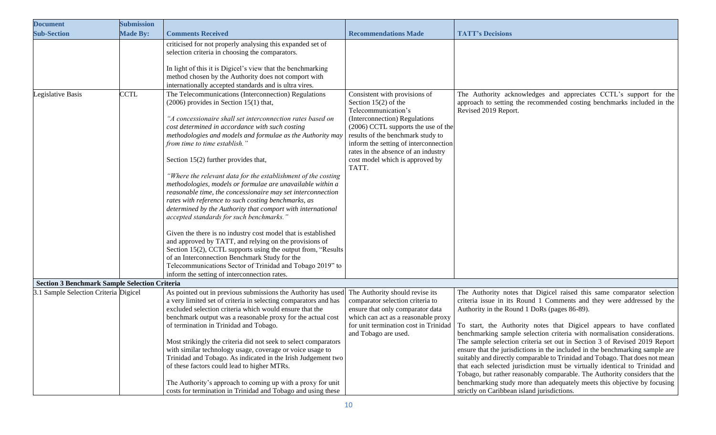| <b>Document</b>                                      | <b>Submission</b> |                                                                                                                                                                                                                                                                                                                                                                                                                                                                                                                                                                                                                                                                                                                                                                                                                                                                                                                                                                                                                                                                                   |                                                                                                                                                                                                                                                                                                                         |                                                                                                                                                                                                                                                                                                                                                                                                                                                                                                                                                                                                                                                                                                                                                                                                                                                                                          |
|------------------------------------------------------|-------------------|-----------------------------------------------------------------------------------------------------------------------------------------------------------------------------------------------------------------------------------------------------------------------------------------------------------------------------------------------------------------------------------------------------------------------------------------------------------------------------------------------------------------------------------------------------------------------------------------------------------------------------------------------------------------------------------------------------------------------------------------------------------------------------------------------------------------------------------------------------------------------------------------------------------------------------------------------------------------------------------------------------------------------------------------------------------------------------------|-------------------------------------------------------------------------------------------------------------------------------------------------------------------------------------------------------------------------------------------------------------------------------------------------------------------------|------------------------------------------------------------------------------------------------------------------------------------------------------------------------------------------------------------------------------------------------------------------------------------------------------------------------------------------------------------------------------------------------------------------------------------------------------------------------------------------------------------------------------------------------------------------------------------------------------------------------------------------------------------------------------------------------------------------------------------------------------------------------------------------------------------------------------------------------------------------------------------------|
| <b>Sub-Section</b>                                   | <b>Made By:</b>   | <b>Comments Received</b>                                                                                                                                                                                                                                                                                                                                                                                                                                                                                                                                                                                                                                                                                                                                                                                                                                                                                                                                                                                                                                                          | <b>Recommendations Made</b>                                                                                                                                                                                                                                                                                             | <b>TATT's Decisions</b>                                                                                                                                                                                                                                                                                                                                                                                                                                                                                                                                                                                                                                                                                                                                                                                                                                                                  |
|                                                      |                   | criticised for not properly analysing this expanded set of<br>selection criteria in choosing the comparators.<br>In light of this it is Digicel's view that the benchmarking<br>method chosen by the Authority does not comport with<br>internationally accepted standards and is ultra vires.                                                                                                                                                                                                                                                                                                                                                                                                                                                                                                                                                                                                                                                                                                                                                                                    |                                                                                                                                                                                                                                                                                                                         |                                                                                                                                                                                                                                                                                                                                                                                                                                                                                                                                                                                                                                                                                                                                                                                                                                                                                          |
| Legislative Basis                                    | <b>CCTL</b>       | The Telecommunications (Interconnection) Regulations<br>$(2006)$ provides in Section 15(1) that,<br>"A concessionaire shall set interconnection rates based on<br>cost determined in accordance with such costing<br>methodologies and models and formulae as the Authority may<br>from time to time establish."<br>Section 15(2) further provides that,<br>"Where the relevant data for the establishment of the costing<br>methodologies, models or formulae are unavailable within a<br>reasonable time, the concessionaire may set interconnection<br>rates with reference to such costing benchmarks, as<br>determined by the Authority that comport with international<br>accepted standards for such benchmarks."<br>Given the there is no industry cost model that is established<br>and approved by TATT, and relying on the provisions of<br>Section 15(2), CCTL supports using the output from, "Results<br>of an Interconnection Benchmark Study for the<br>Telecommunications Sector of Trinidad and Tobago 2019" to<br>inform the setting of interconnection rates. | Consistent with provisions of<br>Section $15(2)$ of the<br>Telecommunication's<br>(Interconnection) Regulations<br>(2006) CCTL supports the use of the<br>results of the benchmark study to<br>inform the setting of interconnection<br>rates in the absence of an industry<br>cost model which is approved by<br>TATT. | The Authority acknowledges and appreciates CCTL's support for the<br>approach to setting the recommended costing benchmarks included in the<br>Revised 2019 Report.                                                                                                                                                                                                                                                                                                                                                                                                                                                                                                                                                                                                                                                                                                                      |
| <b>Section 3 Benchmark Sample Selection Criteria</b> |                   |                                                                                                                                                                                                                                                                                                                                                                                                                                                                                                                                                                                                                                                                                                                                                                                                                                                                                                                                                                                                                                                                                   |                                                                                                                                                                                                                                                                                                                         |                                                                                                                                                                                                                                                                                                                                                                                                                                                                                                                                                                                                                                                                                                                                                                                                                                                                                          |
| 3.1 Sample Selection Criteria Digicel                |                   | As pointed out in previous submissions the Authority has used<br>a very limited set of criteria in selecting comparators and has<br>excluded selection criteria which would ensure that the<br>benchmark output was a reasonable proxy for the actual cost<br>of termination in Trinidad and Tobago.<br>Most strikingly the criteria did not seek to select comparators<br>with similar technology usage, coverage or voice usage to<br>Trinidad and Tobago. As indicated in the Irish Judgement two<br>of these factors could lead to higher MTRs.<br>The Authority's approach to coming up with a proxy for unit<br>costs for termination in Trinidad and Tobago and using these                                                                                                                                                                                                                                                                                                                                                                                                | The Authority should revise its<br>comparator selection criteria to<br>ensure that only comparator data<br>which can act as a reasonable proxy<br>for unit termination cost in Trinidad<br>and Tobago are used.                                                                                                         | The Authority notes that Digicel raised this same comparator selection<br>criteria issue in its Round 1 Comments and they were addressed by the<br>Authority in the Round 1 DoRs (pages 86-89).<br>To start, the Authority notes that Digicel appears to have conflated<br>benchmarking sample selection criteria with normalisation considerations.<br>The sample selection criteria set out in Section 3 of Revised 2019 Report<br>ensure that the jurisdictions in the included in the benchmarking sample are<br>suitably and directly comparable to Trinidad and Tobago. That does not mean<br>that each selected jurisdiction must be virtually identical to Trinidad and<br>Tobago, but rather reasonably comparable. The Authority considers that the<br>benchmarking study more than adequately meets this objective by focusing<br>strictly on Caribbean island jurisdictions. |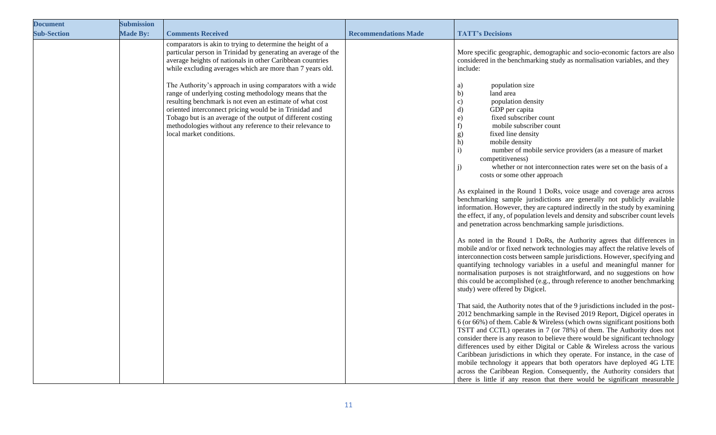| <b>Document</b>    | <b>Submission</b> |                                                                                                                                                                                                                                                                                                                                                                                                                                                                                                                                                                                                                                                            |                             |                                                                                                                                                                                                                                                                                                                                                                                                                                                                                                                                                                                                                                                                                                                                                                                                                                                                                                                                                                                                                        |
|--------------------|-------------------|------------------------------------------------------------------------------------------------------------------------------------------------------------------------------------------------------------------------------------------------------------------------------------------------------------------------------------------------------------------------------------------------------------------------------------------------------------------------------------------------------------------------------------------------------------------------------------------------------------------------------------------------------------|-----------------------------|------------------------------------------------------------------------------------------------------------------------------------------------------------------------------------------------------------------------------------------------------------------------------------------------------------------------------------------------------------------------------------------------------------------------------------------------------------------------------------------------------------------------------------------------------------------------------------------------------------------------------------------------------------------------------------------------------------------------------------------------------------------------------------------------------------------------------------------------------------------------------------------------------------------------------------------------------------------------------------------------------------------------|
| <b>Sub-Section</b> | <b>Made By:</b>   | <b>Comments Received</b>                                                                                                                                                                                                                                                                                                                                                                                                                                                                                                                                                                                                                                   | <b>Recommendations Made</b> | <b>TATT's Decisions</b>                                                                                                                                                                                                                                                                                                                                                                                                                                                                                                                                                                                                                                                                                                                                                                                                                                                                                                                                                                                                |
|                    |                   | comparators is akin to trying to determine the height of a<br>particular person in Trinidad by generating an average of the<br>average heights of nationals in other Caribbean countries<br>while excluding averages which are more than 7 years old.<br>The Authority's approach in using comparators with a wide<br>range of underlying costing methodology means that the<br>resulting benchmark is not even an estimate of what cost<br>oriented interconnect pricing would be in Trinidad and<br>Tobago but is an average of the output of different costing<br>methodologies without any reference to their relevance to<br>local market conditions. |                             | More specific geographic, demographic and socio-economic factors are also<br>considered in the benchmarking study as normalisation variables, and they<br>include:<br>population size<br>a)<br>$\mathbf{b}$<br>land area<br>population density<br>$\mathbf{c})$<br>$\mathbf{d}$<br>GDP per capita<br>fixed subscriber count<br>e)<br>f)<br>mobile subscriber count<br>fixed line density<br>g)<br>h)<br>mobile density<br>$\mathbf{i}$<br>number of mobile service providers (as a measure of market<br>competitiveness)<br>whether or not interconnection rates were set on the basis of a<br>j)<br>costs or some other approach<br>As explained in the Round 1 DoRs, voice usage and coverage area across<br>benchmarking sample jurisdictions are generally not publicly available<br>information. However, they are captured indirectly in the study by examining<br>the effect, if any, of population levels and density and subscriber count levels<br>and penetration across benchmarking sample jurisdictions. |
|                    |                   |                                                                                                                                                                                                                                                                                                                                                                                                                                                                                                                                                                                                                                                            |                             | As noted in the Round 1 DoRs, the Authority agrees that differences in<br>mobile and/or or fixed network technologies may affect the relative levels of<br>interconnection costs between sample jurisdictions. However, specifying and<br>quantifying technology variables in a useful and meaningful manner for<br>normalisation purposes is not straightforward, and no suggestions on how<br>this could be accomplished (e.g., through reference to another benchmarking<br>study) were offered by Digicel.                                                                                                                                                                                                                                                                                                                                                                                                                                                                                                         |
|                    |                   |                                                                                                                                                                                                                                                                                                                                                                                                                                                                                                                                                                                                                                                            |                             | That said, the Authority notes that of the 9 jurisdictions included in the post-<br>2012 benchmarking sample in the Revised 2019 Report, Digicel operates in<br>6 (or 66%) of them. Cable & Wireless (which owns significant positions both<br>TSTT and CCTL) operates in 7 (or 78%) of them. The Authority does not<br>consider there is any reason to believe there would be significant technology<br>differences used by either Digital or Cable & Wireless across the various<br>Caribbean jurisdictions in which they operate. For instance, in the case of<br>mobile technology it appears that both operators have deployed 4G LTE<br>across the Caribbean Region. Consequently, the Authority considers that<br>there is little if any reason that there would be significant measurable                                                                                                                                                                                                                      |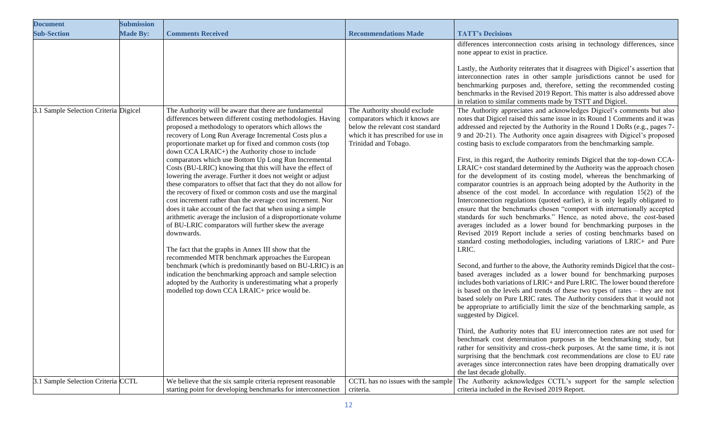| <b>Document</b>                       | <b>Submission</b> |                                                                                                                                                                                                                                                                                                                                                                                                                                                                                                                                                                                                                                                                                                                                                                                                                                                                                                                                                                                                                                                                                                                                                                                                                                        |                                                                                                                                  |                                                                                                                                                                                                                                                                                                                                                                                                                                                                                                                                                                                                                                                                                                                                                                                                                                                                                                                                                                                                                                                                                                                                                                                                                                                                                                                                                                                                                                                                                                                                                                                                                                                                                                                                                                                                                                                                                                                                                                                                                                                                                                                         |
|---------------------------------------|-------------------|----------------------------------------------------------------------------------------------------------------------------------------------------------------------------------------------------------------------------------------------------------------------------------------------------------------------------------------------------------------------------------------------------------------------------------------------------------------------------------------------------------------------------------------------------------------------------------------------------------------------------------------------------------------------------------------------------------------------------------------------------------------------------------------------------------------------------------------------------------------------------------------------------------------------------------------------------------------------------------------------------------------------------------------------------------------------------------------------------------------------------------------------------------------------------------------------------------------------------------------|----------------------------------------------------------------------------------------------------------------------------------|-------------------------------------------------------------------------------------------------------------------------------------------------------------------------------------------------------------------------------------------------------------------------------------------------------------------------------------------------------------------------------------------------------------------------------------------------------------------------------------------------------------------------------------------------------------------------------------------------------------------------------------------------------------------------------------------------------------------------------------------------------------------------------------------------------------------------------------------------------------------------------------------------------------------------------------------------------------------------------------------------------------------------------------------------------------------------------------------------------------------------------------------------------------------------------------------------------------------------------------------------------------------------------------------------------------------------------------------------------------------------------------------------------------------------------------------------------------------------------------------------------------------------------------------------------------------------------------------------------------------------------------------------------------------------------------------------------------------------------------------------------------------------------------------------------------------------------------------------------------------------------------------------------------------------------------------------------------------------------------------------------------------------------------------------------------------------------------------------------------------------|
| <b>Sub-Section</b>                    | <b>Made By:</b>   | <b>Comments Received</b>                                                                                                                                                                                                                                                                                                                                                                                                                                                                                                                                                                                                                                                                                                                                                                                                                                                                                                                                                                                                                                                                                                                                                                                                               | <b>Recommendations Made</b>                                                                                                      | <b>TATT's Decisions</b>                                                                                                                                                                                                                                                                                                                                                                                                                                                                                                                                                                                                                                                                                                                                                                                                                                                                                                                                                                                                                                                                                                                                                                                                                                                                                                                                                                                                                                                                                                                                                                                                                                                                                                                                                                                                                                                                                                                                                                                                                                                                                                 |
| 3.1 Sample Selection Criteria Digicel |                   | The Authority will be aware that there are fundamental                                                                                                                                                                                                                                                                                                                                                                                                                                                                                                                                                                                                                                                                                                                                                                                                                                                                                                                                                                                                                                                                                                                                                                                 | The Authority should exclude                                                                                                     | differences interconnection costs arising in technology differences, since<br>none appear to exist in practice.<br>Lastly, the Authority reiterates that it disagrees with Digicel's assertion that<br>interconnection rates in other sample jurisdictions cannot be used for<br>benchmarking purposes and, therefore, setting the recommended costing<br>benchmarks in the Revised 2019 Report. This matter is also addressed above<br>in relation to similar comments made by TSTT and Digicel.<br>The Authority appreciates and acknowledges Digicel's comments but also                                                                                                                                                                                                                                                                                                                                                                                                                                                                                                                                                                                                                                                                                                                                                                                                                                                                                                                                                                                                                                                                                                                                                                                                                                                                                                                                                                                                                                                                                                                                             |
|                                       |                   | differences between different costing methodologies. Having<br>proposed a methodology to operators which allows the<br>recovery of Long Run Average Incremental Costs plus a<br>proportionate market up for fixed and common costs (top<br>down CCA LRAIC+) the Authority chose to include<br>comparators which use Bottom Up Long Run Incremental<br>Costs (BU-LRIC) knowing that this will have the effect of<br>lowering the average. Further it does not weight or adjust<br>these comparators to offset that fact that they do not allow for<br>the recovery of fixed or common costs and use the marginal<br>cost increment rather than the average cost increment. Nor<br>does it take account of the fact that when using a simple<br>arithmetic average the inclusion of a disproportionate volume<br>of BU-LRIC comparators will further skew the average<br>downwards.<br>The fact that the graphs in Annex III show that the<br>recommended MTR benchmark approaches the European<br>benchmark (which is predominantly based on BU-LRIC) is an<br>indication the benchmarking approach and sample selection<br>adopted by the Authority is underestimating what a properly<br>modelled top down CCA LRAIC+ price would be. | comparators which it knows are<br>below the relevant cost standard<br>which it has prescribed for use in<br>Trinidad and Tobago. | notes that Digicel raised this same issue in its Round 1 Comments and it was<br>addressed and rejected by the Authority in the Round 1 DoRs (e.g., pages 7-<br>9 and 20-21). The Authority once again disagrees with Digicel's proposed<br>costing basis to exclude comparators from the benchmarking sample.<br>First, in this regard, the Authority reminds Digicel that the top-down CCA-<br>LRAIC+ cost standard determined by the Authority was the approach chosen<br>for the development of its costing model, whereas the benchmarking of<br>comparator countries is an approach being adopted by the Authority in the<br>absence of the cost model. In accordance with regulation $15(2)$ of the<br>Interconnection regulations (quoted earlier), it is only legally obligated to<br>ensure that the benchmarks chosen "comport with internationally accepted<br>standards for such benchmarks." Hence, as noted above, the cost-based<br>averages included as a lower bound for benchmarking purposes in the<br>Revised 2019 Report include a series of costing benchmarks based on<br>standard costing methodologies, including variations of LRIC+ and Pure<br>LRIC.<br>Second, and further to the above, the Authority reminds Digicel that the cost-<br>based averages included as a lower bound for benchmarking purposes<br>includes both variations of LRIC+ and Pure LRIC. The lower bound therefore<br>is based on the levels and trends of these two types of rates – they are not<br>based solely on Pure LRIC rates. The Authority considers that it would not<br>be appropriate to artificially limit the size of the benchmarking sample, as<br>suggested by Digicel.<br>Third, the Authority notes that EU interconnection rates are not used for<br>benchmark cost determination purposes in the benchmarking study, but<br>rather for sensitivity and cross-check purposes. At the same time, it is not<br>surprising that the benchmark cost recommendations are close to EU rate<br>averages since interconnection rates have been dropping dramatically over<br>the last decade globally. |
| 3.1 Sample Selection Criteria CCTL    |                   | We believe that the six sample criteria represent reasonable<br>starting point for developing benchmarks for interconnection                                                                                                                                                                                                                                                                                                                                                                                                                                                                                                                                                                                                                                                                                                                                                                                                                                                                                                                                                                                                                                                                                                           | CCTL has no issues with the sample<br>criteria.                                                                                  | The Authority acknowledges CCTL's support for the sample selection<br>criteria included in the Revised 2019 Report.                                                                                                                                                                                                                                                                                                                                                                                                                                                                                                                                                                                                                                                                                                                                                                                                                                                                                                                                                                                                                                                                                                                                                                                                                                                                                                                                                                                                                                                                                                                                                                                                                                                                                                                                                                                                                                                                                                                                                                                                     |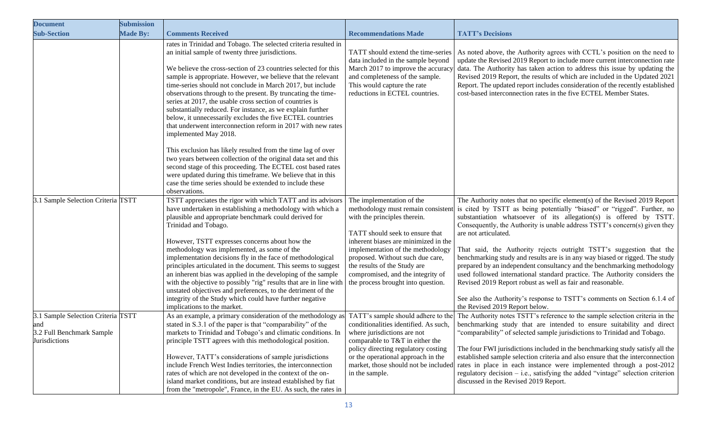| <b>Document</b>                                                                         | <b>Submission</b> |                                                                                                                                                                                                                                                                                                                                                                                                                                                                                                                                                                                                                                                                                                                                                                                                                                                                                                                                     |                                                                                                                                                                                                                                                                                                                          |                                                                                                                                                                                                                                                                                                                                                                                                                                                                                                                                                                                                                                                                                                                                                                                                                                                                   |
|-----------------------------------------------------------------------------------------|-------------------|-------------------------------------------------------------------------------------------------------------------------------------------------------------------------------------------------------------------------------------------------------------------------------------------------------------------------------------------------------------------------------------------------------------------------------------------------------------------------------------------------------------------------------------------------------------------------------------------------------------------------------------------------------------------------------------------------------------------------------------------------------------------------------------------------------------------------------------------------------------------------------------------------------------------------------------|--------------------------------------------------------------------------------------------------------------------------------------------------------------------------------------------------------------------------------------------------------------------------------------------------------------------------|-------------------------------------------------------------------------------------------------------------------------------------------------------------------------------------------------------------------------------------------------------------------------------------------------------------------------------------------------------------------------------------------------------------------------------------------------------------------------------------------------------------------------------------------------------------------------------------------------------------------------------------------------------------------------------------------------------------------------------------------------------------------------------------------------------------------------------------------------------------------|
| <b>Sub-Section</b>                                                                      | <b>Made By:</b>   | <b>Comments Received</b>                                                                                                                                                                                                                                                                                                                                                                                                                                                                                                                                                                                                                                                                                                                                                                                                                                                                                                            | <b>Recommendations Made</b>                                                                                                                                                                                                                                                                                              | <b>TATT's Decisions</b>                                                                                                                                                                                                                                                                                                                                                                                                                                                                                                                                                                                                                                                                                                                                                                                                                                           |
|                                                                                         |                   | rates in Trinidad and Tobago. The selected criteria resulted in<br>an initial sample of twenty three jurisdictions.<br>We believe the cross-section of 23 countries selected for this<br>sample is appropriate. However, we believe that the relevant<br>time-series should not conclude in March 2017, but include<br>observations through to the present. By truncating the time-<br>series at 2017, the usable cross section of countries is<br>substantially reduced. For instance, as we explain further<br>below, it unnecessarily excludes the five ECTEL countries<br>that underwent interconnection reform in 2017 with new rates<br>implemented May 2018.<br>This exclusion has likely resulted from the time lag of over<br>two years between collection of the original data set and this<br>second stage of this proceeding. The ECTEL cost based rates<br>were updated during this timeframe. We believe that in this | TATT should extend the time-series<br>data included in the sample beyond<br>March 2017 to improve the accuracy<br>and completeness of the sample.<br>This would capture the rate<br>reductions in ECTEL countries.                                                                                                       | As noted above, the Authority agrees with CCTL's position on the need to<br>update the Revised 2019 Report to include more current interconnection rate<br>data. The Authority has taken action to address this issue by updating the<br>Revised 2019 Report, the results of which are included in the Updated 2021<br>Report. The updated report includes consideration of the recently established<br>cost-based interconnection rates in the five ECTEL Member States.                                                                                                                                                                                                                                                                                                                                                                                         |
|                                                                                         |                   | case the time series should be extended to include these                                                                                                                                                                                                                                                                                                                                                                                                                                                                                                                                                                                                                                                                                                                                                                                                                                                                            |                                                                                                                                                                                                                                                                                                                          |                                                                                                                                                                                                                                                                                                                                                                                                                                                                                                                                                                                                                                                                                                                                                                                                                                                                   |
| 3.1 Sample Selection Criteria TSTT                                                      |                   | observations.<br>TSTT appreciates the rigor with which TATT and its advisors<br>have undertaken in establishing a methodology with which a<br>plausible and appropriate benchmark could derived for<br>Trinidad and Tobago.<br>However, TSTT expresses concerns about how the<br>methodology was implemented, as some of the<br>implementation decisions fly in the face of methodological<br>principles articulated in the document. This seems to suggest<br>an inherent bias was applied in the developing of the sample<br>with the objective to possibly "rig" results that are in line with<br>unstated objectives and preferences, to the detriment of the<br>integrity of the Study which could have further negative<br>implications to the market.                                                                                                                                                                        | The implementation of the<br>with the principles therein.<br>TATT should seek to ensure that<br>inherent biases are minimized in the<br>implementation of the methodology<br>proposed. Without such due care,<br>the results of the Study are<br>compromised, and the integrity of<br>the process brought into question. | The Authority notes that no specific element(s) of the Revised 2019 Report<br>methodology must remain consistent is cited by TSTT as being potentially "biased" or "rigged". Further, no<br>substantiation whatsoever of its allegation(s) is offered by TSTT.<br>Consequently, the Authority is unable address TSTT's concern(s) given they<br>are not articulated.<br>That said, the Authority rejects outright TSTT's suggestion that the<br>benchmarking study and results are is in any way biased or rigged. The study<br>prepared by an independent consultancy and the benchmarking methodology<br>used followed international standard practice. The Authority considers the<br>Revised 2019 Report robust as well as fair and reasonable.<br>See also the Authority's response to TSTT's comments on Section 6.1.4 of<br>the Revised 2019 Report below. |
| 3.1 Sample Selection Criteria TSTT<br>and<br>3.2 Full Benchmark Sample<br>Jurisdictions |                   | As an example, a primary consideration of the methodology as<br>stated in S.3.1 of the paper is that "comparability" of the<br>markets to Trinidad and Tobago's and climatic conditions. In<br>principle TSTT agrees with this methodological position.<br>However, TATT's considerations of sample jurisdictions<br>include French West Indies territories, the interconnection<br>rates of which are not developed in the context of the on-<br>island market conditions, but are instead established by fiat<br>from the "metropole", France, in the EU. As such, the rates in                                                                                                                                                                                                                                                                                                                                                   | TATT's sample should adhere to the<br>conditionalities identified. As such,<br>where jurisdictions are not<br>comparable to T&T in either the<br>policy directing regulatory costing<br>or the operational approach in the<br>market, those should not be included<br>in the sample.                                     | The Authority notes TSTT's reference to the sample selection criteria in the<br>benchmarking study that are intended to ensure suitability and direct<br>"comparability" of selected sample jurisdictions to Trinidad and Tobago.<br>The four FWI jurisdictions included in the benchmarking study satisfy all the<br>established sample selection criteria and also ensure that the interconnection<br>rates in place in each instance were implemented through a post-2012<br>regulatory decision - i.e., satisfying the added "vintage" selection criterion<br>discussed in the Revised 2019 Report.                                                                                                                                                                                                                                                           |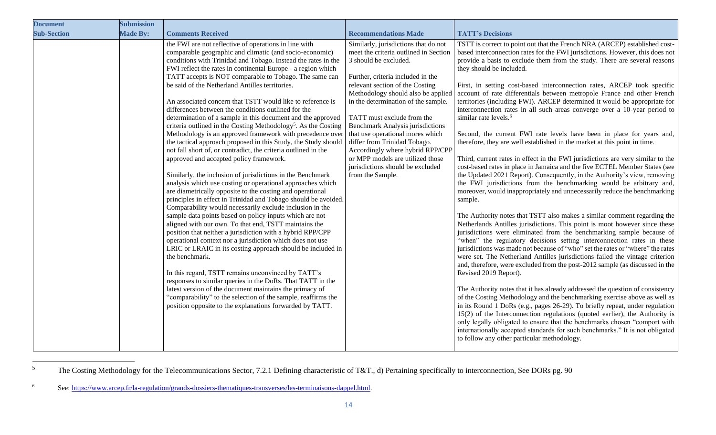| <b>Document</b>    | <b>Submission</b> |                                                                                                                                                                                                                                                                                                                                                                                                                                                                                                                                                                                                                                                                                                                                                                                                                                                                                                                                                                                                                                                                                                                                                                                                                                                                                                                                                                                                                                                                                                                                                                                                                                                                                                                                                                                                                                                 |                                                                                                                                                                                                                                                                                                                                                                                                                                                                                                                                          |                                                                                                                                                                                                                                                                                                                                                                                                                                                                                                                                                                                                                                                                                                                                                                                                                                                                                                                                                                                                                                                                                                                                                                                                                                                                                                                                                                                                                                                                                                                                                                                                                                                                                                                                                                                                                                                                                                                                                                                                                                                                                                                                                                                                                                                                                                                               |
|--------------------|-------------------|-------------------------------------------------------------------------------------------------------------------------------------------------------------------------------------------------------------------------------------------------------------------------------------------------------------------------------------------------------------------------------------------------------------------------------------------------------------------------------------------------------------------------------------------------------------------------------------------------------------------------------------------------------------------------------------------------------------------------------------------------------------------------------------------------------------------------------------------------------------------------------------------------------------------------------------------------------------------------------------------------------------------------------------------------------------------------------------------------------------------------------------------------------------------------------------------------------------------------------------------------------------------------------------------------------------------------------------------------------------------------------------------------------------------------------------------------------------------------------------------------------------------------------------------------------------------------------------------------------------------------------------------------------------------------------------------------------------------------------------------------------------------------------------------------------------------------------------------------|------------------------------------------------------------------------------------------------------------------------------------------------------------------------------------------------------------------------------------------------------------------------------------------------------------------------------------------------------------------------------------------------------------------------------------------------------------------------------------------------------------------------------------------|-------------------------------------------------------------------------------------------------------------------------------------------------------------------------------------------------------------------------------------------------------------------------------------------------------------------------------------------------------------------------------------------------------------------------------------------------------------------------------------------------------------------------------------------------------------------------------------------------------------------------------------------------------------------------------------------------------------------------------------------------------------------------------------------------------------------------------------------------------------------------------------------------------------------------------------------------------------------------------------------------------------------------------------------------------------------------------------------------------------------------------------------------------------------------------------------------------------------------------------------------------------------------------------------------------------------------------------------------------------------------------------------------------------------------------------------------------------------------------------------------------------------------------------------------------------------------------------------------------------------------------------------------------------------------------------------------------------------------------------------------------------------------------------------------------------------------------------------------------------------------------------------------------------------------------------------------------------------------------------------------------------------------------------------------------------------------------------------------------------------------------------------------------------------------------------------------------------------------------------------------------------------------------------------------------------------------------|
| <b>Sub-Section</b> | <b>Made By:</b>   | <b>Comments Received</b>                                                                                                                                                                                                                                                                                                                                                                                                                                                                                                                                                                                                                                                                                                                                                                                                                                                                                                                                                                                                                                                                                                                                                                                                                                                                                                                                                                                                                                                                                                                                                                                                                                                                                                                                                                                                                        | <b>Recommendations Made</b>                                                                                                                                                                                                                                                                                                                                                                                                                                                                                                              | <b>TATT's Decisions</b>                                                                                                                                                                                                                                                                                                                                                                                                                                                                                                                                                                                                                                                                                                                                                                                                                                                                                                                                                                                                                                                                                                                                                                                                                                                                                                                                                                                                                                                                                                                                                                                                                                                                                                                                                                                                                                                                                                                                                                                                                                                                                                                                                                                                                                                                                                       |
|                    |                   | the FWI are not reflective of operations in line with<br>comparable geographic and climatic (and socio-economic)<br>conditions with Trinidad and Tobago. Instead the rates in the<br>FWI reflect the rates in continental Europe - a region which<br>TATT accepts is NOT comparable to Tobago. The same can<br>be said of the Netherland Antilles territories.<br>An associated concern that TSTT would like to reference is<br>differences between the conditions outlined for the<br>determination of a sample in this document and the approved<br>criteria outlined in the Costing Methodology <sup>5</sup> . As the Costing<br>Methodology is an approved framework with precedence over<br>the tactical approach proposed in this Study, the Study should<br>not fall short of, or contradict, the criteria outlined in the<br>approved and accepted policy framework.<br>Similarly, the inclusion of jurisdictions in the Benchmark<br>analysis which use costing or operational approaches which<br>are diametrically opposite to the costing and operational<br>principles in effect in Trinidad and Tobago should be avoided.<br>Comparability would necessarily exclude inclusion in the<br>sample data points based on policy inputs which are not<br>aligned with our own. To that end, TSTT maintains the<br>position that neither a jurisdiction with a hybrid RPP/CPP<br>operational context nor a jurisdiction which does not use<br>LRIC or LRAIC in its costing approach should be included in<br>the benchmark.<br>In this regard, TSTT remains unconvinced by TATT's<br>responses to similar queries in the DoRs. That TATT in the<br>latest version of the document maintains the primacy of<br>"comparability" to the selection of the sample, reaffirms the<br>position opposite to the explanations forwarded by TATT. | Similarly, jurisdictions that do not<br>meet the criteria outlined in Section<br>3 should be excluded.<br>Further, criteria included in the<br>relevant section of the Costing<br>Methodology should also be applied<br>in the determination of the sample.<br>TATT must exclude from the<br><b>Benchmark Analysis jurisdictions</b><br>that use operational mores which<br>differ from Trinidad Tobago.<br>Accordingly where hybrid RPP/CPP<br>or MPP models are utilized those<br>jurisdictions should be excluded<br>from the Sample. | TSTT is correct to point out that the French NRA (ARCEP) established cost-<br>based interconnection rates for the FWI jurisdictions. However, this does not<br>provide a basis to exclude them from the study. There are several reasons<br>they should be included.<br>First, in setting cost-based interconnection rates, ARCEP took specific<br>account of rate differentials between metropole France and other French<br>territories (including FWI). ARCEP determined it would be appropriate for<br>interconnection rates in all such areas converge over a 10-year period to<br>similar rate levels. <sup>6</sup><br>Second, the current FWI rate levels have been in place for years and,<br>therefore, they are well established in the market at this point in time.<br>Third, current rates in effect in the FWI jurisdictions are very similar to the<br>cost-based rates in place in Jamaica and the five ECTEL Member States (see<br>the Updated 2021 Report). Consequently, in the Authority's view, removing<br>the FWI jurisdictions from the benchmarking would be arbitrary and,<br>moreover, would inappropriately and unnecessarily reduce the benchmarking<br>sample.<br>The Authority notes that TSTT also makes a similar comment regarding the<br>Netherlands Antilles jurisdictions. This point is moot however since these<br>jurisdictions were eliminated from the benchmarking sample because of<br>"when" the regulatory decisions setting interconnection rates in these<br>jurisdictions was made not because of "who" set the rates or "where" the rates<br>were set. The Netherland Antilles jurisdictions failed the vintage criterion<br>and, therefore, were excluded from the post-2012 sample (as discussed in the<br>Revised 2019 Report).<br>The Authority notes that it has already addressed the question of consistency<br>of the Costing Methodology and the benchmarking exercise above as well as<br>in its Round 1 DoRs (e.g., pages 26-29). To briefly repeat, under regulation<br>15(2) of the Interconnection regulations (quoted earlier), the Authority is<br>only legally obligated to ensure that the benchmarks chosen "comport with<br>internationally accepted standards for such benchmarks." It is not obligated<br>to follow any other particular methodology. |

<sup>&</sup>lt;sup>5</sup> The Costing Methodology for the Telecommunications Sector, 7.2.1 Defining characteristic of T&T., d) Pertaining specifically to interconnection, See DORs pg. 90

<sup>6</sup> See: [https://www.arcep.fr/la-regulation/grands-dossiers-thematiques-transverses/les-terminaisons-dappel.html.](https://www.arcep.fr/la-regulation/grands-dossiers-thematiques-transverses/les-terminaisons-dappel.html)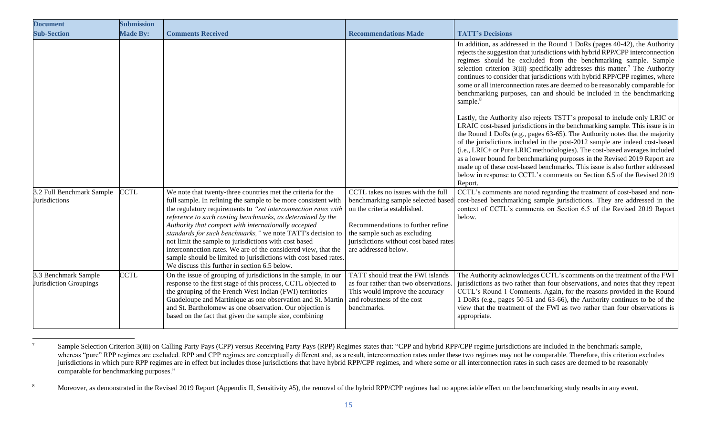| <b>Document</b>                                   | <b>Submission</b> |                                                                                                                                                                                                                                                                                                                                                                                                                                                                                                                                                                                                                                      |                                                                                                                                                                                                                                                 |                                                                                                                                                                                                                                                                                                                                                                                                                                                                                                                                                                                                                                                          |
|---------------------------------------------------|-------------------|--------------------------------------------------------------------------------------------------------------------------------------------------------------------------------------------------------------------------------------------------------------------------------------------------------------------------------------------------------------------------------------------------------------------------------------------------------------------------------------------------------------------------------------------------------------------------------------------------------------------------------------|-------------------------------------------------------------------------------------------------------------------------------------------------------------------------------------------------------------------------------------------------|----------------------------------------------------------------------------------------------------------------------------------------------------------------------------------------------------------------------------------------------------------------------------------------------------------------------------------------------------------------------------------------------------------------------------------------------------------------------------------------------------------------------------------------------------------------------------------------------------------------------------------------------------------|
| <b>Sub-Section</b>                                | <b>Made By:</b>   | <b>Comments Received</b>                                                                                                                                                                                                                                                                                                                                                                                                                                                                                                                                                                                                             | <b>Recommendations Made</b>                                                                                                                                                                                                                     | <b>TATT's Decisions</b>                                                                                                                                                                                                                                                                                                                                                                                                                                                                                                                                                                                                                                  |
|                                                   |                   |                                                                                                                                                                                                                                                                                                                                                                                                                                                                                                                                                                                                                                      |                                                                                                                                                                                                                                                 | In addition, as addressed in the Round 1 DoRs (pages 40-42), the Authority<br>rejects the suggestion that jurisdictions with hybrid RPP/CPP interconnection<br>regimes should be excluded from the benchmarking sample. Sample<br>selection criterion $3(iii)$ specifically addresses this matter. <sup>7</sup> The Authority<br>continues to consider that jurisdictions with hybrid RPP/CPP regimes, where<br>some or all interconnection rates are deemed to be reasonably comparable for<br>benchmarking purposes, can and should be included in the benchmarking<br>sample. <sup>8</sup>                                                            |
|                                                   |                   |                                                                                                                                                                                                                                                                                                                                                                                                                                                                                                                                                                                                                                      |                                                                                                                                                                                                                                                 | Lastly, the Authority also rejects TSTT's proposal to include only LRIC or<br>LRAIC cost-based jurisdictions in the benchmarking sample. This issue is in<br>the Round 1 DoRs (e.g., pages 63-65). The Authority notes that the majority<br>of the jurisdictions included in the post-2012 sample are indeed cost-based<br>(i.e., LRIC+ or Pure LRIC methodologies). The cost-based averages included<br>as a lower bound for benchmarking purposes in the Revised 2019 Report are<br>made up of these cost-based benchmarks. This issue is also further addressed<br>below in response to CCTL's comments on Section 6.5 of the Revised 2019<br>Report. |
| 3.2 Full Benchmark Sample<br><b>Jurisdictions</b> | <b>CCTL</b>       | We note that twenty-three countries met the criteria for the<br>full sample. In refining the sample to be more consistent with<br>the regulatory requirements to "set interconnection rates with<br>reference to such costing benchmarks, as determined by the<br>Authority that comport with internationally accepted<br>standards for such benchmarks," we note TATT's decision to<br>not limit the sample to jurisdictions with cost based<br>interconnection rates. We are of the considered view, that the<br>sample should be limited to jurisdictions with cost based rates.<br>We discuss this further in section 6.5 below. | CCTL takes no issues with the full<br>benchmarking sample selected based<br>on the criteria established.<br>Recommendations to further refine<br>the sample such as excluding<br>jurisdictions without cost based rates<br>are addressed below. | CCTL's comments are noted regarding the treatment of cost-based and non-<br>cost-based benchmarking sample jurisdictions. They are addressed in the<br>context of CCTL's comments on Section 6.5 of the Revised 2019 Report<br>below.                                                                                                                                                                                                                                                                                                                                                                                                                    |
| 3.3 Benchmark Sample<br>Jurisdiction Groupings    | <b>CCTL</b>       | On the issue of grouping of jurisdictions in the sample, in our<br>response to the first stage of this process, CCTL objected to<br>the grouping of the French West Indian (FWI) territories<br>Guadeloupe and Martinique as one observation and St. Martin<br>and St. Bartholomew as one observation. Our objection is<br>based on the fact that given the sample size, combining                                                                                                                                                                                                                                                   | TATT should treat the FWI islands<br>as four rather than two observations.<br>This would improve the accuracy<br>and robustness of the cost<br>benchmarks.                                                                                      | The Authority acknowledges CCTL's comments on the treatment of the FWI<br>jurisdictions as two rather than four observations, and notes that they repeat<br>CCTL's Round 1 Comments. Again, for the reasons provided in the Round<br>1 DoRs (e.g., pages 50-51 and 63-66), the Authority continues to be of the<br>view that the treatment of the FWI as two rather than four observations is<br>appropriate.                                                                                                                                                                                                                                            |

<sup>&</sup>lt;sup>7</sup> Sample Selection Criterion 3(iii) on Calling Party Pays (CPP) versus Receiving Party Pays (RPP) Regimes states that: "CPP and hybrid RPP/CPP regime jurisdictions are included in the benchmark sample, whereas "pure" RPP regimes are excluded. RPP and CPP regimes are conceptually different and, as a result, interconnection rates under these two regimes may not be comparable. Therefore, this criterion excludes jurisdictions in which pure RPP regimes are in effect but includes those jurisdictions that have hybrid RPP/CPP regimes, and where some or all interconnection rates in such cases are deemed to be reasonably comparable for benchmarking purposes."

<sup>&</sup>lt;sup>8</sup> Moreover, as demonstrated in the Revised 2019 Report (Appendix II, Sensitivity #5), the removal of the hybrid RPP/CPP regimes had no appreciable effect on the benchmarking study results in any event.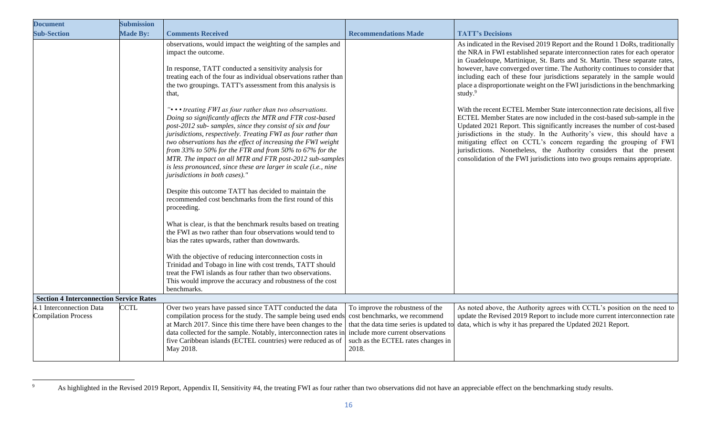| <b>Document</b>                                        | <b>Submission</b> |                                                                                                                                                                                                                                                                                                                                                                                                                                                                                                                                                                                                                                                                                                                                                                                                                                                                                                                                                                                               |                                                                                                                                                       |                                                                                                                                                                                                                                                                                                                                                                                                                                                                                                                                              |
|--------------------------------------------------------|-------------------|-----------------------------------------------------------------------------------------------------------------------------------------------------------------------------------------------------------------------------------------------------------------------------------------------------------------------------------------------------------------------------------------------------------------------------------------------------------------------------------------------------------------------------------------------------------------------------------------------------------------------------------------------------------------------------------------------------------------------------------------------------------------------------------------------------------------------------------------------------------------------------------------------------------------------------------------------------------------------------------------------|-------------------------------------------------------------------------------------------------------------------------------------------------------|----------------------------------------------------------------------------------------------------------------------------------------------------------------------------------------------------------------------------------------------------------------------------------------------------------------------------------------------------------------------------------------------------------------------------------------------------------------------------------------------------------------------------------------------|
| <b>Sub-Section</b>                                     | <b>Made By:</b>   | <b>Comments Received</b>                                                                                                                                                                                                                                                                                                                                                                                                                                                                                                                                                                                                                                                                                                                                                                                                                                                                                                                                                                      | <b>Recommendations Made</b>                                                                                                                           | <b>TATT's Decisions</b>                                                                                                                                                                                                                                                                                                                                                                                                                                                                                                                      |
|                                                        |                   | observations, would impact the weighting of the samples and<br>impact the outcome.<br>In response, TATT conducted a sensitivity analysis for<br>treating each of the four as individual observations rather than<br>the two groupings. TATT's assessment from this analysis is<br>that,                                                                                                                                                                                                                                                                                                                                                                                                                                                                                                                                                                                                                                                                                                       |                                                                                                                                                       | As indicated in the Revised 2019 Report and the Round 1 DoRs, traditionally<br>the NRA in FWI established separate interconnection rates for each operator<br>in Guadeloupe, Martinique, St. Barts and St. Martin. These separate rates,<br>however, have converged over time. The Authority continues to consider that<br>including each of these four jurisdictions separately in the sample would<br>place a disproportionate weight on the FWI jurisdictions in the benchmarking<br>study. $9$                                           |
|                                                        |                   | "••• treating FWI as four rather than two observations.<br>Doing so significantly affects the MTR and FTR cost-based<br>post-2012 sub- samples, since they consist of six and four<br>jurisdictions, respectively. Treating FWI as four rather than<br>two observations has the effect of increasing the FWI weight<br>from 33% to 50% for the FTR and from 50% to 67% for the<br>MTR. The impact on all MTR and FTR post-2012 sub-samples<br>is less pronounced, since these are larger in scale (i.e., nine<br>jurisdictions in both cases)."<br>Despite this outcome TATT has decided to maintain the<br>recommended cost benchmarks from the first round of this<br>proceeding.<br>What is clear, is that the benchmark results based on treating<br>the FWI as two rather than four observations would tend to<br>bias the rates upwards, rather than downwards.<br>With the objective of reducing interconnection costs in<br>Trinidad and Tobago in line with cost trends, TATT should |                                                                                                                                                       | With the recent ECTEL Member State interconnection rate decisions, all five<br>ECTEL Member States are now included in the cost-based sub-sample in the<br>Updated 2021 Report. This significantly increases the number of cost-based<br>jurisdictions in the study. In the Authority's view, this should have a<br>mitigating effect on CCTL's concern regarding the grouping of FWI<br>jurisdictions. Nonetheless, the Authority considers that the present<br>consolidation of the FWI jurisdictions into two groups remains appropriate. |
|                                                        |                   | treat the FWI islands as four rather than two observations.<br>This would improve the accuracy and robustness of the cost<br>benchmarks.                                                                                                                                                                                                                                                                                                                                                                                                                                                                                                                                                                                                                                                                                                                                                                                                                                                      |                                                                                                                                                       |                                                                                                                                                                                                                                                                                                                                                                                                                                                                                                                                              |
| <b>Section 4 Interconnection Service Rates</b>         |                   |                                                                                                                                                                                                                                                                                                                                                                                                                                                                                                                                                                                                                                                                                                                                                                                                                                                                                                                                                                                               |                                                                                                                                                       |                                                                                                                                                                                                                                                                                                                                                                                                                                                                                                                                              |
| 4.1 Interconnection Data<br><b>Compilation Process</b> | <b>CCTL</b>       | Over two years have passed since TATT conducted the data<br>compilation process for the study. The sample being used ends<br>at March 2017. Since this time there have been changes to the<br>data collected for the sample. Notably, interconnection rates in<br>five Caribbean islands (ECTEL countries) were reduced as of<br>May 2018.                                                                                                                                                                                                                                                                                                                                                                                                                                                                                                                                                                                                                                                    | To improve the robustness of the<br>cost benchmarks, we recommend<br>include more current observations<br>such as the ECTEL rates changes in<br>2018. | As noted above, the Authority agrees with CCTL's position on the need to<br>update the Revised 2019 Report to include more current interconnection rate<br>that the data time series is updated to data, which is why it has prepared the Updated 2021 Report.                                                                                                                                                                                                                                                                               |

<sup>&</sup>lt;sup>9</sup> As highlighted in the Revised 2019 Report, Appendix II, Sensitivity #4, the treating FWI as four rather than two observations did not have an appreciable effect on the benchmarking study results.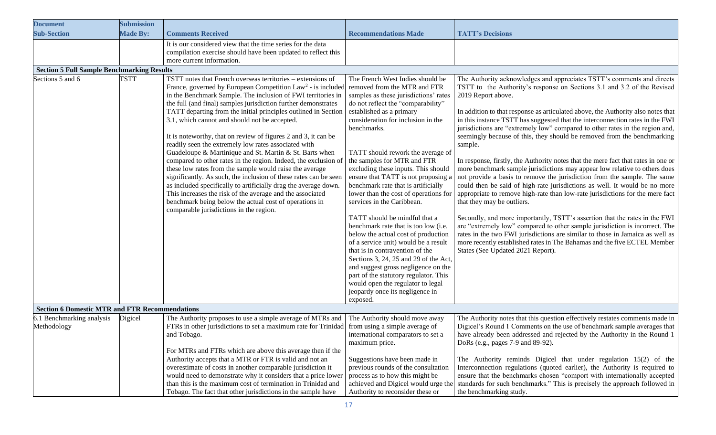| <b>Document</b>                                       | <b>Submission</b> |                                                                                                                                                                                                                                                                                                                                                                                                                                                                                                                                                                                                                                                                                                                                                                                                                                                                                                                                                                                                                         |                                                                                                                                                                                                                                                                                                                                                                                                                                                                                                                                                                                                                                                                                                                                                                                                                                                                                                          |                                                                                                                                                                                                                                                                                                                                                                                                                                                                                                                                                                                                                                                                                                                                                                                                                                                                                                                                                                                                                                                                                                                                                                                                                                                                                                                               |
|-------------------------------------------------------|-------------------|-------------------------------------------------------------------------------------------------------------------------------------------------------------------------------------------------------------------------------------------------------------------------------------------------------------------------------------------------------------------------------------------------------------------------------------------------------------------------------------------------------------------------------------------------------------------------------------------------------------------------------------------------------------------------------------------------------------------------------------------------------------------------------------------------------------------------------------------------------------------------------------------------------------------------------------------------------------------------------------------------------------------------|----------------------------------------------------------------------------------------------------------------------------------------------------------------------------------------------------------------------------------------------------------------------------------------------------------------------------------------------------------------------------------------------------------------------------------------------------------------------------------------------------------------------------------------------------------------------------------------------------------------------------------------------------------------------------------------------------------------------------------------------------------------------------------------------------------------------------------------------------------------------------------------------------------|-------------------------------------------------------------------------------------------------------------------------------------------------------------------------------------------------------------------------------------------------------------------------------------------------------------------------------------------------------------------------------------------------------------------------------------------------------------------------------------------------------------------------------------------------------------------------------------------------------------------------------------------------------------------------------------------------------------------------------------------------------------------------------------------------------------------------------------------------------------------------------------------------------------------------------------------------------------------------------------------------------------------------------------------------------------------------------------------------------------------------------------------------------------------------------------------------------------------------------------------------------------------------------------------------------------------------------|
| <b>Sub-Section</b>                                    | <b>Made By:</b>   | <b>Comments Received</b>                                                                                                                                                                                                                                                                                                                                                                                                                                                                                                                                                                                                                                                                                                                                                                                                                                                                                                                                                                                                | <b>Recommendations Made</b>                                                                                                                                                                                                                                                                                                                                                                                                                                                                                                                                                                                                                                                                                                                                                                                                                                                                              | <b>TATT's Decisions</b>                                                                                                                                                                                                                                                                                                                                                                                                                                                                                                                                                                                                                                                                                                                                                                                                                                                                                                                                                                                                                                                                                                                                                                                                                                                                                                       |
|                                                       |                   | It is our considered view that the time series for the data<br>compilation exercise should have been updated to reflect this<br>more current information.                                                                                                                                                                                                                                                                                                                                                                                                                                                                                                                                                                                                                                                                                                                                                                                                                                                               |                                                                                                                                                                                                                                                                                                                                                                                                                                                                                                                                                                                                                                                                                                                                                                                                                                                                                                          |                                                                                                                                                                                                                                                                                                                                                                                                                                                                                                                                                                                                                                                                                                                                                                                                                                                                                                                                                                                                                                                                                                                                                                                                                                                                                                                               |
| <b>Section 5 Full Sample Benchmarking Results</b>     |                   |                                                                                                                                                                                                                                                                                                                                                                                                                                                                                                                                                                                                                                                                                                                                                                                                                                                                                                                                                                                                                         |                                                                                                                                                                                                                                                                                                                                                                                                                                                                                                                                                                                                                                                                                                                                                                                                                                                                                                          |                                                                                                                                                                                                                                                                                                                                                                                                                                                                                                                                                                                                                                                                                                                                                                                                                                                                                                                                                                                                                                                                                                                                                                                                                                                                                                                               |
| Sections 5 and 6                                      | <b>TSTT</b>       | TSTT notes that French overseas territories – extensions of<br>France, governed by European Competition Law <sup>2</sup> - is included<br>in the Benchmark Sample. The inclusion of FWI territories in<br>the full (and final) samples jurisdiction further demonstrates<br>TATT departing from the initial principles outlined in Section<br>3.1, which cannot and should not be accepted.<br>It is noteworthy, that on review of figures 2 and 3, it can be<br>readily seen the extremely low rates associated with<br>Guadeloupe & Martinique and St. Martin & St. Barts when<br>compared to other rates in the region. Indeed, the exclusion of<br>these low rates from the sample would raise the average<br>significantly. As such, the inclusion of these rates can be seen<br>as included specifically to artificially drag the average down.<br>This increases the risk of the average and the associated<br>benchmark being below the actual cost of operations in<br>comparable jurisdictions in the region. | The French West Indies should be<br>removed from the MTR and FTR<br>samples as these jurisdictions' rates<br>do not reflect the "comparability"<br>established as a primary<br>consideration for inclusion in the<br>benchmarks.<br>TATT should rework the average of<br>the samples for MTR and FTR<br>excluding these inputs. This should<br>ensure that TATT is not proposing a<br>benchmark rate that is artificially<br>lower than the cost of operations for<br>services in the Caribbean.<br>TATT should be mindful that a<br>benchmark rate that is too low (i.e.<br>below the actual cost of production<br>of a service unit) would be a result<br>that is in contravention of the<br>Sections 3, 24, 25 and 29 of the Act,<br>and suggest gross negligence on the<br>part of the statutory regulator. This<br>would open the regulator to legal<br>jeopardy once its negligence in<br>exposed. | The Authority acknowledges and appreciates TSTT's comments and directs<br>TSTT to the Authority's response on Sections 3.1 and 3.2 of the Revised<br>2019 Report above.<br>In addition to that response as articulated above, the Authority also notes that<br>in this instance TSTT has suggested that the interconnection rates in the FWI<br>jurisdictions are "extremely low" compared to other rates in the region and,<br>seemingly because of this, they should be removed from the benchmarking<br>sample.<br>In response, firstly, the Authority notes that the mere fact that rates in one or<br>more benchmark sample jurisdictions may appear low relative to others does<br>not provide a basis to remove the jurisdiction from the sample. The same<br>could then be said of high-rate jurisdictions as well. It would be no more<br>appropriate to remove high-rate than low-rate jurisdictions for the mere fact<br>that they may be outliers.<br>Secondly, and more importantly, TSTT's assertion that the rates in the FWI<br>are "extremely low" compared to other sample jurisdiction is incorrect. The<br>rates in the two FWI jurisdictions are similar to those in Jamaica as well as<br>more recently established rates in The Bahamas and the five ECTEL Member<br>States (See Updated 2021 Report). |
| <b>Section 6 Domestic MTR and FTR Recommendations</b> |                   |                                                                                                                                                                                                                                                                                                                                                                                                                                                                                                                                                                                                                                                                                                                                                                                                                                                                                                                                                                                                                         |                                                                                                                                                                                                                                                                                                                                                                                                                                                                                                                                                                                                                                                                                                                                                                                                                                                                                                          |                                                                                                                                                                                                                                                                                                                                                                                                                                                                                                                                                                                                                                                                                                                                                                                                                                                                                                                                                                                                                                                                                                                                                                                                                                                                                                                               |
| 6.1 Benchmarking analysis<br>Methodology              | Digicel           | The Authority proposes to use a simple average of MTRs and<br>FTRs in other jurisdictions to set a maximum rate for Trinidad<br>and Tobago.<br>For MTRs and FTRs which are above this average then if the                                                                                                                                                                                                                                                                                                                                                                                                                                                                                                                                                                                                                                                                                                                                                                                                               | The Authority should move away<br>from using a simple average of<br>international comparators to set a<br>maximum price.                                                                                                                                                                                                                                                                                                                                                                                                                                                                                                                                                                                                                                                                                                                                                                                 | The Authority notes that this question effectively restates comments made in<br>Digicel's Round 1 Comments on the use of benchmark sample averages that<br>have already been addressed and rejected by the Authority in the Round 1<br>DoRs (e.g., pages 7-9 and 89-92).                                                                                                                                                                                                                                                                                                                                                                                                                                                                                                                                                                                                                                                                                                                                                                                                                                                                                                                                                                                                                                                      |
|                                                       |                   | Authority accepts that a MTR or FTR is valid and not an<br>overestimate of costs in another comparable jurisdiction it<br>would need to demonstrate why it considers that a price lower<br>than this is the maximum cost of termination in Trinidad and<br>Tobago. The fact that other jurisdictions in the sample have                                                                                                                                                                                                                                                                                                                                                                                                                                                                                                                                                                                                                                                                                                 | Suggestions have been made in<br>previous rounds of the consultation<br>process as to how this might be<br>Authority to reconsider these or                                                                                                                                                                                                                                                                                                                                                                                                                                                                                                                                                                                                                                                                                                                                                              | The Authority reminds Digicel that under regulation $15(2)$ of the<br>Interconnection regulations (quoted earlier), the Authority is required to<br>ensure that the benchmarks chosen "comport with internationally accepted<br>achieved and Digicel would urge the standards for such benchmarks." This is precisely the approach followed in<br>the benchmarking study.                                                                                                                                                                                                                                                                                                                                                                                                                                                                                                                                                                                                                                                                                                                                                                                                                                                                                                                                                     |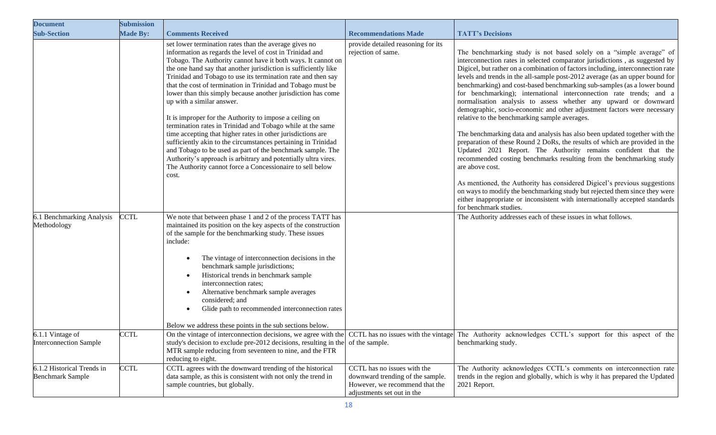| <b>Document</b>                                       | <b>Submission</b> |                                                                                                                                                                                                                                                                                                                                                                                                                                                                                                                                                                                                                                                                                                                                                                                                                                                                                                                                                 |                                                                                                                                 |                                                                                                                                                                                                                                                                                                                                                                                                                                                                                                                                                                                                                                                                                                                                                                                                                                                                                                                                                                                                                                                                                                                                                                                                                                                                      |
|-------------------------------------------------------|-------------------|-------------------------------------------------------------------------------------------------------------------------------------------------------------------------------------------------------------------------------------------------------------------------------------------------------------------------------------------------------------------------------------------------------------------------------------------------------------------------------------------------------------------------------------------------------------------------------------------------------------------------------------------------------------------------------------------------------------------------------------------------------------------------------------------------------------------------------------------------------------------------------------------------------------------------------------------------|---------------------------------------------------------------------------------------------------------------------------------|----------------------------------------------------------------------------------------------------------------------------------------------------------------------------------------------------------------------------------------------------------------------------------------------------------------------------------------------------------------------------------------------------------------------------------------------------------------------------------------------------------------------------------------------------------------------------------------------------------------------------------------------------------------------------------------------------------------------------------------------------------------------------------------------------------------------------------------------------------------------------------------------------------------------------------------------------------------------------------------------------------------------------------------------------------------------------------------------------------------------------------------------------------------------------------------------------------------------------------------------------------------------|
| <b>Sub-Section</b>                                    | <b>Made By:</b>   | <b>Comments Received</b>                                                                                                                                                                                                                                                                                                                                                                                                                                                                                                                                                                                                                                                                                                                                                                                                                                                                                                                        | <b>Recommendations Made</b>                                                                                                     | <b>TATT's Decisions</b>                                                                                                                                                                                                                                                                                                                                                                                                                                                                                                                                                                                                                                                                                                                                                                                                                                                                                                                                                                                                                                                                                                                                                                                                                                              |
|                                                       |                   | set lower termination rates than the average gives no<br>information as regards the level of cost in Trinidad and<br>Tobago. The Authority cannot have it both ways. It cannot on<br>the one hand say that another jurisdiction is sufficiently like<br>Trinidad and Tobago to use its termination rate and then say<br>that the cost of termination in Trinidad and Tobago must be<br>lower than this simply because another jurisdiction has come<br>up with a similar answer.<br>It is improper for the Authority to impose a ceiling on<br>termination rates in Trinidad and Tobago while at the same<br>time accepting that higher rates in other jurisdictions are<br>sufficiently akin to the circumstances pertaining in Trinidad<br>and Tobago to be used as part of the benchmark sample. The<br>Authority's approach is arbitrary and potentially ultra vires.<br>The Authority cannot force a Concessionaire to sell below<br>cost. | provide detailed reasoning for its<br>rejection of same.                                                                        | The benchmarking study is not based solely on a "simple average" of<br>interconnection rates in selected comparator jurisdictions, as suggested by<br>Digicel, but rather on a combination of factors including, interconnection rate<br>levels and trends in the all-sample post-2012 average (as an upper bound for<br>benchmarking) and cost-based benchmarking sub-samples (as a lower bound<br>for benchmarking); international interconnection rate trends; and a<br>normalisation analysis to assess whether any upward or downward<br>demographic, socio-economic and other adjustment factors were necessary<br>relative to the benchmarking sample averages.<br>The benchmarking data and analysis has also been updated together with the<br>preparation of these Round 2 DoRs, the results of which are provided in the<br>Updated 2021 Report. The Authority remains confident that the<br>recommended costing benchmarks resulting from the benchmarking study<br>are above cost.<br>As mentioned, the Authority has considered Digicel's previous suggestions<br>on ways to modify the benchmarking study but rejected them since they were<br>either inappropriate or inconsistent with internationally accepted standards<br>for benchmark studies. |
| 6.1 Benchmarking Analysis<br>Methodology              | <b>CCTL</b>       | We note that between phase 1 and 2 of the process TATT has<br>maintained its position on the key aspects of the construction<br>of the sample for the benchmarking study. These issues<br>include:<br>The vintage of interconnection decisions in the<br>benchmark sample jurisdictions;<br>Historical trends in benchmark sample<br>interconnection rates;<br>Alternative benchmark sample averages<br>considered; and<br>Glide path to recommended interconnection rates<br>Below we address these points in the sub sections below.                                                                                                                                                                                                                                                                                                                                                                                                          |                                                                                                                                 | The Authority addresses each of these issues in what follows.                                                                                                                                                                                                                                                                                                                                                                                                                                                                                                                                                                                                                                                                                                                                                                                                                                                                                                                                                                                                                                                                                                                                                                                                        |
| 6.1.1 Vintage of<br><b>Interconnection Sample</b>     | <b>CCTL</b>       | study's decision to exclude pre-2012 decisions, resulting in the of the sample.<br>MTR sample reducing from seventeen to nine, and the FTR<br>reducing to eight.                                                                                                                                                                                                                                                                                                                                                                                                                                                                                                                                                                                                                                                                                                                                                                                |                                                                                                                                 | On the vintage of interconnection decisions, we agree with the CCTL has no issues with the vintage The Authority acknowledges CCTL's support for this aspect of the<br>benchmarking study.                                                                                                                                                                                                                                                                                                                                                                                                                                                                                                                                                                                                                                                                                                                                                                                                                                                                                                                                                                                                                                                                           |
| 6.1.2 Historical Trends in<br><b>Benchmark Sample</b> | <b>CCTL</b>       | CCTL agrees with the downward trending of the historical<br>data sample, as this is consistent with not only the trend in<br>sample countries, but globally.                                                                                                                                                                                                                                                                                                                                                                                                                                                                                                                                                                                                                                                                                                                                                                                    | CCTL has no issues with the<br>downward trending of the sample.<br>However, we recommend that the<br>adjustments set out in the | The Authority acknowledges CCTL's comments on interconnection rate<br>trends in the region and globally, which is why it has prepared the Updated<br>2021 Report.                                                                                                                                                                                                                                                                                                                                                                                                                                                                                                                                                                                                                                                                                                                                                                                                                                                                                                                                                                                                                                                                                                    |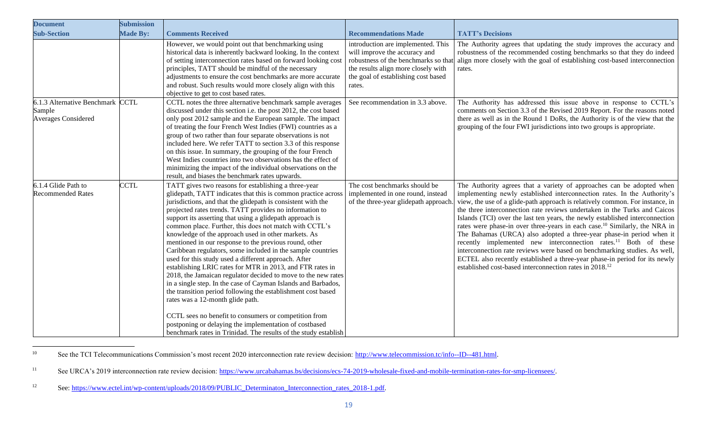| <b>Document</b>                                                          | <b>Submission</b> |                                                                                                                                                                                                                                                                                                                                                                                                                                                                                                                                                                                                                                                                                                                                                                                                                                                                                                                                                                                                                                                                                                         |                                                                                                                                                             |                                                                                                                                                                                                                                                                                                                                                                                                                                                                                                                                                                                                                                                                                                                                                                                                                                                                                    |
|--------------------------------------------------------------------------|-------------------|---------------------------------------------------------------------------------------------------------------------------------------------------------------------------------------------------------------------------------------------------------------------------------------------------------------------------------------------------------------------------------------------------------------------------------------------------------------------------------------------------------------------------------------------------------------------------------------------------------------------------------------------------------------------------------------------------------------------------------------------------------------------------------------------------------------------------------------------------------------------------------------------------------------------------------------------------------------------------------------------------------------------------------------------------------------------------------------------------------|-------------------------------------------------------------------------------------------------------------------------------------------------------------|------------------------------------------------------------------------------------------------------------------------------------------------------------------------------------------------------------------------------------------------------------------------------------------------------------------------------------------------------------------------------------------------------------------------------------------------------------------------------------------------------------------------------------------------------------------------------------------------------------------------------------------------------------------------------------------------------------------------------------------------------------------------------------------------------------------------------------------------------------------------------------|
| <b>Sub-Section</b>                                                       | <b>Made By:</b>   | <b>Comments Received</b>                                                                                                                                                                                                                                                                                                                                                                                                                                                                                                                                                                                                                                                                                                                                                                                                                                                                                                                                                                                                                                                                                | <b>Recommendations Made</b>                                                                                                                                 | <b>TATT's Decisions</b>                                                                                                                                                                                                                                                                                                                                                                                                                                                                                                                                                                                                                                                                                                                                                                                                                                                            |
|                                                                          |                   | However, we would point out that benchmarking using<br>historical data is inherently backward looking. In the context<br>of setting interconnection rates based on forward looking cost<br>principles, TATT should be mindful of the necessary<br>adjustments to ensure the cost benchmarks are more accurate<br>and robust. Such results would more closely align with this<br>objective to get to cost based rates.                                                                                                                                                                                                                                                                                                                                                                                                                                                                                                                                                                                                                                                                                   | introduction are implemented. This<br>will improve the accuracy and<br>the results align more closely with<br>the goal of establishing cost based<br>rates. | The Authority agrees that updating the study improves the accuracy and<br>robustness of the recommended costing benchmarks so that they do indeed<br>robustness of the benchmarks so that align more closely with the goal of establishing cost-based interconnection<br>rates.                                                                                                                                                                                                                                                                                                                                                                                                                                                                                                                                                                                                    |
| 6.1.3 Alternative Benchmark CCTL<br>Sample<br><b>Averages Considered</b> |                   | CCTL notes the three alternative benchmark sample averages<br>discussed under this section i.e. the post 2012, the cost based<br>only post 2012 sample and the European sample. The impact<br>of treating the four French West Indies (FWI) countries as a<br>group of two rather than four separate observations is not<br>included here. We refer TATT to section 3.3 of this response<br>on this issue. In summary, the grouping of the four French<br>West Indies countries into two observations has the effect of<br>minimizing the impact of the individual observations on the<br>result, and biases the benchmark rates upwards.                                                                                                                                                                                                                                                                                                                                                                                                                                                               | See recommendation in 3.3 above.                                                                                                                            | The Authority has addressed this issue above in response to CCTL's<br>comments on Section 3.3 of the Revised 2019 Report. For the reasons noted<br>there as well as in the Round 1 DoRs, the Authority is of the view that the<br>grouping of the four FWI jurisdictions into two groups is appropriate.                                                                                                                                                                                                                                                                                                                                                                                                                                                                                                                                                                           |
| 6.1.4 Glide Path to<br><b>Recommended Rates</b>                          | <b>CCTL</b>       | TATT gives two reasons for establishing a three-year<br>glidepath, TATT indicates that this is common practice across<br>jurisdictions, and that the glidepath is consistent with the<br>projected rates trends. TATT provides no information to<br>support its asserting that using a glidepath approach is<br>common place. Further, this does not match with CCTL's<br>knowledge of the approach used in other markets. As<br>mentioned in our response to the previous round, other<br>Caribbean regulators, some included in the sample countries<br>used for this study used a different approach. After<br>establishing LRIC rates for MTR in 2013, and FTR rates in<br>2018, the Jamaican regulator decided to move to the new rates<br>in a single step. In the case of Cayman Islands and Barbados,<br>the transition period following the establishment cost based<br>rates was a 12-month glide path.<br>CCTL sees no benefit to consumers or competition from<br>postponing or delaying the implementation of costbased<br>benchmark rates in Trinidad. The results of the study establish | The cost benchmarks should be<br>implemented in one round, instead<br>of the three-year glidepath approach                                                  | The Authority agrees that a variety of approaches can be adopted when<br>implementing newly established interconnection rates. In the Authority's<br>view, the use of a glide-path approach is relatively common. For instance, in<br>the three interconnection rate reviews undertaken in the Turks and Caicos<br>Islands (TCI) over the last ten years, the newly established interconnection<br>rates were phase-in over three-years in each case. <sup>10</sup> Similarly, the NRA in<br>The Bahamas (URCA) also adopted a three-year phase-in period when it<br>recently implemented new interconnection rates. <sup>11</sup> Both of these<br>interconnection rate reviews were based on benchmarking studies. As well,<br>ECTEL also recently established a three-year phase-in period for its newly<br>established cost-based interconnection rates in 2018. <sup>12</sup> |

<sup>&</sup>lt;sup>10</sup> See the TCI Telecommunications Commission's most recent 2020 interconnection rate review decision: [http://www.telecommission.tc/info--ID--481.html.](http://www.telecommission.tc/info--ID--481.html)

<sup>&</sup>lt;sup>11</sup> See URCA's 2019 interconnection rate review decision: [https://www.urcabahamas.bs/decisions/ecs-74-2019-wholesale-fixed-and-mobile-termination-rates-for-smp-licensees/.](https://www.urcabahamas.bs/decisions/ecs-74-2019-wholesale-fixed-and-mobile-termination-rates-for-smp-licensees/)

<sup>12</sup> See: [https://www.ectel.int/wp-content/uploads/2018/09/PUBLIC\\_Determinaton\\_Interconnection\\_rates\\_2018-1.pdf.](https://www.ectel.int/wp-content/uploads/2018/09/PUBLIC_Determinaton_Interconnection_rates_2018-1.pdf)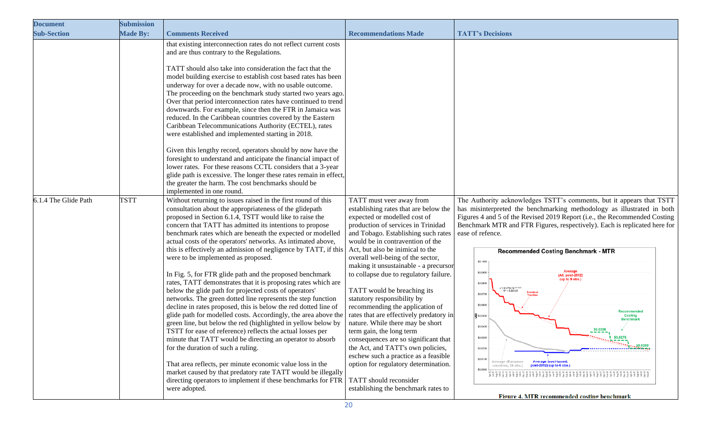| <b>Document</b>      | <b>Submission</b> |                                                                                                                                                                                                                                                                                                                                                                                                                                                                                                                                                                                                                                                                                                                                                                                                                                                                                                                                                                                                                                                                                                                                                                                                                                                                                                                                     |                                                                                                                                                                                                                                                                                                                                                                                                                                                                                                                                                                                                                                                                                                                                                                                                                          |                                                                                                                                                                                                                                                                                                                                                                                                                                                                                                                                                                                                                                                                                                                                                                                                                                                    |
|----------------------|-------------------|-------------------------------------------------------------------------------------------------------------------------------------------------------------------------------------------------------------------------------------------------------------------------------------------------------------------------------------------------------------------------------------------------------------------------------------------------------------------------------------------------------------------------------------------------------------------------------------------------------------------------------------------------------------------------------------------------------------------------------------------------------------------------------------------------------------------------------------------------------------------------------------------------------------------------------------------------------------------------------------------------------------------------------------------------------------------------------------------------------------------------------------------------------------------------------------------------------------------------------------------------------------------------------------------------------------------------------------|--------------------------------------------------------------------------------------------------------------------------------------------------------------------------------------------------------------------------------------------------------------------------------------------------------------------------------------------------------------------------------------------------------------------------------------------------------------------------------------------------------------------------------------------------------------------------------------------------------------------------------------------------------------------------------------------------------------------------------------------------------------------------------------------------------------------------|----------------------------------------------------------------------------------------------------------------------------------------------------------------------------------------------------------------------------------------------------------------------------------------------------------------------------------------------------------------------------------------------------------------------------------------------------------------------------------------------------------------------------------------------------------------------------------------------------------------------------------------------------------------------------------------------------------------------------------------------------------------------------------------------------------------------------------------------------|
| <b>Sub-Section</b>   | <b>Made By:</b>   | <b>Comments Received</b>                                                                                                                                                                                                                                                                                                                                                                                                                                                                                                                                                                                                                                                                                                                                                                                                                                                                                                                                                                                                                                                                                                                                                                                                                                                                                                            | <b>Recommendations Made</b>                                                                                                                                                                                                                                                                                                                                                                                                                                                                                                                                                                                                                                                                                                                                                                                              | <b>TATT's Decisions</b>                                                                                                                                                                                                                                                                                                                                                                                                                                                                                                                                                                                                                                                                                                                                                                                                                            |
|                      |                   | that existing interconnection rates do not reflect current costs<br>and are thus contrary to the Regulations.<br>TATT should also take into consideration the fact that the<br>model building exercise to establish cost based rates has been<br>underway for over a decade now, with no usable outcome.<br>The proceeding on the benchmark study started two years ago.<br>Over that period interconnection rates have continued to trend<br>downwards. For example, since then the FTR in Jamaica was<br>reduced. In the Caribbean countries covered by the Eastern<br>Caribbean Telecommunications Authority (ECTEL), rates<br>were established and implemented starting in 2018.<br>Given this lengthy record, operators should by now have the<br>foresight to understand and anticipate the financial impact of<br>lower rates. For these reasons CCTL considers that a 3-year<br>glide path is excessive. The longer these rates remain in effect,<br>the greater the harm. The cost benchmarks should be<br>implemented in one round.                                                                                                                                                                                                                                                                                       |                                                                                                                                                                                                                                                                                                                                                                                                                                                                                                                                                                                                                                                                                                                                                                                                                          |                                                                                                                                                                                                                                                                                                                                                                                                                                                                                                                                                                                                                                                                                                                                                                                                                                                    |
| 6.1.4 The Glide Path | <b>TSTT</b>       | Without returning to issues raised in the first round of this<br>consultation about the appropriateness of the glidepath<br>proposed in Section 6.1.4, TSTT would like to raise the<br>concern that TATT has admitted its intentions to propose<br>benchmark rates which are beneath the expected or modelled<br>actual costs of the operators' networks. As intimated above,<br>this is effectively an admission of negligence by TATT, if this<br>were to be implemented as proposed.<br>In Fig. 5, for FTR glide path and the proposed benchmark<br>rates, TATT demonstrates that it is proposing rates which are<br>below the glide path for projected costs of operators'<br>networks. The green dotted line represents the step function<br>decline in rates proposed, this is below the red dotted line of<br>glide path for modelled costs. Accordingly, the area above the<br>green line, but below the red (highlighted in yellow below by<br>TSTT for ease of reference) reflects the actual losses per<br>minute that TATT would be directing an operator to absorb<br>for the duration of such a ruling.<br>That area reflects, per minute economic value loss in the<br>market caused by that predatory rate TATT would be illegally<br>directing operators to implement if these benchmarks for FTR<br>were adopted. | TATT must veer away from<br>establishing rates that are below the<br>expected or modelled cost of<br>production of services in Trinidad<br>and Tobago. Establishing such rates<br>would be in contravention of the<br>Act, but also be inimical to the<br>overall well-being of the sector,<br>making it unsustainable - a precursor<br>to collapse due to regulatory failure.<br>TATT would be breaching its<br>statutory responsibility by<br>recommending the application of<br>rates that are effectively predatory in<br>nature. While there may be short<br>term gain, the long term<br>consequences are so significant that<br>the Act, and TATT's own policies,<br>eschew such a practice as a feasible<br>option for regulatory determination.<br>TATT should reconsider<br>establishing the benchmark rates to | The Authority acknowledges TSTT's comments, but it appears that TSTT<br>has misinterpreted the benchmarking methodology as illustrated in both<br>Figures 4 and 5 of the Revised 2019 Report (i.e., the Recommended Costing<br>Benchmark MTR and FTR Figures, respectively). Each is replicated here for<br>ease of refence.<br>Recommended Costing Benchmark - MTR<br>\$0,1000<br>\$0,0900<br>(All, post-2012)<br>(up to 9 obs.)<br>\$0.0800<br>y = 0.07637e-001525<br>$R^2 = 0.96125$<br>\$0.0700<br>\$0.0600<br>Recommended<br>$\frac{1}{20}$ \$0.0500 $\cdot$<br><b>Costing</b><br><b>Benchmark</b><br>\$0,0400<br>\$0.0350<br>$\frac{1}{20.0275}$<br>\$0.0200<br>\$0.0100<br>Average (European <b>Average (cost-based,</b><br>countries, 36 obs.) <b>post-2012) (up to 6 obs.)</b><br>\$0,0000<br>Figure 4. MTR recommended costing benchmark |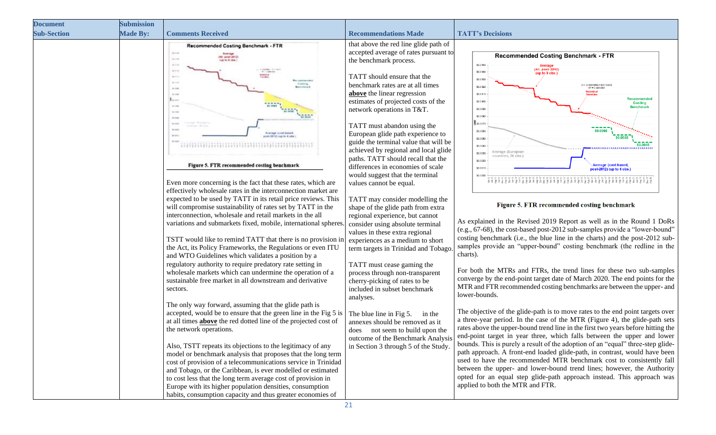| <b>Document</b>    | <b>Submission</b> |                                                                                                                                                                                                                                                                                                                                                                                                                                                                                                                                                                                                                                                                                                                                                                |                                                                                                                                                                                                                                                                                                                                                                                              |                                                                                                                                                                                                                                                                                                                                                                                                                                                                                                                                                                                                                                                                                                                                                                                                                                                                                                                                        |
|--------------------|-------------------|----------------------------------------------------------------------------------------------------------------------------------------------------------------------------------------------------------------------------------------------------------------------------------------------------------------------------------------------------------------------------------------------------------------------------------------------------------------------------------------------------------------------------------------------------------------------------------------------------------------------------------------------------------------------------------------------------------------------------------------------------------------|----------------------------------------------------------------------------------------------------------------------------------------------------------------------------------------------------------------------------------------------------------------------------------------------------------------------------------------------------------------------------------------------|----------------------------------------------------------------------------------------------------------------------------------------------------------------------------------------------------------------------------------------------------------------------------------------------------------------------------------------------------------------------------------------------------------------------------------------------------------------------------------------------------------------------------------------------------------------------------------------------------------------------------------------------------------------------------------------------------------------------------------------------------------------------------------------------------------------------------------------------------------------------------------------------------------------------------------------|
| <b>Sub-Section</b> | <b>Made By:</b>   | <b>Comments Received</b>                                                                                                                                                                                                                                                                                                                                                                                                                                                                                                                                                                                                                                                                                                                                       | <b>Recommendations Made</b>                                                                                                                                                                                                                                                                                                                                                                  | <b>TATT's Decisions</b>                                                                                                                                                                                                                                                                                                                                                                                                                                                                                                                                                                                                                                                                                                                                                                                                                                                                                                                |
|                    |                   | Recommended Costing Benchmark - FTR<br>$-25 - 12$<br><b>Romage</b><br>All: power-2012<br>ALC: U<br><b>SECTION</b><br><b>Bridge</b><br><b>VATAUX DIVAT BASE</b><br><b>William</b><br>and 2012) can be 4 cold.                                                                                                                                                                                                                                                                                                                                                                                                                                                                                                                                                   | that above the red line glide path of<br>accepted average of rates pursuant to<br>the benchmark process.<br>TATT should ensure that the<br>benchmark rates are at all times<br>above the linear regression<br>estimates of projected costs of the<br>network operations in T&T.<br>TATT must abandon using the<br>European glide path experience to<br>guide the terminal value that will be | <b>Recommended Costing Benchmark - FTR</b><br>\$0.0150<br>Average<br>(All, post-2012)<br>\$0.0140<br>(up to 8 obs.)<br>\$0.0130<br>$y = -0.000089x + 0.013433$<br>\$0.0120<br>$R^2 = 0.984304$<br>\$0.0110<br>Recommended<br>\$0.0100<br>Costing<br>Benchmar<br>\$0.0090<br>\$0,0080<br>\$30.0070<br>\$0.0060<br>\$0,0050                                                                                                                                                                                                                                                                                                                                                                                                                                                                                                                                                                                                              |
|                    |                   | Figure 5. FTR recommended costing benchmark<br>Even more concerning is the fact that these rates, which are<br>effectively wholesale rates in the interconnection market are                                                                                                                                                                                                                                                                                                                                                                                                                                                                                                                                                                                   | achieved by regional and local glide<br>paths. TATT should recall that the<br>differences in economies of scale<br>would suggest that the terminal<br>values cannot be equal.                                                                                                                                                                                                                | \$0.0040<br>verage (European<br>\$0.0030<br>countries, 36 obs.)<br>\$0.0020<br>Average (cost-based,<br>\$0,0010<br>ost-2012) (up to 4 obs.)<br>\$0.000                                                                                                                                                                                                                                                                                                                                                                                                                                                                                                                                                                                                                                                                                                                                                                                 |
|                    |                   | expected to be used by TATT in its retail price reviews. This<br>will compromise sustainability of rates set by TATT in the<br>interconnection, wholesale and retail markets in the all<br>variations and submarkets fixed, mobile, international spheres<br>TSTT would like to remind TATT that there is no provision in<br>the Act, its Policy Frameworks, the Regulations or even ITU<br>and WTO Guidelines which validates a position by a<br>regulatory authority to require predatory rate setting in<br>wholesale markets which can undermine the operation of a                                                                                                                                                                                        | TATT may consider modelling the<br>shape of the glide path from extra<br>regional experience, but cannot<br>consider using absolute terminal<br>values in these extra regional<br>experiences as a medium to short<br>term targets in Trinidad and Tobago.<br>TATT must cease gaming the<br>process through non-transparent                                                                  | Figure 5. FTR recommended costing benchmark<br>As explained in the Revised 2019 Report as well as in the Round 1 DoRs<br>(e.g., 67-68), the cost-based post-2012 sub-samples provide a "lower-bound"<br>costing benchmark (i.e., the blue line in the charts) and the post-2012 sub-<br>samples provide an "upper-bound" costing benchmark (the redline in the<br>charts).<br>For both the MTRs and FTRs, the trend lines for these two sub-samples                                                                                                                                                                                                                                                                                                                                                                                                                                                                                    |
|                    |                   | sustainable free market in all downstream and derivative<br>sectors.<br>The only way forward, assuming that the glide path is<br>accepted, would be to ensure that the green line in the Fig 5 is<br>at all times <b>above</b> the red dotted line of the projected cost of<br>the network operations.<br>Also, TSTT repeats its objections to the legitimacy of any<br>model or benchmark analysis that proposes that the long term<br>cost of provision of a telecommunications service in Trinidad<br>and Tobago, or the Caribbean, is ever modelled or estimated<br>to cost less that the long term average cost of provision in<br>Europe with its higher population densities, consumption<br>habits, consumption capacity and thus greater economies of | cherry-picking of rates to be<br>included in subset benchmark<br>analyses.<br>The blue line in Fig 5.<br>in the<br>annexes should be removed as it<br>does not seem to build upon the<br>outcome of the Benchmark Analysis<br>in Section 3 through 5 of the Study.                                                                                                                           | converge by the end-point target date of March 2020. The end points for the<br>MTR and FTR recommended costing benchmarks are between the upper- and<br>lower-bounds.<br>The objective of the glide-path is to move rates to the end point targets over<br>a three-year period. In the case of the MTR (Figure 4), the glide-path sets<br>rates above the upper-bound trend line in the first two years before hitting the<br>end-point target in year three, which falls between the upper and lower<br>bounds. This is purely a result of the adoption of an "equal" three-step glide-<br>path approach. A front-end loaded glide-path, in contrast, would have been<br>used to have the recommended MTR benchmark cost to consistently fall<br>between the upper- and lower-bound trend lines; however, the Authority<br>opted for an equal step glide-path approach instead. This approach was<br>applied to both the MTR and FTR. |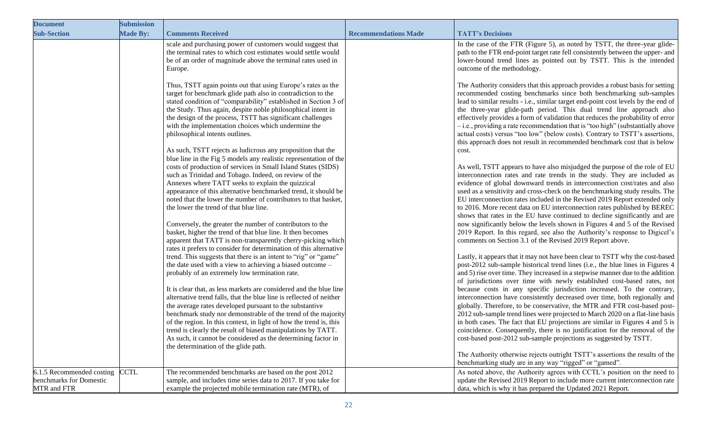| <b>Document</b>                                                     | <b>Submission</b> |                                                                                                                                                                                                                                                                                                                                                                                                                                                                                                                                                                                                                                                                                                                                                                                                                                                                                                                                                                                                                                                                                                                                     |                             |                                                                                                                                                                                                                                                                                                                                                                                                                                                                                                                                                                                                                                                                                                                                                                                                                                                                                                                                                                                                                                                                                                                                                                                                                                                                                                                                                                                                                         |
|---------------------------------------------------------------------|-------------------|-------------------------------------------------------------------------------------------------------------------------------------------------------------------------------------------------------------------------------------------------------------------------------------------------------------------------------------------------------------------------------------------------------------------------------------------------------------------------------------------------------------------------------------------------------------------------------------------------------------------------------------------------------------------------------------------------------------------------------------------------------------------------------------------------------------------------------------------------------------------------------------------------------------------------------------------------------------------------------------------------------------------------------------------------------------------------------------------------------------------------------------|-----------------------------|-------------------------------------------------------------------------------------------------------------------------------------------------------------------------------------------------------------------------------------------------------------------------------------------------------------------------------------------------------------------------------------------------------------------------------------------------------------------------------------------------------------------------------------------------------------------------------------------------------------------------------------------------------------------------------------------------------------------------------------------------------------------------------------------------------------------------------------------------------------------------------------------------------------------------------------------------------------------------------------------------------------------------------------------------------------------------------------------------------------------------------------------------------------------------------------------------------------------------------------------------------------------------------------------------------------------------------------------------------------------------------------------------------------------------|
| <b>Sub-Section</b>                                                  | <b>Made By:</b>   | <b>Comments Received</b>                                                                                                                                                                                                                                                                                                                                                                                                                                                                                                                                                                                                                                                                                                                                                                                                                                                                                                                                                                                                                                                                                                            | <b>Recommendations Made</b> | <b>TATT's Decisions</b>                                                                                                                                                                                                                                                                                                                                                                                                                                                                                                                                                                                                                                                                                                                                                                                                                                                                                                                                                                                                                                                                                                                                                                                                                                                                                                                                                                                                 |
|                                                                     |                   | scale and purchasing power of customers would suggest that<br>the terminal rates to which cost estimates would settle would<br>be of an order of magnitude above the terminal rates used in<br>Europe.<br>Thus, TSTT again points out that using Europe's rates as the<br>target for benchmark glide path also in contradiction to the<br>stated condition of "comparability" established in Section 3 of<br>the Study. Thus again, despite noble philosophical intent in<br>the design of the process, TSTT has significant challenges<br>with the implementation choices which undermine the<br>philosophical intents outlines.<br>As such, TSTT rejects as ludicrous any proposition that the<br>blue line in the Fig 5 models any realistic representation of the<br>costs of production of services in Small Island States (SIDS)<br>such as Trinidad and Tobago. Indeed, on review of the<br>Annexes where TATT seeks to explain the quizzical<br>appearance of this alternative benchmarked trend, it should be<br>noted that the lower the number of contributors to that basket,<br>the lower the trend of that blue line. |                             | In the case of the FTR (Figure 5), as noted by TSTT, the three-year glide-<br>path to the FTR end-point target rate fell consistently between the upper- and<br>lower-bound trend lines as pointed out by TSTT. This is the intended<br>outcome of the methodology.<br>The Authority considers that this approach provides a robust basis for setting<br>recommended costing benchmarks since both benchmarking sub-samples<br>lead to similar results - i.e., similar target end-point cost levels by the end of<br>the three-year glide-path period. This dual trend line approach also<br>effectively provides a form of validation that reduces the probability of error<br>$-i.e.,$ providing a rate recommendation that is "too high" (substantially above<br>actual costs) versus "too low" (below costs). Contrary to TSTT's assertions,<br>this approach does not result in recommended benchmark cost that is below<br>cost.<br>As well, TSTT appears to have also misjudged the purpose of the role of EU<br>interconnection rates and rate trends in the study. They are included as<br>evidence of global downward trends in interconnection cost/rates and also<br>used as a sensitivity and cross-check on the benchmarking study results. The<br>EU interconnection rates included in the Revised 2019 Report extended only<br>to 2016. More recent data on EU interconnection rates published by BEREC |
|                                                                     |                   | Conversely, the greater the number of contributors to the<br>basket, higher the trend of that blue line. It then becomes<br>apparent that TATT is non-transparently cherry-picking which<br>rates it prefers to consider for determination of this alternative<br>trend. This suggests that there is an intent to "rig" or "game"<br>the date used with a view to achieving a biased outcome -<br>probably of an extremely low termination rate.<br>It is clear that, as less markets are considered and the blue line<br>alternative trend falls, that the blue line is reflected of neither<br>the average rates developed pursuant to the substantive<br>benchmark study nor demonstrable of the trend of the majority<br>of the region. In this context, in light of how the trend is, this<br>trend is clearly the result of biased manipulations by TATT.<br>As such, it cannot be considered as the determining factor in<br>the determination of the glide path.                                                                                                                                                            |                             | shows that rates in the EU have continued to decline significantly and are<br>now significantly below the levels shown in Figures 4 and 5 of the Revised<br>2019 Report. In this regard, see also the Authority's response to Digicel's<br>comments on Section 3.1 of the Revised 2019 Report above.<br>Lastly, it appears that it may not have been clear to TSTT why the cost-based<br>post-2012 sub-sample historical trend lines (i.e., the blue lines in Figures 4<br>and 5) rise over time. They increased in a stepwise manner due to the addition<br>of jurisdictions over time with newly established cost-based rates, not<br>because costs in any specific jurisdiction increased. To the contrary,<br>interconnection have consistently decreased over time, both regionally and<br>globally. Therefore, to be conservative, the MTR and FTR cost-based post-<br>2012 sub-sample trend lines were projected to March 2020 on a flat-line basis<br>in both cases. The fact that EU projections are similar in Figures 4 and 5 is<br>coincidence. Consequently, there is no justification for the removal of the<br>cost-based post-2012 sub-sample projections as suggested by TSTT.<br>The Authority otherwise rejects outright TSTT's assertions the results of the<br>benchmarking study are in any way "rigged" or "gamed".                                                                              |
| 6.1.5 Recommended costing<br>benchmarks for Domestic<br>MTR and FTR | <b>CTL</b>        | The recommended benchmarks are based on the post 2012<br>sample, and includes time series data to 2017. If you take for<br>example the projected mobile termination rate (MTR), of                                                                                                                                                                                                                                                                                                                                                                                                                                                                                                                                                                                                                                                                                                                                                                                                                                                                                                                                                  |                             | As noted above, the Authority agrees with CCTL's position on the need to<br>update the Revised 2019 Report to include more current interconnection rate<br>data, which is why it has prepared the Updated 2021 Report.                                                                                                                                                                                                                                                                                                                                                                                                                                                                                                                                                                                                                                                                                                                                                                                                                                                                                                                                                                                                                                                                                                                                                                                                  |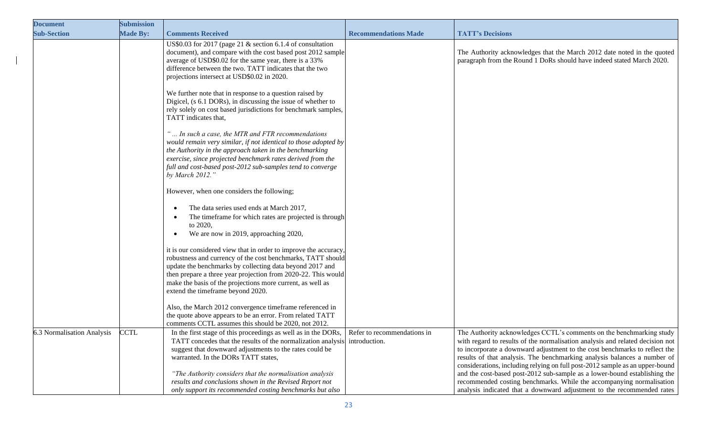| <b>Document</b>            | <b>Submission</b> |                                                                                                                                                                                                                                                                                                                                                                 |                             |                                                                                                                                                                                                                                                                                                                                                                                                 |
|----------------------------|-------------------|-----------------------------------------------------------------------------------------------------------------------------------------------------------------------------------------------------------------------------------------------------------------------------------------------------------------------------------------------------------------|-----------------------------|-------------------------------------------------------------------------------------------------------------------------------------------------------------------------------------------------------------------------------------------------------------------------------------------------------------------------------------------------------------------------------------------------|
| <b>Sub-Section</b>         | <b>Made By:</b>   | <b>Comments Received</b>                                                                                                                                                                                                                                                                                                                                        | <b>Recommendations Made</b> | <b>TATT's Decisions</b>                                                                                                                                                                                                                                                                                                                                                                         |
|                            |                   | US\$0.03 for 2017 (page 21 & section 6.1.4 of consultation<br>document), and compare with the cost based post 2012 sample<br>average of USD\$0.02 for the same year, there is a 33%<br>difference between the two. TATT indicates that the two<br>projections intersect at USD\$0.02 in 2020.                                                                   |                             | The Authority acknowledges that the March 2012 date noted in the quoted<br>paragraph from the Round 1 DoRs should have indeed stated March 2020.                                                                                                                                                                                                                                                |
|                            |                   | We further note that in response to a question raised by<br>Digicel, (s 6.1 DORs), in discussing the issue of whether to<br>rely solely on cost based jurisdictions for benchmark samples,<br>TATT indicates that,                                                                                                                                              |                             |                                                                                                                                                                                                                                                                                                                                                                                                 |
|                            |                   | " In such a case, the MTR and FTR recommendations<br>would remain very similar, if not identical to those adopted by<br>the Authority in the approach taken in the benchmarking<br>exercise, since projected benchmark rates derived from the<br>full and cost-based post-2012 sub-samples tend to converge<br>by March 2012."                                  |                             |                                                                                                                                                                                                                                                                                                                                                                                                 |
|                            |                   | However, when one considers the following;<br>The data series used ends at March 2017,<br>$\bullet$<br>The timeframe for which rates are projected is through<br>$\bullet$<br>to 2020,<br>We are now in 2019, approaching 2020,                                                                                                                                 |                             |                                                                                                                                                                                                                                                                                                                                                                                                 |
|                            |                   | it is our considered view that in order to improve the accuracy,<br>robustness and currency of the cost benchmarks, TATT should<br>update the benchmarks by collecting data beyond 2017 and<br>then prepare a three year projection from 2020-22. This would<br>make the basis of the projections more current, as well as<br>extend the timeframe beyond 2020. |                             |                                                                                                                                                                                                                                                                                                                                                                                                 |
|                            |                   | Also, the March 2012 convergence timeframe referenced in<br>the quote above appears to be an error. From related TATT<br>comments CCTL assumes this should be 2020, not 2012.                                                                                                                                                                                   |                             |                                                                                                                                                                                                                                                                                                                                                                                                 |
| 6.3 Normalisation Analysis | <b>CCTL</b>       | In the first stage of this proceedings as well as in the DORs,<br>TATT concedes that the results of the normalization analysis introduction.<br>suggest that downward adjustments to the rates could be<br>warranted. In the DORs TATT states,                                                                                                                  | Refer to recommendations in | The Authority acknowledges CCTL's comments on the benchmarking study<br>with regard to results of the normalisation analysis and related decision not<br>to incorporate a downward adjustment to the cost benchmarks to reflect the<br>results of that analysis. The benchmarking analysis balances a number of<br>considerations, including relying on full post-2012 sample as an upper-bound |
|                            |                   | "The Authority considers that the normalisation analysis<br>results and conclusions shown in the Revised Report not<br>only support its recommended costing benchmarks but also                                                                                                                                                                                 |                             | and the cost-based post-2012 sub-sample as a lower-bound establishing the<br>recommended costing benchmarks. While the accompanying normalisation<br>analysis indicated that a downward adjustment to the recommended rates                                                                                                                                                                     |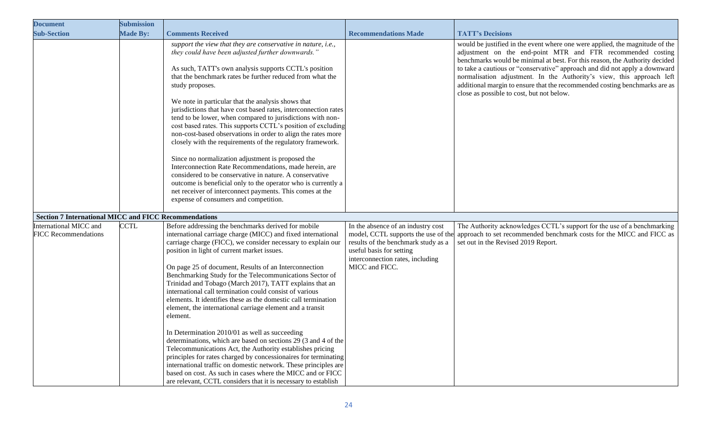| <b>Document</b>                                              | <b>Submission</b> |                                                                                                                                                                                                                                                                                                                                                                                                                                                                                                                                                                                                                                                                                                                                                                                                                                                                                                                                                                                                                                                                                |                                                                                                                                                                                                    |                                                                                                                                                                                                                                                                                                                                                                                                                                                                                                              |
|--------------------------------------------------------------|-------------------|--------------------------------------------------------------------------------------------------------------------------------------------------------------------------------------------------------------------------------------------------------------------------------------------------------------------------------------------------------------------------------------------------------------------------------------------------------------------------------------------------------------------------------------------------------------------------------------------------------------------------------------------------------------------------------------------------------------------------------------------------------------------------------------------------------------------------------------------------------------------------------------------------------------------------------------------------------------------------------------------------------------------------------------------------------------------------------|----------------------------------------------------------------------------------------------------------------------------------------------------------------------------------------------------|--------------------------------------------------------------------------------------------------------------------------------------------------------------------------------------------------------------------------------------------------------------------------------------------------------------------------------------------------------------------------------------------------------------------------------------------------------------------------------------------------------------|
| <b>Sub-Section</b>                                           | <b>Made By:</b>   | <b>Comments Received</b>                                                                                                                                                                                                                                                                                                                                                                                                                                                                                                                                                                                                                                                                                                                                                                                                                                                                                                                                                                                                                                                       | <b>Recommendations Made</b>                                                                                                                                                                        | <b>TATT's Decisions</b>                                                                                                                                                                                                                                                                                                                                                                                                                                                                                      |
|                                                              |                   | support the view that they are conservative in nature, i.e.,<br>they could have been adjusted further downwards."<br>As such, TATT's own analysis supports CCTL's position<br>that the benchmark rates be further reduced from what the<br>study proposes.<br>We note in particular that the analysis shows that<br>jurisdictions that have cost based rates, interconnection rates<br>tend to be lower, when compared to jurisdictions with non-<br>cost based rates. This supports CCTL's position of excluding<br>non-cost-based observations in order to align the rates more<br>closely with the requirements of the regulatory framework.<br>Since no normalization adjustment is proposed the<br>Interconnection Rate Recommendations, made herein, are<br>considered to be conservative in nature. A conservative<br>outcome is beneficial only to the operator who is currently a<br>net receiver of interconnect payments. This comes at the<br>expense of consumers and competition.                                                                                |                                                                                                                                                                                                    | would be justified in the event where one were applied, the magnitude of the<br>adjustment on the end-point MTR and FTR recommended costing<br>benchmarks would be minimal at best. For this reason, the Authority decided<br>to take a cautious or "conservative" approach and did not apply a downward<br>normalisation adjustment. In the Authority's view, this approach left<br>additional margin to ensure that the recommended costing benchmarks are as<br>close as possible to cost, but not below. |
| <b>Section 7 International MICC and FICC Recommendations</b> |                   |                                                                                                                                                                                                                                                                                                                                                                                                                                                                                                                                                                                                                                                                                                                                                                                                                                                                                                                                                                                                                                                                                |                                                                                                                                                                                                    |                                                                                                                                                                                                                                                                                                                                                                                                                                                                                                              |
| International MICC and<br><b>FICC Recommendations</b>        | <b>CCTL</b>       | Before addressing the benchmarks derived for mobile<br>international carriage charge (MICC) and fixed international<br>carriage charge (FICC), we consider necessary to explain our<br>position in light of current market issues.<br>On page 25 of document, Results of an Interconnection<br>Benchmarking Study for the Telecommunications Sector of<br>Trinidad and Tobago (March 2017), TATT explains that an<br>international call termination could consist of various<br>elements. It identifies these as the domestic call termination<br>element, the international carriage element and a transit<br>element.<br>In Determination 2010/01 as well as succeeding<br>determinations, which are based on sections 29 (3 and 4 of the<br>Telecommunications Act, the Authority establishes pricing<br>principles for rates charged by concessionaires for terminating<br>international traffic on domestic network. These principles are<br>based on cost. As such in cases where the MICC and or FICC<br>are relevant, CCTL considers that it is necessary to establish | In the absence of an industry cost<br>model, CCTL supports the use of the<br>results of the benchmark study as a<br>useful basis for setting<br>interconnection rates, including<br>MICC and FICC. | The Authority acknowledges CCTL's support for the use of a benchmarking<br>approach to set recommended benchmark costs for the MICC and FICC as<br>set out in the Revised 2019 Report.                                                                                                                                                                                                                                                                                                                       |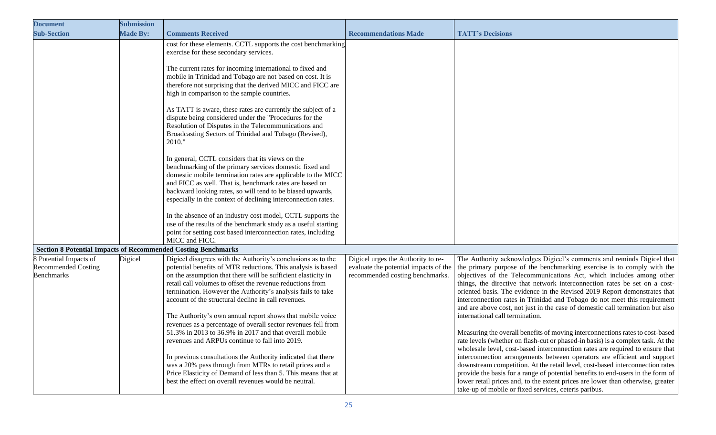| <b>Document</b>                                                           | <b>Submission</b> |                                                                                                                                                                                                                                                                                                                                                                                                                                                                                                                                                                                                                                                                                                                                                                                                                                                                                                                                                                                                                                                                                                                                                                                                    |                                                                                                                |                                                                                                                                                                                                                                                                                                                                                                                                                                                                                                                                                                                                                                                                                                                                                                                                                                                                                                                                                                                                                                                                                                                                                                                                                                        |
|---------------------------------------------------------------------------|-------------------|----------------------------------------------------------------------------------------------------------------------------------------------------------------------------------------------------------------------------------------------------------------------------------------------------------------------------------------------------------------------------------------------------------------------------------------------------------------------------------------------------------------------------------------------------------------------------------------------------------------------------------------------------------------------------------------------------------------------------------------------------------------------------------------------------------------------------------------------------------------------------------------------------------------------------------------------------------------------------------------------------------------------------------------------------------------------------------------------------------------------------------------------------------------------------------------------------|----------------------------------------------------------------------------------------------------------------|----------------------------------------------------------------------------------------------------------------------------------------------------------------------------------------------------------------------------------------------------------------------------------------------------------------------------------------------------------------------------------------------------------------------------------------------------------------------------------------------------------------------------------------------------------------------------------------------------------------------------------------------------------------------------------------------------------------------------------------------------------------------------------------------------------------------------------------------------------------------------------------------------------------------------------------------------------------------------------------------------------------------------------------------------------------------------------------------------------------------------------------------------------------------------------------------------------------------------------------|
| <b>Sub-Section</b>                                                        | <b>Made By:</b>   | <b>Comments Received</b>                                                                                                                                                                                                                                                                                                                                                                                                                                                                                                                                                                                                                                                                                                                                                                                                                                                                                                                                                                                                                                                                                                                                                                           | <b>Recommendations Made</b>                                                                                    | <b>TATT's Decisions</b>                                                                                                                                                                                                                                                                                                                                                                                                                                                                                                                                                                                                                                                                                                                                                                                                                                                                                                                                                                                                                                                                                                                                                                                                                |
|                                                                           |                   | cost for these elements. CCTL supports the cost benchmarking<br>exercise for these secondary services.<br>The current rates for incoming international to fixed and<br>mobile in Trinidad and Tobago are not based on cost. It is<br>therefore not surprising that the derived MICC and FICC are<br>high in comparison to the sample countries.<br>As TATT is aware, these rates are currently the subject of a<br>dispute being considered under the "Procedures for the<br>Resolution of Disputes in the Telecommunications and<br>Broadcasting Sectors of Trinidad and Tobago (Revised),<br>2010."<br>In general, CCTL considers that its views on the<br>benchmarking of the primary services domestic fixed and<br>domestic mobile termination rates are applicable to the MICC<br>and FICC as well. That is, benchmark rates are based on<br>backward looking rates, so will tend to be biased upwards,<br>especially in the context of declining interconnection rates.<br>In the absence of an industry cost model, CCTL supports the<br>use of the results of the benchmark study as a useful starting<br>point for setting cost based interconnection rates, including<br>MICC and FICC. |                                                                                                                |                                                                                                                                                                                                                                                                                                                                                                                                                                                                                                                                                                                                                                                                                                                                                                                                                                                                                                                                                                                                                                                                                                                                                                                                                                        |
| <b>Section 8 Potential Impacts of Recommended Costing Benchmarks</b>      |                   |                                                                                                                                                                                                                                                                                                                                                                                                                                                                                                                                                                                                                                                                                                                                                                                                                                                                                                                                                                                                                                                                                                                                                                                                    |                                                                                                                |                                                                                                                                                                                                                                                                                                                                                                                                                                                                                                                                                                                                                                                                                                                                                                                                                                                                                                                                                                                                                                                                                                                                                                                                                                        |
| 8 Potential Impacts of<br><b>Recommended Costing</b><br><b>Benchmarks</b> | Digicel           | Digicel disagrees with the Authority's conclusions as to the<br>potential benefits of MTR reductions. This analysis is based<br>on the assumption that there will be sufficient elasticity in<br>retail call volumes to offset the revenue reductions from<br>termination. However the Authority's analysis fails to take<br>account of the structural decline in call revenues.<br>The Authority's own annual report shows that mobile voice<br>revenues as a percentage of overall sector revenues fell from<br>51.3% in 2013 to 36.9% in 2017 and that overall mobile<br>revenues and ARPUs continue to fall into 2019.<br>In previous consultations the Authority indicated that there<br>was a 20% pass through from MTRs to retail prices and a<br>Price Elasticity of Demand of less than 5. This means that at<br>best the effect on overall revenues would be neutral.                                                                                                                                                                                                                                                                                                                    | Digicel urges the Authority to re-<br>evaluate the potential impacts of the<br>recommended costing benchmarks. | The Authority acknowledges Digicel's comments and reminds Digicel that<br>the primary purpose of the benchmarking exercise is to comply with the<br>objectives of the Telecommunications Act, which includes among other<br>things, the directive that network interconnection rates be set on a cost-<br>oriented basis. The evidence in the Revised 2019 Report demonstrates that<br>interconnection rates in Trinidad and Tobago do not meet this requirement<br>and are above cost, not just in the case of domestic call termination but also<br>international call termination.<br>Measuring the overall benefits of moving interconnections rates to cost-based<br>rate levels (whether on flash-cut or phased-in basis) is a complex task. At the<br>wholesale level, cost-based interconnection rates are required to ensure that<br>interconnection arrangements between operators are efficient and support<br>downstream competition. At the retail level, cost-based interconnection rates<br>provide the basis for a range of potential benefits to end-users in the form of<br>lower retail prices and, to the extent prices are lower than otherwise, greater<br>take-up of mobile or fixed services, ceteris paribus. |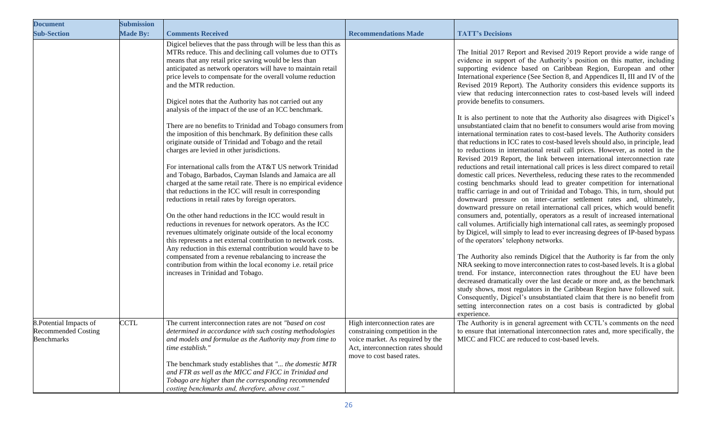| <b>Document</b>                                                            | <b>Submission</b> |                                                                                                                                                                                                                                                                                                                                                                                                                                                                                                                                                                                                                                                                                                                                                                                                                                                                                                                                                                                                                                                                                                                                                                                                                                                                                                                                                                                                                                                                                                              |                                                                                                                                                                         |                                                                                                                                                                                                                                                                                                                                                                                                                                                                                                                                                                                                                                                                                                                                                                                                                                                                                                                                                                                                                                                                                                                                                                                                                                                                                                                                                                                                                                                                                                                                                                                                                                                                                                                                                                                                                                                                                                                                                                                                                                                                                                                                                                                                                                                                                                                                                       |
|----------------------------------------------------------------------------|-------------------|--------------------------------------------------------------------------------------------------------------------------------------------------------------------------------------------------------------------------------------------------------------------------------------------------------------------------------------------------------------------------------------------------------------------------------------------------------------------------------------------------------------------------------------------------------------------------------------------------------------------------------------------------------------------------------------------------------------------------------------------------------------------------------------------------------------------------------------------------------------------------------------------------------------------------------------------------------------------------------------------------------------------------------------------------------------------------------------------------------------------------------------------------------------------------------------------------------------------------------------------------------------------------------------------------------------------------------------------------------------------------------------------------------------------------------------------------------------------------------------------------------------|-------------------------------------------------------------------------------------------------------------------------------------------------------------------------|-------------------------------------------------------------------------------------------------------------------------------------------------------------------------------------------------------------------------------------------------------------------------------------------------------------------------------------------------------------------------------------------------------------------------------------------------------------------------------------------------------------------------------------------------------------------------------------------------------------------------------------------------------------------------------------------------------------------------------------------------------------------------------------------------------------------------------------------------------------------------------------------------------------------------------------------------------------------------------------------------------------------------------------------------------------------------------------------------------------------------------------------------------------------------------------------------------------------------------------------------------------------------------------------------------------------------------------------------------------------------------------------------------------------------------------------------------------------------------------------------------------------------------------------------------------------------------------------------------------------------------------------------------------------------------------------------------------------------------------------------------------------------------------------------------------------------------------------------------------------------------------------------------------------------------------------------------------------------------------------------------------------------------------------------------------------------------------------------------------------------------------------------------------------------------------------------------------------------------------------------------------------------------------------------------------------------------------------------------|
| <b>Sub-Section</b>                                                         | <b>Made By:</b>   | <b>Comments Received</b>                                                                                                                                                                                                                                                                                                                                                                                                                                                                                                                                                                                                                                                                                                                                                                                                                                                                                                                                                                                                                                                                                                                                                                                                                                                                                                                                                                                                                                                                                     | <b>Recommendations Made</b>                                                                                                                                             | <b>TATT's Decisions</b>                                                                                                                                                                                                                                                                                                                                                                                                                                                                                                                                                                                                                                                                                                                                                                                                                                                                                                                                                                                                                                                                                                                                                                                                                                                                                                                                                                                                                                                                                                                                                                                                                                                                                                                                                                                                                                                                                                                                                                                                                                                                                                                                                                                                                                                                                                                               |
|                                                                            |                   | Digicel believes that the pass through will be less than this as<br>MTRs reduce. This and declining call volumes due to OTTs<br>means that any retail price saving would be less than<br>anticipated as network operators will have to maintain retail<br>price levels to compensate for the overall volume reduction<br>and the MTR reduction.<br>Digicel notes that the Authority has not carried out any<br>analysis of the impact of the use of an ICC benchmark.<br>There are no benefits to Trinidad and Tobago consumers from<br>the imposition of this benchmark. By definition these calls<br>originate outside of Trinidad and Tobago and the retail<br>charges are levied in other jurisdictions.<br>For international calls from the AT&T US network Trinidad<br>and Tobago, Barbados, Cayman Islands and Jamaica are all<br>charged at the same retail rate. There is no empirical evidence<br>that reductions in the ICC will result in corresponding<br>reductions in retail rates by foreign operators.<br>On the other hand reductions in the ICC would result in<br>reductions in revenues for network operators. As the ICC<br>revenues ultimately originate outside of the local economy<br>this represents a net external contribution to network costs.<br>Any reduction in this external contribution would have to be<br>compensated from a revenue rebalancing to increase the<br>contribution from within the local economy i.e. retail price<br>increases in Trinidad and Tobago. |                                                                                                                                                                         | The Initial 2017 Report and Revised 2019 Report provide a wide range of<br>evidence in support of the Authority's position on this matter, including<br>supporting evidence based on Caribbean Region, European and other<br>International experience (See Section 8, and Appendices II, III and IV of the<br>Revised 2019 Report). The Authority considers this evidence supports its<br>view that reducing interconnection rates to cost-based levels will indeed<br>provide benefits to consumers.<br>It is also pertinent to note that the Authority also disagrees with Digicel's<br>unsubstantiated claim that no benefit to consumers would arise from moving<br>international termination rates to cost-based levels. The Authority considers<br>that reductions in ICC rates to cost-based levels should also, in principle, lead<br>to reductions in international retail call prices. However, as noted in the<br>Revised 2019 Report, the link between international interconnection rate<br>reductions and retail international call prices is less direct compared to retail<br>domestic call prices. Nevertheless, reducing these rates to the recommended<br>costing benchmarks should lead to greater competition for international<br>traffic carriage in and out of Trinidad and Tobago. This, in turn, should put<br>downward pressure on inter-carrier settlement rates and, ultimately,<br>downward pressure on retail international call prices, which would benefit<br>consumers and, potentially, operators as a result of increased international<br>call volumes. Artificially high international call rates, as seemingly proposed<br>by Digicel, will simply to lead to ever increasing degrees of IP-based bypass<br>of the operators' telephony networks.<br>The Authority also reminds Digicel that the Authority is far from the only<br>NRA seeking to move interconnection rates to cost-based levels. It is a global<br>trend. For instance, interconnection rates throughout the EU have been<br>decreased dramatically over the last decade or more and, as the benchmark<br>study shows, most regulators in the Caribbean Region have followed suit.<br>Consequently, Digicel's unsubstantiated claim that there is no benefit from<br>setting interconnection rates on a cost basis is contradicted by global |
| 8. Potential Impacts of<br><b>Recommended Costing</b><br><b>Benchmarks</b> | <b>CCTL</b>       | The current interconnection rates are not "based on cost<br>determined in accordance with such costing methodologies<br>and models and formulae as the Authority may from time to<br>time establish."<br>The benchmark study establishes that " the domestic MTR<br>and FTR as well as the MICC and FICC in Trinidad and<br>Tobago are higher than the corresponding recommended<br>costing benchmarks and, therefore, above cost."                                                                                                                                                                                                                                                                                                                                                                                                                                                                                                                                                                                                                                                                                                                                                                                                                                                                                                                                                                                                                                                                          | High interconnection rates are<br>constraining competition in the<br>voice market. As required by the<br>Act, interconnection rates should<br>move to cost based rates. | experience.<br>The Authority is in general agreement with CCTL's comments on the need<br>to ensure that international interconnection rates and, more specifically, the<br>MICC and FICC are reduced to cost-based levels.                                                                                                                                                                                                                                                                                                                                                                                                                                                                                                                                                                                                                                                                                                                                                                                                                                                                                                                                                                                                                                                                                                                                                                                                                                                                                                                                                                                                                                                                                                                                                                                                                                                                                                                                                                                                                                                                                                                                                                                                                                                                                                                            |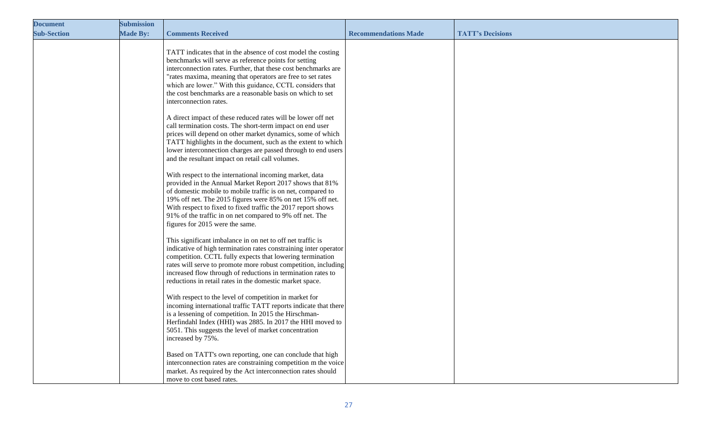| <b>Document</b>    | <b>Submission</b> |                                                                                                                                                                                                                                                                                                                                                                                                                 |                             |                         |
|--------------------|-------------------|-----------------------------------------------------------------------------------------------------------------------------------------------------------------------------------------------------------------------------------------------------------------------------------------------------------------------------------------------------------------------------------------------------------------|-----------------------------|-------------------------|
| <b>Sub-Section</b> | <b>Made By:</b>   | <b>Comments Received</b>                                                                                                                                                                                                                                                                                                                                                                                        | <b>Recommendations Made</b> | <b>TATT's Decisions</b> |
|                    |                   | TATT indicates that in the absence of cost model the costing<br>benchmarks will serve as reference points for setting<br>interconnection rates. Further, that these cost benchmarks are<br>"rates maxima, meaning that operators are free to set rates<br>which are lower." With this guidance, CCTL considers that<br>the cost benchmarks are a reasonable basis on which to set<br>interconnection rates.     |                             |                         |
|                    |                   | A direct impact of these reduced rates will be lower off net<br>call termination costs. The short-term impact on end user<br>prices will depend on other market dynamics, some of which<br>TATT highlights in the document, such as the extent to which<br>lower interconnection charges are passed through to end users<br>and the resultant impact on retail call volumes.                                    |                             |                         |
|                    |                   | With respect to the international incoming market, data<br>provided in the Annual Market Report 2017 shows that 81%<br>of domestic mobile to mobile traffic is on net, compared to<br>19% off net. The 2015 figures were 85% on net 15% off net.<br>With respect to fixed to fixed traffic the 2017 report shows<br>91% of the traffic in on net compared to 9% off net. The<br>figures for 2015 were the same. |                             |                         |
|                    |                   | This significant imbalance in on net to off net traffic is<br>indicative of high termination rates constraining inter operator<br>competition. CCTL fully expects that lowering termination<br>rates will serve to promote more robust competition, including<br>increased flow through of reductions in termination rates to<br>reductions in retail rates in the domestic market space.                       |                             |                         |
|                    |                   | With respect to the level of competition in market for<br>incoming international traffic TATT reports indicate that there<br>is a lessening of competition. In 2015 the Hirschman-<br>Herfindahl Index (HHI) was 2885. In 2017 the HHI moved to<br>5051. This suggests the level of market concentration<br>increased by 75%.                                                                                   |                             |                         |
|                    |                   | Based on TATT's own reporting, one can conclude that high<br>interconnection rates are constraining competition m the voice<br>market. As required by the Act interconnection rates should<br>move to cost based rates.                                                                                                                                                                                         |                             |                         |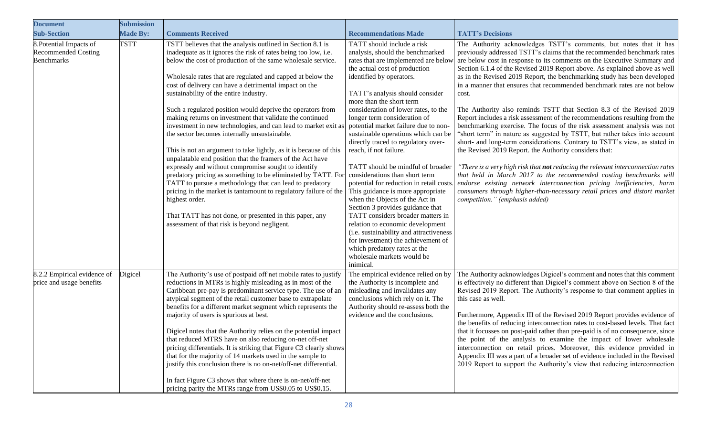| <b>Document</b>                                                            | <b>Submission</b> |                                                                                                                                                                                                                                                                                                                                                                                                                                                                                                                                                                                                                                                                                                                                                                                                                                                                                                                                                                                                                                                                                                                               |                                                                                                                                                                                                                                                                                                                                                                                                                                                                                                                                                                                                                                                                                                                                                                                                                                                                                  |                                                                                                                                                                                                                                                                                                                                                                                                                                                                                                                                                                                                                                                                                                                                                                                                                                                                                                                                                                                                                                                                                                                                                                                                                                                                                                                                |
|----------------------------------------------------------------------------|-------------------|-------------------------------------------------------------------------------------------------------------------------------------------------------------------------------------------------------------------------------------------------------------------------------------------------------------------------------------------------------------------------------------------------------------------------------------------------------------------------------------------------------------------------------------------------------------------------------------------------------------------------------------------------------------------------------------------------------------------------------------------------------------------------------------------------------------------------------------------------------------------------------------------------------------------------------------------------------------------------------------------------------------------------------------------------------------------------------------------------------------------------------|----------------------------------------------------------------------------------------------------------------------------------------------------------------------------------------------------------------------------------------------------------------------------------------------------------------------------------------------------------------------------------------------------------------------------------------------------------------------------------------------------------------------------------------------------------------------------------------------------------------------------------------------------------------------------------------------------------------------------------------------------------------------------------------------------------------------------------------------------------------------------------|--------------------------------------------------------------------------------------------------------------------------------------------------------------------------------------------------------------------------------------------------------------------------------------------------------------------------------------------------------------------------------------------------------------------------------------------------------------------------------------------------------------------------------------------------------------------------------------------------------------------------------------------------------------------------------------------------------------------------------------------------------------------------------------------------------------------------------------------------------------------------------------------------------------------------------------------------------------------------------------------------------------------------------------------------------------------------------------------------------------------------------------------------------------------------------------------------------------------------------------------------------------------------------------------------------------------------------|
| <b>Sub-Section</b>                                                         | <b>Made By:</b>   | <b>Comments Received</b>                                                                                                                                                                                                                                                                                                                                                                                                                                                                                                                                                                                                                                                                                                                                                                                                                                                                                                                                                                                                                                                                                                      | <b>Recommendations Made</b>                                                                                                                                                                                                                                                                                                                                                                                                                                                                                                                                                                                                                                                                                                                                                                                                                                                      | <b>TATT's Decisions</b>                                                                                                                                                                                                                                                                                                                                                                                                                                                                                                                                                                                                                                                                                                                                                                                                                                                                                                                                                                                                                                                                                                                                                                                                                                                                                                        |
| 8. Potential Impacts of<br><b>Recommended Costing</b><br><b>Benchmarks</b> | <b>TSTT</b>       | TSTT believes that the analysis outlined in Section 8.1 is<br>inadequate as it ignores the risk of rates being too low, i.e.<br>below the cost of production of the same wholesale service.<br>Wholesale rates that are regulated and capped at below the<br>cost of delivery can have a detrimental impact on the<br>sustainability of the entire industry.<br>Such a regulated position would deprive the operators from<br>making returns on investment that validate the continued<br>investment in new technologies, and can lead to market exit as<br>the sector becomes internally unsustainable.<br>This is not an argument to take lightly, as it is because of this<br>unpalatable end position that the framers of the Act have<br>expressly and without compromise sought to identify<br>predatory pricing as something to be eliminated by TATT. For<br>TATT to pursue a methodology that can lead to predatory<br>pricing in the market is tantamount to regulatory failure of the<br>highest order.<br>That TATT has not done, or presented in this paper, any<br>assessment of that risk is beyond negligent. | TATT should include a risk<br>analysis, should the benchmarked<br>rates that are implemented are below<br>the actual cost of production<br>identified by operators.<br>TATT's analysis should consider<br>more than the short term<br>consideration of lower rates, to the<br>longer term consideration of<br>potential market failure due to non<br>sustainable operations which can be<br>directly traced to regulatory over-<br>reach, if not failure.<br>TATT should be mindful of broader<br>considerations than short term<br>This guidance is more appropriate<br>when the Objects of the Act in<br>Section 3 provides guidance that<br>TATT considers broader matters in<br>relation to economic development<br>(i.e. sustainability and attractiveness<br>for investment) the achievement of<br>which predatory rates at the<br>wholesale markets would be<br>inimical. | The Authority acknowledges TSTT's comments, but notes that it has<br>previously addressed TSTT's claims that the recommended benchmark rates<br>are below cost in response to its comments on the Executive Summary and<br>Section 6.1.4 of the Revised 2019 Report above. As explained above as well<br>as in the Revised 2019 Report, the benchmarking study has been developed<br>in a manner that ensures that recommended benchmark rates are not below<br>cost.<br>The Authority also reminds TSTT that Section 8.3 of the Revised 2019<br>Report includes a risk assessment of the recommendations resulting from the<br>benchmarking exercise. The focus of the risk assessment analysis was not<br>"short term" in nature as suggested by TSTT, but rather takes into account<br>short- and long-term considerations. Contrary to TSTT's view, as stated in<br>the Revised 2019 Report. the Authority considers that:<br>"There is a very high risk that not reducing the relevant interconnection rates<br>that held in March 2017 to the recommended costing benchmarks will<br>potential for reduction in retail costs. <i>endorse existing network interconnection pricing inefficiencies, harm</i><br>consumers through higher-than-necessary retail prices and distort market<br>competition." (emphasis added) |
| 8.2.2 Empirical evidence of<br>price and usage benefits                    | Digicel           | The Authority's use of postpaid off net mobile rates to justify<br>reductions in MTRs is highly misleading as in most of the<br>Caribbean pre-pay is predominant service type. The use of an<br>atypical segment of the retail customer base to extrapolate<br>benefits for a different market segment which represents the<br>majority of users is spurious at best.<br>Digicel notes that the Authority relies on the potential impact<br>that reduced MTRS have on also reducing on-net off-net<br>pricing differentials. It is striking that Figure C3 clearly shows<br>that for the majority of 14 markets used in the sample to<br>justify this conclusion there is no on-net/off-net differential.<br>In fact Figure C3 shows that where there is on-net/off-net<br>pricing parity the MTRs range from US\$0.05 to US\$0.15.                                                                                                                                                                                                                                                                                           | The empirical evidence relied on by<br>the Authority is incomplete and<br>misleading and invalidates any<br>conclusions which rely on it. The<br>Authority should re-assess both the<br>evidence and the conclusions.                                                                                                                                                                                                                                                                                                                                                                                                                                                                                                                                                                                                                                                            | The Authority acknowledges Digicel's comment and notes that this comment<br>is effectively no different than Digicel's comment above on Section 8 of the<br>Revised 2019 Report. The Authority's response to that comment applies in<br>this case as well.<br>Furthermore, Appendix III of the Revised 2019 Report provides evidence of<br>the benefits of reducing interconnection rates to cost-based levels. That fact<br>that it focusses on post-paid rather than pre-paid is of no consequence, since<br>the point of the analysis to examine the impact of lower wholesale<br>interconnection on retail prices. Moreover, this evidence provided in<br>Appendix III was a part of a broader set of evidence included in the Revised<br>2019 Report to support the Authority's view that reducing interconnection                                                                                                                                                                                                                                                                                                                                                                                                                                                                                                        |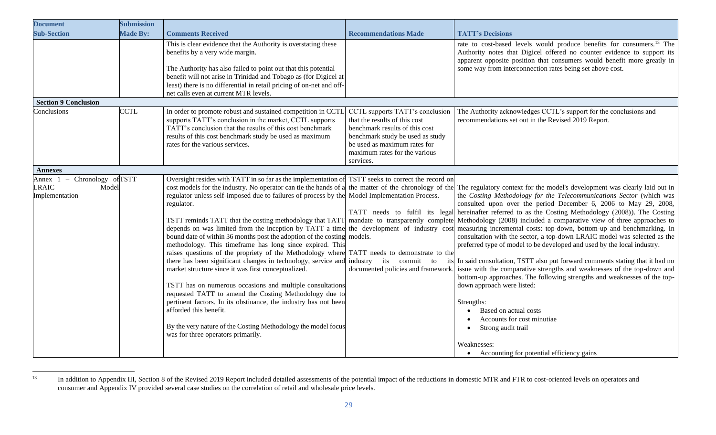| <b>Document</b>                                                                                             | <b>Submission</b> |                                                                                                                                                                                                                                                                                                                                                                                                                                                                                                                                                                                                                                                                                                                                                                                                                                                                                                                                                                                             |                                                                                                                                                                                                                      |                                                                                                                                                                                                                                                                                                                                                                                                                                                                                                                                                                                                                                                                                                                                                                                                                                                                                                                                                                                                                                                                                                                                                                                                                                                |
|-------------------------------------------------------------------------------------------------------------|-------------------|---------------------------------------------------------------------------------------------------------------------------------------------------------------------------------------------------------------------------------------------------------------------------------------------------------------------------------------------------------------------------------------------------------------------------------------------------------------------------------------------------------------------------------------------------------------------------------------------------------------------------------------------------------------------------------------------------------------------------------------------------------------------------------------------------------------------------------------------------------------------------------------------------------------------------------------------------------------------------------------------|----------------------------------------------------------------------------------------------------------------------------------------------------------------------------------------------------------------------|------------------------------------------------------------------------------------------------------------------------------------------------------------------------------------------------------------------------------------------------------------------------------------------------------------------------------------------------------------------------------------------------------------------------------------------------------------------------------------------------------------------------------------------------------------------------------------------------------------------------------------------------------------------------------------------------------------------------------------------------------------------------------------------------------------------------------------------------------------------------------------------------------------------------------------------------------------------------------------------------------------------------------------------------------------------------------------------------------------------------------------------------------------------------------------------------------------------------------------------------|
| <b>Sub-Section</b>                                                                                          | Made By:          | <b>Comments Received</b>                                                                                                                                                                                                                                                                                                                                                                                                                                                                                                                                                                                                                                                                                                                                                                                                                                                                                                                                                                    | <b>Recommendations Made</b>                                                                                                                                                                                          | <b>TATT's Decisions</b>                                                                                                                                                                                                                                                                                                                                                                                                                                                                                                                                                                                                                                                                                                                                                                                                                                                                                                                                                                                                                                                                                                                                                                                                                        |
|                                                                                                             |                   | This is clear evidence that the Authority is overstating these<br>benefits by a very wide margin.<br>The Authority has also failed to point out that this potential<br>benefit will not arise in Trinidad and Tobago as (for Digicel at<br>least) there is no differential in retail pricing of on-net and off-<br>net calls even at current MTR levels.                                                                                                                                                                                                                                                                                                                                                                                                                                                                                                                                                                                                                                    |                                                                                                                                                                                                                      | rate to cost-based levels would produce benefits for consumers. <sup>13</sup> The<br>Authority notes that Digicel offered no counter evidence to support its<br>apparent opposite position that consumers would benefit more greatly in<br>some way from interconnection rates being set above cost.                                                                                                                                                                                                                                                                                                                                                                                                                                                                                                                                                                                                                                                                                                                                                                                                                                                                                                                                           |
| <b>Section 9 Conclusion</b>                                                                                 |                   |                                                                                                                                                                                                                                                                                                                                                                                                                                                                                                                                                                                                                                                                                                                                                                                                                                                                                                                                                                                             |                                                                                                                                                                                                                      |                                                                                                                                                                                                                                                                                                                                                                                                                                                                                                                                                                                                                                                                                                                                                                                                                                                                                                                                                                                                                                                                                                                                                                                                                                                |
| Conclusions                                                                                                 | <b>CCTL</b>       | In order to promote robust and sustained competition in CCTI<br>supports TATT's conclusion in the market, CCTL supports<br>TATT's conclusion that the results of this cost benchmark<br>results of this cost benchmark study be used as maximum<br>rates for the various services.                                                                                                                                                                                                                                                                                                                                                                                                                                                                                                                                                                                                                                                                                                          | CCTL supports TATT's conclusion<br>that the results of this cost<br>benchmark results of this cost<br>benchmark study be used as study<br>be used as maximum rates for<br>maximum rates for the various<br>services. | The Authority acknowledges CCTL's support for the conclusions and<br>recommendations set out in the Revised 2019 Report.                                                                                                                                                                                                                                                                                                                                                                                                                                                                                                                                                                                                                                                                                                                                                                                                                                                                                                                                                                                                                                                                                                                       |
| <b>Annexes</b>                                                                                              |                   |                                                                                                                                                                                                                                                                                                                                                                                                                                                                                                                                                                                                                                                                                                                                                                                                                                                                                                                                                                                             |                                                                                                                                                                                                                      |                                                                                                                                                                                                                                                                                                                                                                                                                                                                                                                                                                                                                                                                                                                                                                                                                                                                                                                                                                                                                                                                                                                                                                                                                                                |
| Chronology of TSTT<br>Annex 1<br>$\hspace{0.1mm}-\hspace{0.1mm}$<br><b>LRAIC</b><br>Model<br>Implementation |                   | Oversight resides with TATT in so far as the implementation of<br>cost models for the industry. No operator can tie the hands of a<br>regulator unless self-imposed due to failures of process by the<br>regulator.<br>TSTT reminds TATT that the costing methodology that TATT<br>depends on was limited from the inception by TATT a time<br>bound date of within 36 months post the adoption of the costing<br>methodology. This timeframe has long since expired. This<br>raises questions of the propriety of the Methodology where<br>there has been significant changes in technology, service and<br>market structure since it was first conceptualized.<br>TSTT has on numerous occasions and multiple consultations<br>requested TATT to amend the Costing Methodology due to<br>pertinent factors. In its obstinance, the industry has not been<br>afforded this benefit.<br>By the very nature of the Costing Methodology the model focus<br>was for three operators primarily. | TSTT seeks to correct the record on<br>Model Implementation Process.<br>models.<br>TATT needs to demonstrate to the<br>industry its commit to                                                                        | the matter of the chronology of the The regulatory context for the model's development was clearly laid out in<br>the Costing Methodology for the Telecommunications Sector (which was<br>consulted upon over the period December 6, 2006 to May 29, 2008,<br>TATT needs to fulfil its legal hereinafter referred to as the Costing Methodology (2008)). The Costing<br>mandate to transparently complete Methodology (2008) included a comparative view of three approaches to<br>the development of industry cost measuring incremental costs: top-down, bottom-up and benchmarking. In<br>consultation with the sector, a top-down LRAIC model was selected as the<br>preferred type of model to be developed and used by the local industry.<br>its In said consultation, TSTT also put forward comments stating that it had no<br>documented policies and framework. issue with the comparative strengths and weaknesses of the top-down and<br>bottom-up approaches. The following strengths and weaknesses of the top-<br>down approach were listed:<br>Strengths:<br>Based on actual costs<br>$\bullet$<br>Accounts for cost minutiae<br>Strong audit trail<br>$\bullet$<br>Weaknesses:<br>• Accounting for potential efficiency gains |

<sup>&</sup>lt;sup>13</sup> In addition to Appendix III, Section 8 of the Revised 2019 Report included detailed assessments of the potential impact of the reductions in domestic MTR and FTR to cost-oriented levels on operators and consumer and Appendix IV provided several case studies on the correlation of retail and wholesale price levels.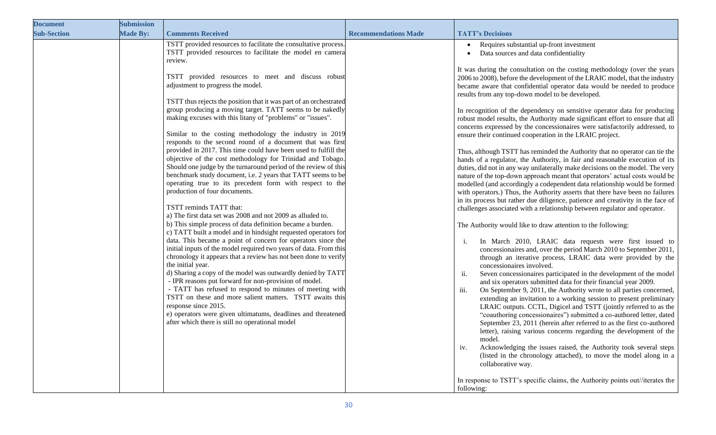| <b>Document</b>    | <b>Submission</b> |                                                                                                                                                                                                                                                                                                                                                                                                                                                                                                                                                                                                                                                                                                                                                                                                                                                                                                                                                                                                                                                                                                                                                                                                                                                                                                                                                                                                                                                                                                                                                                                                                                                                                                                                                                               |                             |                                                                                                                                                                                                                                                                                                                                                                                                                                                                                                                                                                                                                                                                                                                                                                                                                                                                                                                                                                                                                                                                                                                                                                                                                                                                                                                                                                                                                                                                                                                                                                                                                                                                                                                                                                                                                                                                                                                                                                                                                                                                                                                                                                                                                                                                                                                                                                                                                                                                                                                                                                     |
|--------------------|-------------------|-------------------------------------------------------------------------------------------------------------------------------------------------------------------------------------------------------------------------------------------------------------------------------------------------------------------------------------------------------------------------------------------------------------------------------------------------------------------------------------------------------------------------------------------------------------------------------------------------------------------------------------------------------------------------------------------------------------------------------------------------------------------------------------------------------------------------------------------------------------------------------------------------------------------------------------------------------------------------------------------------------------------------------------------------------------------------------------------------------------------------------------------------------------------------------------------------------------------------------------------------------------------------------------------------------------------------------------------------------------------------------------------------------------------------------------------------------------------------------------------------------------------------------------------------------------------------------------------------------------------------------------------------------------------------------------------------------------------------------------------------------------------------------|-----------------------------|---------------------------------------------------------------------------------------------------------------------------------------------------------------------------------------------------------------------------------------------------------------------------------------------------------------------------------------------------------------------------------------------------------------------------------------------------------------------------------------------------------------------------------------------------------------------------------------------------------------------------------------------------------------------------------------------------------------------------------------------------------------------------------------------------------------------------------------------------------------------------------------------------------------------------------------------------------------------------------------------------------------------------------------------------------------------------------------------------------------------------------------------------------------------------------------------------------------------------------------------------------------------------------------------------------------------------------------------------------------------------------------------------------------------------------------------------------------------------------------------------------------------------------------------------------------------------------------------------------------------------------------------------------------------------------------------------------------------------------------------------------------------------------------------------------------------------------------------------------------------------------------------------------------------------------------------------------------------------------------------------------------------------------------------------------------------------------------------------------------------------------------------------------------------------------------------------------------------------------------------------------------------------------------------------------------------------------------------------------------------------------------------------------------------------------------------------------------------------------------------------------------------------------------------------------------------|
| <b>Sub-Section</b> | <b>Made By:</b>   | <b>Comments Received</b>                                                                                                                                                                                                                                                                                                                                                                                                                                                                                                                                                                                                                                                                                                                                                                                                                                                                                                                                                                                                                                                                                                                                                                                                                                                                                                                                                                                                                                                                                                                                                                                                                                                                                                                                                      | <b>Recommendations Made</b> | <b>TATT's Decisions</b>                                                                                                                                                                                                                                                                                                                                                                                                                                                                                                                                                                                                                                                                                                                                                                                                                                                                                                                                                                                                                                                                                                                                                                                                                                                                                                                                                                                                                                                                                                                                                                                                                                                                                                                                                                                                                                                                                                                                                                                                                                                                                                                                                                                                                                                                                                                                                                                                                                                                                                                                             |
|                    |                   | TSTT provided resources to facilitate the consultative process.<br>TSTT provided resources to facilitate the model en camera<br>review.<br>TSTT provided resources to meet and discuss robust<br>adjustment to progress the model.<br>TSTT thus rejects the position that it was part of an orchestrated<br>group producing a moving target. TATT seems to be nakedly<br>making excuses with this litany of "problems" or "issues".<br>Similar to the costing methodology the industry in 2019<br>responds to the second round of a document that was first<br>provided in 2017. This time could have been used to fulfill the<br>objective of the cost methodology for Trinidad and Tobago.<br>Should one judge by the turnaround period of the review of this<br>benchmark study document, i.e. 2 years that TATT seems to be<br>operating true to its precedent form with respect to the<br>production of four documents.<br>TSTT reminds TATT that:<br>a) The first data set was 2008 and not 2009 as alluded to.<br>b) This simple process of data definition became a burden.<br>c) TATT built a model and in hindsight requested operators for<br>data. This became a point of concern for operators since the<br>initial inputs of the model required two years of data. From this<br>chronology it appears that a review has not been done to verify<br>the initial year.<br>d) Sharing a copy of the model was outwardly denied by TATT<br>- IPR reasons put forward for non-provision of model.<br>- TATT has refused to respond to minutes of meeting with<br>TSTT on these and more salient matters. TSTT awaits this<br>response since 2015.<br>e) operators were given ultimatums, deadlines and threatened<br>after which there is still no operational model |                             | Requires substantial up-front investment<br>$\bullet$<br>Data sources and data confidentiality<br>It was during the consultation on the costing methodology (over the years<br>2006 to 2008), before the development of the LRAIC model, that the industry<br>became aware that confidential operator data would be needed to produce<br>results from any top-down model to be developed.<br>In recognition of the dependency on sensitive operator data for producing<br>robust model results, the Authority made significant effort to ensure that all<br>concerns expressed by the concessionaires were satisfactorily addressed, to<br>ensure their continued cooperation in the LRAIC project.<br>Thus, although TSTT has reminded the Authority that no operator can tie the<br>hands of a regulator, the Authority, in fair and reasonable execution of its<br>duties, did not in any way unilaterally make decisions on the model. The very<br>nature of the top-down approach meant that operators' actual costs would be<br>modelled (and accordingly a codependent data relationship would be formed<br>with operators.) Thus, the Authority asserts that there have been no failures<br>in its process but rather due diligence, patience and creativity in the face of<br>challenges associated with a relationship between regulator and operator.<br>The Authority would like to draw attention to the following:<br>In March 2010, LRAIC data requests were first issued to<br>$\mathbf{1}$ .<br>concessionaires and, over the period March 2010 to September 2011,<br>through an iterative process, LRAIC data were provided by the<br>concessionaires involved.<br>Seven concessionaires participated in the development of the model<br>ii.<br>and six operators submitted data for their financial year 2009.<br>On September 9, 2011, the Authority wrote to all parties concerned,<br>iii.<br>extending an invitation to a working session to present preliminary<br>LRAIC outputs. CCTL, Digicel and TSTT (jointly referred to as the<br>"coauthoring concessionaires") submitted a co-authored letter, dated<br>September 23, 2011 (herein after referred to as the first co-authored<br>letter), raising various concerns regarding the development of the<br>model.<br>Acknowledging the issues raised, the Authority took several steps<br>iv.<br>(listed in the chronology attached), to move the model along in a<br>collaborative way.<br>In response to TSTT's specific claims, the Authority points out//iterates the<br>following: |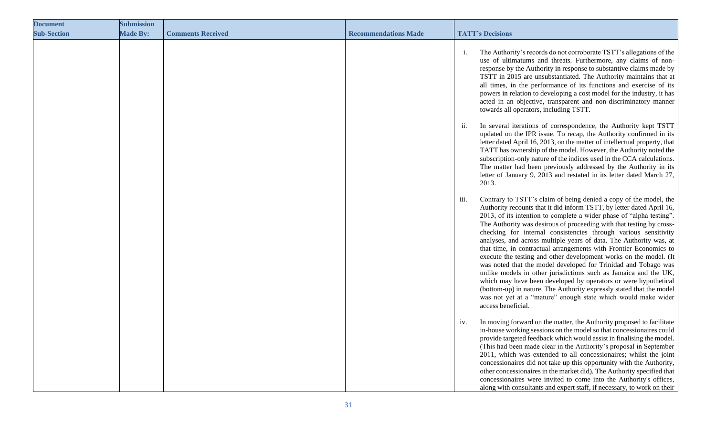| <b>Document</b>    | <b>Submission</b> |                          |                             |                                              |                                                                                                                                                                                                                                                                                                                                                                                                                                                                                                                                                                                                                                                                                                                                                                                                                                                                                                                                 |
|--------------------|-------------------|--------------------------|-----------------------------|----------------------------------------------|---------------------------------------------------------------------------------------------------------------------------------------------------------------------------------------------------------------------------------------------------------------------------------------------------------------------------------------------------------------------------------------------------------------------------------------------------------------------------------------------------------------------------------------------------------------------------------------------------------------------------------------------------------------------------------------------------------------------------------------------------------------------------------------------------------------------------------------------------------------------------------------------------------------------------------|
| <b>Sub-Section</b> | <b>Made By:</b>   | <b>Comments Received</b> | <b>Recommendations Made</b> | <b>TATT's Decisions</b>                      |                                                                                                                                                                                                                                                                                                                                                                                                                                                                                                                                                                                                                                                                                                                                                                                                                                                                                                                                 |
|                    |                   |                          |                             | 1.<br>towards all operators, including TSTT. | The Authority's records do not corroborate TSTT's allegations of the<br>use of ultimatums and threats. Furthermore, any claims of non-<br>response by the Authority in response to substantive claims made by<br>TSTT in 2015 are unsubstantiated. The Authority maintains that at<br>all times, in the performance of its functions and exercise of its<br>powers in relation to developing a cost model for the industry, it has<br>acted in an objective, transparent and non-discriminatory manner                                                                                                                                                                                                                                                                                                                                                                                                                          |
|                    |                   |                          |                             | ii.<br>2013.                                 | In several iterations of correspondence, the Authority kept TSTT<br>updated on the IPR issue. To recap, the Authority confirmed in its<br>letter dated April 16, 2013, on the matter of intellectual property, that<br>TATT has ownership of the model. However, the Authority noted the<br>subscription-only nature of the indices used in the CCA calculations.<br>The matter had been previously addressed by the Authority in its<br>letter of January 9, 2013 and restated in its letter dated March 27,                                                                                                                                                                                                                                                                                                                                                                                                                   |
|                    |                   |                          |                             | <b>111.</b><br>access beneficial.            | Contrary to TSTT's claim of being denied a copy of the model, the<br>Authority recounts that it did inform TSTT, by letter dated April 16,<br>2013, of its intention to complete a wider phase of "alpha testing".<br>The Authority was desirous of proceeding with that testing by cross-<br>checking for internal consistencies through various sensitivity<br>analyses, and across multiple years of data. The Authority was, at<br>that time, in contractual arrangements with Frontier Economics to<br>execute the testing and other development works on the model. (It<br>was noted that the model developed for Trinidad and Tobago was<br>unlike models in other jurisdictions such as Jamaica and the UK,<br>which may have been developed by operators or were hypothetical<br>(bottom-up) in nature. The Authority expressly stated that the model<br>was not yet at a "mature" enough state which would make wider |
|                    |                   |                          |                             | iv.                                          | In moving forward on the matter, the Authority proposed to facilitate<br>in-house working sessions on the model so that concessionaires could<br>provide targeted feedback which would assist in finalising the model<br>(This had been made clear in the Authority's proposal in September<br>2011, which was extended to all concessionaires; whilst the joint<br>concessionaires did not take up this opportunity with the Authority,<br>other concessionaires in the market did). The Authority specified that<br>concessionaires were invited to come into the Authority's offices,<br>along with consultants and expert staff, if necessary, to work on their                                                                                                                                                                                                                                                             |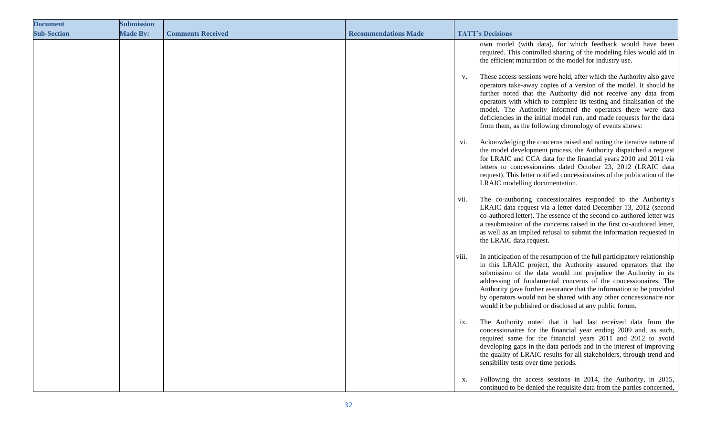| <b>Document</b>    | <b>Submission</b> |                          |                             |       |                                                                                                                                                                                                                                                                                                                                                                                                                                                                                           |
|--------------------|-------------------|--------------------------|-----------------------------|-------|-------------------------------------------------------------------------------------------------------------------------------------------------------------------------------------------------------------------------------------------------------------------------------------------------------------------------------------------------------------------------------------------------------------------------------------------------------------------------------------------|
| <b>Sub-Section</b> | <b>Made By:</b>   | <b>Comments Received</b> | <b>Recommendations Made</b> |       | <b>TATT's Decisions</b>                                                                                                                                                                                                                                                                                                                                                                                                                                                                   |
|                    |                   |                          |                             |       | own model (with data), for which feedback would have been<br>required. This controlled sharing of the modeling files would aid in<br>the efficient maturation of the model for industry use.                                                                                                                                                                                                                                                                                              |
|                    |                   |                          |                             | V.    | These access sessions were held, after which the Authority also gave<br>operators take-away copies of a version of the model. It should be<br>further noted that the Authority did not receive any data from<br>operators with which to complete its testing and finalisation of the<br>model. The Authority informed the operators there were data<br>deficiencies in the initial model run, and made requests for the data<br>from them, as the following chronology of events shows:   |
|                    |                   |                          |                             | V1.   | Acknowledging the concerns raised and noting the iterative nature of<br>the model development process, the Authority dispatched a request<br>for LRAIC and CCA data for the financial years 2010 and 2011 via<br>letters to concessionaires dated October 23, 2012 (LRAIC data<br>request). This letter notified concessionaires of the publication of the<br>LRAIC modelling documentation.                                                                                              |
|                    |                   |                          |                             | V11.  | The co-authoring concessionaires responded to the Authority's<br>LRAIC data request via a letter dated December 13, 2012 (second<br>co-authored letter). The essence of the second co-authored letter was<br>a resubmission of the concerns raised in the first co-authored letter,<br>as well as an implied refusal to submit the information requested in<br>the LRAIC data request.                                                                                                    |
|                    |                   |                          |                             | viii. | In anticipation of the resumption of the full participatory relationship<br>in this LRAIC project, the Authority assured operators that the<br>submission of the data would not prejudice the Authority in its<br>addressing of fundamental concerns of the concessionaires. The<br>Authority gave further assurance that the information to be provided<br>by operators would not be shared with any other concessionaire nor<br>would it be published or disclosed at any public forum. |
|                    |                   |                          |                             | 1X.   | The Authority noted that it had last received data from the<br>concessionaires for the financial year ending 2009 and, as such,<br>required same for the financial years 2011 and 2012 to avoid<br>developing gaps in the data periods and in the interest of improving<br>the quality of LRAIC results for all stakeholders, through trend and<br>sensibility tests over time periods.                                                                                                   |
|                    |                   |                          |                             | х.    | Following the access sessions in 2014, the Authority, in 2015,<br>continued to be denied the requisite data from the parties concerned,                                                                                                                                                                                                                                                                                                                                                   |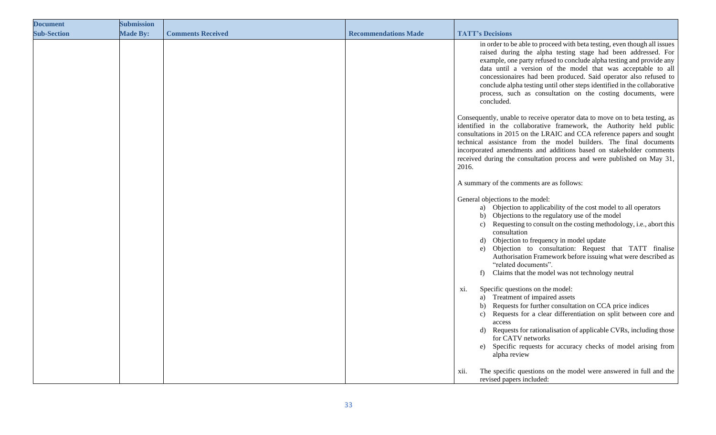| <b>Document</b>    | <b>Submission</b> |                          |                             |                                                                                                                                                                                                                                                                                                                                                                                                                                                                                                                 |
|--------------------|-------------------|--------------------------|-----------------------------|-----------------------------------------------------------------------------------------------------------------------------------------------------------------------------------------------------------------------------------------------------------------------------------------------------------------------------------------------------------------------------------------------------------------------------------------------------------------------------------------------------------------|
| <b>Sub-Section</b> | <b>Made By:</b>   | <b>Comments Received</b> | <b>Recommendations Made</b> | <b>TATT's Decisions</b>                                                                                                                                                                                                                                                                                                                                                                                                                                                                                         |
|                    |                   |                          |                             | in order to be able to proceed with beta testing, even though all issues<br>raised during the alpha testing stage had been addressed. For<br>example, one party refused to conclude alpha testing and provide any<br>data until a version of the model that was acceptable to all<br>concessionaires had been produced. Said operator also refused to<br>conclude alpha testing until other steps identified in the collaborative<br>process, such as consultation on the costing documents, were<br>concluded. |
|                    |                   |                          |                             | Consequently, unable to receive operator data to move on to beta testing, as<br>identified in the collaborative framework, the Authority held public<br>consultations in 2015 on the LRAIC and CCA reference papers and sought<br>technical assistance from the model builders. The final documents<br>incorporated amendments and additions based on stakeholder comments<br>received during the consultation process and were published on May 31,<br>2016.                                                   |
|                    |                   |                          |                             | A summary of the comments are as follows:                                                                                                                                                                                                                                                                                                                                                                                                                                                                       |
|                    |                   |                          |                             | General objections to the model:<br>a) Objection to applicability of the cost model to all operators<br>b) Objections to the regulatory use of the model<br>c) Requesting to consult on the costing methodology, i.e., abort this<br>consultation<br>d) Objection to frequency in model update<br>e) Objection to consultation: Request that TATT finalise<br>Authorisation Framework before issuing what were described as<br>"related documents".<br>Claims that the model was not technology neutral<br>f)   |
|                    |                   |                          |                             | Specific questions on the model:<br>xi.<br>a) Treatment of impaired assets<br>b) Requests for further consultation on CCA price indices<br>Requests for a clear differentiation on split between core and<br>c)<br>access<br>Requests for rationalisation of applicable CVRs, including those<br>d)<br>for CATV networks<br>e) Specific requests for accuracy checks of model arising from<br>alpha review                                                                                                      |
|                    |                   |                          |                             | The specific questions on the model were answered in full and the<br>xii.<br>revised papers included:                                                                                                                                                                                                                                                                                                                                                                                                           |